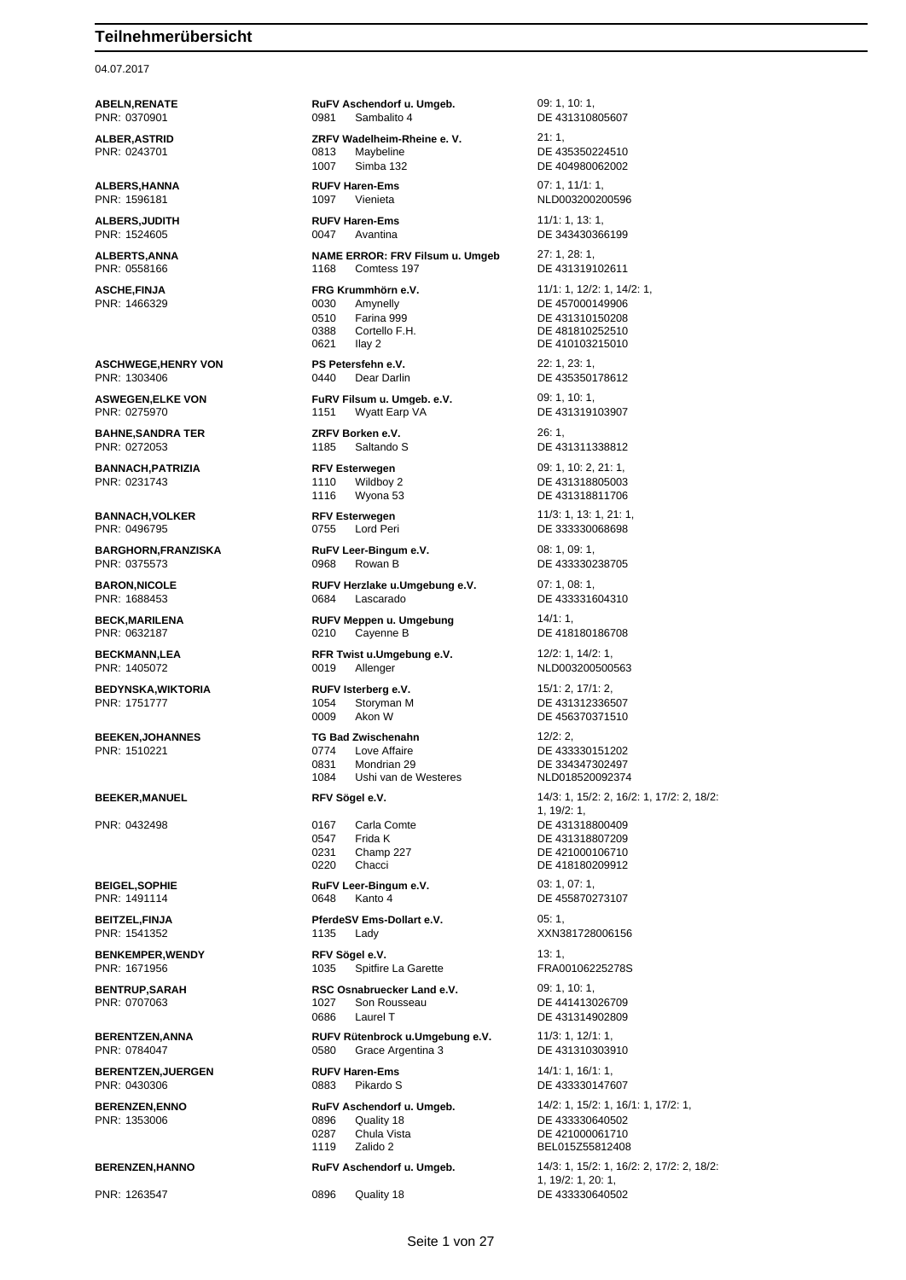04.07.2017

**ALBER,ASTRID ZRFV Wadelheim-Rheine e. V.** 21: 1,

**ALBERS,HANNA RUFV Haren-Ems** 07: 1, 11/1: 1,

**ALBERS,JUDITH RUFV Haren-Ems** 11/1: 1, 13: 1,

**ASCHWEGE,HENRY VON PS Petersfehn e.V.** 22: 1, 23: 1,

**BAHNE,SANDRA TER ZRFV Borken e.V.** 26: 1,

PNR: 0231743 1110 Wildboy 2 DE 431318805003

**BARGHORN,FRANZISKA RuFV Leer-Bingum e.V.** 08: 1, 09: 1, 09: 1, PNR: 0375573 0968 Rowan B DE 433330238705

**BEDYNSKA,WIKTORIA RUFV Isterberg e.V.** 15/1: 2, 17/1: 2, PNR: 1751777 1054 Storyman M DE 431312336507

**BERENTZEN,JUERGEN RUFV Haren-Ems** 14/1: 1, 16/1: 1, PNR: 0430306 0883 Pikardo S DE 433330147607

**ABELN,RENATE RuFV Aschendorf u. Umgeb.** 09: 1, 10: 1, PNR: 0370901 0981 0981 Sambalito 4 DE 431310805607

PNR: 0243701 0813 Maybeline DE 435350224510 1007 Simba 132 DE 404980062002

**ALBERTS,ANNA NAME ERROR: FRV Filsum u. Umgeb** 27: 1, 28: 1,

0030 Amynelly DE 457000149906 0510 Farina 999 DE 431310150208 0388 Cortello F.H. DE 481810252510 0621 Ilay 2 DE 410103215010

**ASWEGEN,ELKE VON FuRV Filsum u. Umgeb. e.V.** 09: 1, 10: 1, PNR: 0275970 1151 Wyatt Earp VA DE 431319103907

**BANNACH,PATRIZIA RFV Esterwegen** 09: 1, 10: 2, 21: 1,

**BARON,NICOLE RUFV Herzlake u.Umgebung e.V.** 07: 1, 08: 1, PNR: 1688453 0684 Lascarado DE 433331604310

**BECK,MARILENA RUFV Meppen u. Umgebung** 14/1: 1, PNR: 0632187 0210 Cayenne B DE 418180186708

**BECKMANN,LEA RFR Twist u.Umgebung e.V.** 12/2: 1, 14/2: 1, PNR: 1405072 0019 Allenger NLD003200500563

0009 Akon W DE 456370371510

**BEEKEN,JOHANNES TG Bad Zwischenahn** 12/2: 2, 0774 Love Affaire 2012 DE 433330151202<br>15231 Mondrian 29 DE 334347302497 0831 Mondrian 29 DE 334347302497<br>1084 Ushi van de Westeres NLD018520092374 Ushi van de Westeres

PNR: 0432498 0167 Carla Comte DE 431318800409 0547 Frida K DE 431318807209 0231 Champ 227 DE 421000106710<br>0220 Chacci DE 418180209912

**BEIGEL, SOPHIE RUFV Leer-Bingum e.V.** 03: 1, 07: 1, PNR: 1491114 0648 Kanto 4 DE 455870273107

**BEITZEL,FINJA PferdeSV Ems-Dollart e.V.** 05: 1, PNR: 1541352 1135 Lady XXN381728006156

**BENKEMPER,WENDY RFV Sögel e.V.** 13: 1, 1035 Spitfire La Garette

**BENTRUP,SARAH RSC Osnabruecker Land e.V.** 09: 1, 10: 1, 1027 Son Rousseau DE 441413026709 0686 Laurel T DE 431314902809

**BERENTZEN,ANNA RUFV Rütenbrock u.Umgebung e.V.** 11/3: 1, 12/1: 1, 11/3: 1, 12/1: 1, 12/1: 1, 12/1: 1, 12/1: 1, 12/1: 1, 12/1: 1, 12/1: 1, 12/1: 1, 12/1: 1, 12/1: 1, 12/1: 1, 12/1: 1, 12/1: 1, 12/1: 1, 12/1: 1, 12/1: 1, 0580 Grace Argentina 3 DE 431310303910

PNR: 1353006 0896 Quality 18 DE 433330640502 0287 Chula Vista DE 421000061710

PNR: 1596181 1097 Vienieta NLD003200200596 PNR: 1524605 0047 Avantina DE 343430366199 DE 431319102611 **ASCHE,FINJA FRG Krummhörn e.V.** 11/1: 1, 12/2: 1, 14/2: 1, 19/2: 1, 15/2: 1, 15/2: 1, 15/2: 1, 15/2: 1, 15/2: 1, 15/2: 1, 15/2: 1, 15/2: 1, 15/2: 1, 15/2: 1, 15/2: 1, 15/2: 1, 15/2: 1, 15/2: 1, 15/2: 1, 15/2: 1, 15/2: 1 PNR: 1303406 0440 Dear Darlin DE 435350178612 PNR: 0272053 1185 Saltando S DE 431311338812 1116 Wyona 53 DE 431318811706 **BANNACH,VOLKER RFV Esterwegen** 11/3: 1, 13: 1, 21: 1, 0755 Lord Peri DE 333330068698 **BEEKER,MANUEL RFV Sögel e.V.** 14/3: 1, 15/2: 2, 16/2: 1, 17/2: 2, 18/2: 1, 19/2: 1, DE 418180209912 **BERENZEN,ENNO RuFV Aschendorf u. Umgeb.** 14/2: 1, 15/2: 1, 16/1: 1, 17/2: 1, 1119 Zalido 2 BEL015Z55812408 **BERENZEN,HANNO RuFV Aschendorf u. Umgeb.** 14/3: 1, 15/2: 1, 16/2: 2, 17/2: 2, 18/2: 1, 19/2: 1, 20: 1, PNR: 1263547 0896 Quality 18 DE 433330640502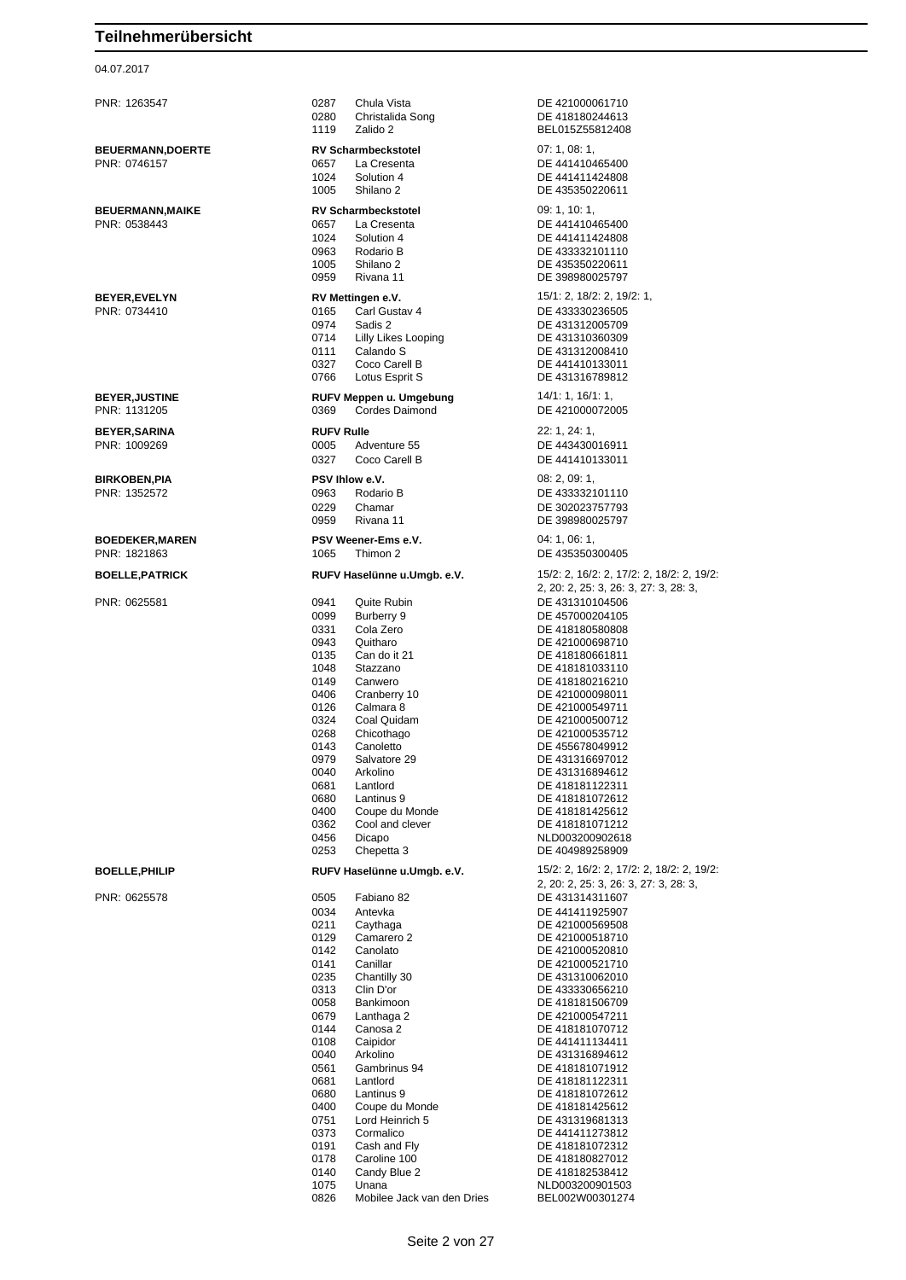### 04.07.2017

PNR: 1263547 0287 Chula Vista DE 421000061710 0280 Christalida Song DE 418180244613 1119 Zalido 2 BEL015755812408 **BEUERMANN,DOERTE RV Scharmbeckstotel** 07: 1, 08: 1, PNR: 0746157 0657 La Cresenta DE 441410465400 1024 Solution 4 DE 441411424808 1005 Shilano 2 DE 435350220611 **BEUERMANN,MAIKE RV Scharmbeckstotel** 09: 1, 10: 1, PNR: 0538443 0657 La Cresenta DE 441410465400 1024 Solution 4 DE 441411424808 0963 Rodario B DE 433332101110 0959 Rivana 11 DE 398980025797 **BEYER,EVELYN RV Mettingen e.V.** 15/1: 2, 18/2: 2, 19/2: 1,<br>
PNR: 0734410 **165** Carl Gustav 4 **DE 433330236505** 0974 Sadis 2 DE 431312005709<br>0714 Lilly Likes Looping DE 431310360309 0714 Lilly Likes Looping<br>0111 Calando S 0327 Coco Carell B DE 441410133011 0766 Lotus Esprit S DE 431316789812 **BEYER,JUSTINE RUFV Meppen u. Umgebung** 14/1: 1, 16/1: 1, 0369 Cordes Daimond DE 421000072005 **BEYER,SARINA RUFV Rulle** 22: 1, 24: 1, PNR: 1009269 0005 Adventure 55 DE 443430016911 0327 Coco Carell B DE 441410133011 **BIRKOBEN,PIA PSV Ihlow e.V.** 08: 2, 09: 1, PNR: 1352572 0963 Rodario B DE 433332101110 0229 Chamar DE 302023757793<br>0959 Rivana 11 DE 398980025797 **BOEDEKER,MAREN PSV Weener-Ems e.V.** 04: 1, 06: 1, PNR: 1821863 1065 Thimon 2 DE 435350300405 PNR: 0625581 0941 Quite Rubin DE 431310104506<br>0099 Burberry 9 DE 457000204105 0099 Burberry 9 DE 457000204105 0331 Cola Zero **DE 418180580808** 0943 Quitharo DE 421000698710 0135 Can do it 21 DE 418180661811 1048 Stazzano DE 418181033110 0406 Cranberry 10 DE 421000098011 0126 Calmara 8 DE 421000549711<br>0324 Coal Quidam DE 421000500712 0324 Coal Quidam DE 421000500712<br>0268 Chicothago DE 421000535712 0268 Chicothago DE 421000535712<br>0143 Canoletto DE 455678049912 0143 Canoletto DE 455678049912 Salvatore 29 DE 431316697012 0040 Arkolino DE 431316894612<br>0681 Lantlord DE 418181122311 0681 Lantlord DE 418181122311<br>0680 Lantinus 9 DE 418181072612 0680 Lantinus 9 DE 418181072612<br>0400 Coupe du Monde DE 418181425612 0400 Coupe du Monde<br>
0362 Cool and clever<br>
DE 418181071212 0456 Dicapo NLD003200902618 0253 Chepetta 3 DE 404989258909 PNR: 0625578 0505 Fabiano 82 DE 431314311607 0034 Antevka DE 441411925907<br>19211 Caythaga DE 421000569508 0129 Camarero 2 DE 421000518710<br>0142 Canolato DE 421000520810 0142 Canolato DE 421000520810 0141 Canillar Canillar DE 421000521710<br>0235 Chantilly 30 DE 431310062010 Chantilly 30 DE 431310062010<br>Clin D'or DE 433330656210 0313 Clin D'or DE 433330656210<br>0058 Bankimoon DE 418181506709 0058 Bankimoon DE 418181506709<br>0679 Lanthaga 2 DE 421000547211 0679 Lanthaga 2 DE 421000547211<br>0144 Canosa 2 DE 418181070712 0144 Canosa 2 DE 418181070712<br>0108 Caipidor DE 441411134411 0108 Caipidor DE 441411134411 0040 Arkolino DE 431316894612<br>0561 Gambrinus 94 DE 418181071912 Gambrinus 94 0681 Lantlord DE 418181122311<br>0680 Lantinus 9 DE 418181072612 0680 Lantinus 9 DE 418181072612<br>0400 Coupe du Monde DE 418181425612 0400 Coupe du Monde DE 418181425612 0751 Lord Heinrich 5 DE 431319681313 0373 Cormalico DE 441411273812 0191 Cash and Flv **DE 418181072312** 

DE 435350220611 DE 433330236505 DE 431312008410 DE 398980025797 **BOELLE,PATRICK RUFV Haselünne u.Umgb. e.V.** 15/2: 2, 16/2: 2, 17/2: 2, 18/2: 2, 19/2: 2, 20: 2, 25: 3, 26: 3, 27: 3, 28: 3, DE 418180216210 DE 418181071212 **BOELLE,PHILIP RUFV Haselünne u.Umgb. e.V.** 15/2: 2, 16/2: 2, 17/2: 2, 18/2: 2, 19/2: 2, 20: 2, 25: 3, 26: 3, 27: 3, 28: 3, DE 421000569508 0178 Caroline 100 DE 418180827012 DE 418182538412 1075 Unana<br>0826 Mobilee Jack van den Dries BEL002W00301274

Mobilee Jack van den Dries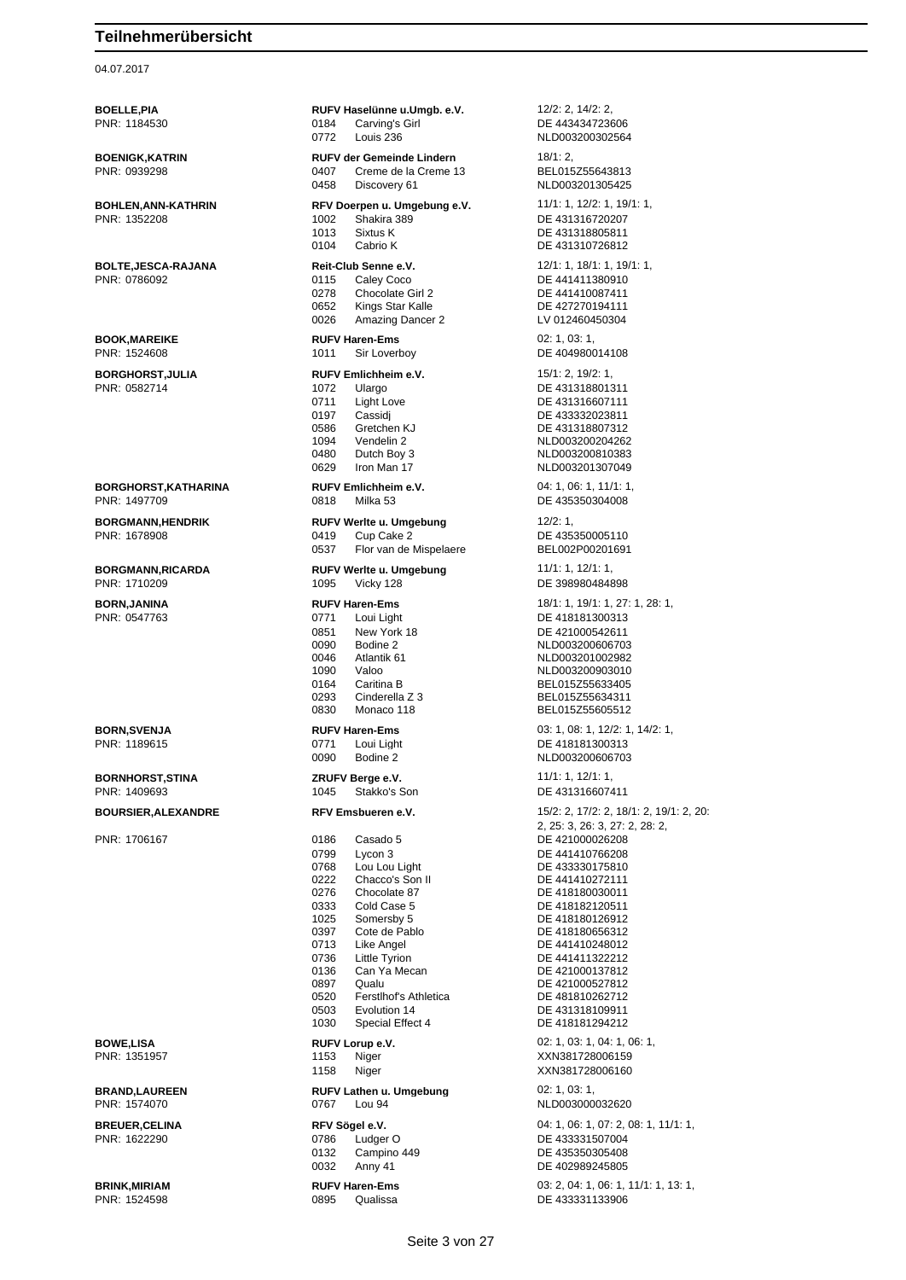### 04.07.2017

**BRINK,MIRIAM RUFV Haren-Ems** 03: 2, 04: 1, 06: 1, 11/1: 1, 13: 1, PNR: 1524598 0895 0 Qualissa **DE 433331133906** 

**BOELLE,PIA RUFV Haselünne u.Umgb. e.V.** 12/2: 2, 14/2: 2, PNR: 1184530 0184 Carving's Girl DE 443434723606 0772 Louis 236 NLD003200302564 **BOENIGK,KATRIN RUFV der Gemeinde Lindern** 18/1: 2,<br>PNR: 0939298 **RUFV der Gemeinde Lindern 19** BEL015Z55643813 Creme de la Creme 13 0458 Discovery 61 NLD003201305425 **BOHLEN,ANN-KATHRIN RFV Doerpen u. Umgebung e.V.** 11/1: 1, 12/2: 1, 19/1: 1,<br>PNR: 1352208 PNR: 1352208 1002 Shakira 389 DE 431316720207 1013 Sixtus K DE 431318805811 0104 Cabrio K DE 431310726812 **BOLTE, JESCA-RAJANA Reit-Club Senne e.V.** 12/1: 1, 18/1: 1, 19/1: 1, 19/1: 1, 19/1: 1, 19/1: 1, 19/1: 1, 19/1: 1, 19/1: 1, 19/1: 1, 19/1: 1, 19/1: 1, 19/1: 1, 19/1: 1, 19/1: 1, 19/1: 1, 19/1: 1, 19/1: 1, 19/1: 1, 1, 1, 0278 Chocolate Girl 2 DE 441410087411<br>0652 Kings Star Kalle DE 427270194111 0652 Kings Star Kalle DE 427270194111 Amazing Dancer 2 **BOOK,MAREIKE RUFV Haren-Ems** 02: 1, 03: 1, 03: 1, 03: 1, 03: 1, 03: 1, 03: 1, 03: 1, 03: 1, 03: 1, 03: 1, 03: 1, 03: 1, 03: 05 **BORGHORST, JULIA RUFV Emlichheim e.V.** 15/1: 2, 19/2: 1, 19/2: 1, 19/2: 1, 19/2: 1, 19/2: 1, 19/2: 1, 19/2: 1, 19/2: 1, 10/2 1072 Ulargo 2010 DE 431318801311<br>19711 Light Love 2010 DE 431316607111 0711 Light Love DE 431316607111<br>0197 Cassidj DE 433332023811 0197 Cassidj DE 433332023811<br>0586 Gretchen K.I DE 431318807312 1094 Vendelin 2 Vendelin 2 VED003200204262<br>0480 VED003200810383 0480 Dutch Boy 3 NLD003200810383 0629 Iron Man 17 NED003201307049 **BORGHORST,KATHARINA RUFV Emlichheim e.V.** 04: 1, 06: 1, 11/1: 1, 0818 Milka 53 DE 435350304008 **BORGMANN,HENDRIK RUFV Werlte u. Umgebung** 12/2: 1, PNR: 1678908 0419 Cup Cake 2 DE 435350005110 0537 Flor van de Mispelaere BEL002P00201691 **BORGMANN,RICARDA RUFV Werlte u. Umgebung** 11/1: 1, 12/1: 1, PNR: 1710209 1095 Vicky 128 DE 398980484898 **BORN,JANINA RUFV Haren-Ems** 18/1: 1, 19/1: 1, 27: 1, 28: 1, 0851 New York 18 DE 421000542611<br>0090 Bodine 2 NLD003200606703 0090 Bodine 2 NLD003200606703 0046 Atlantik 61 NLD003201002982<br>1090 Valoo Valoo NI D003200903010 1090 Valoo NLD003200903010 0164 Caritina B Caritina B Content Caritina B Cincom Caritina B Content BEL015Z55634311 0293 Cinderella Z 3 BEL015Z55634311<br>Monaco 118 BEL015Z55605512 0830 Monaco 118 BEL015Z55605512 **BORN,SVENJA RUFV Haren-Ems** 03: 1, 08: 1, 12/2: 1, 14/2: 1, 199615<br> **PNR: 1189615 RUFV Haren-Ems** 0771 Loui Light **DE 418181300313** 0771 Loui Light DE 418181300313 0090 Bodine 2 NLD003200606703 **BORNHORST,STINA** *ZRUFV Berge e.V.* **11/1: 1, 12/1: 1, 12/1: 1, 12/1: 1, 12/1: 1, 12/1: 1, 12/1: 1, 12/1: 1, 12/1: 1, 12/1: 1, 12/1: 1, 12/1: 1, 12/1: 1, 12/1: 1, 12/1: 1, 12/1: 1, 12/1: 1, 12/1: 1, 12/1: 1, 12/1: 1, 12/1** PNR: 1409693 1045 Stakko's Son DE 431316607411 PNR: 1706167 0186 Casado 5 DE 421000026208 0799 Lycon 3 DE 441410766208<br>0768 Lou Lou Light DE 433330175810 0768 Lou Lou Light DE 433330175810<br>0222 Chacco's Son II DE 441410272111 0222 Chacco's Son II DE 441410272111<br>0276 Chocolate 87 DE 418180030011 0276 Chocolate 87 DE 418180030011<br>0333 Cold Case 5 DE 418182120511 033 Cold Case 5 DE 418182120511<br>Somersby 5 DE 418180126912 1025 Somersby 5 DE 418180126912 0397 Cote de Pablo **DE 418180656312**<br>0713 Like Angel **DE 441410248012** Like Angel **DE 441410248012** 0736 Little Tyrion DE 441411322212 0136 Can Ya Mecan DE 421000137812 0897 Qualu DE 421000527812 0520 Ferstlhof's Athletica<br>
0503 Evolution 14 DE 431318109911 0503 Evolution 14 DE 431318109911<br>1030 Special Effect 4 DE 418181294212 **BOWE,LISA RUFV Lorup e.V. CONSERVING A RUFV Lorup e.V. 02: 1, 03: 1, 04: 1, 06: 1,** PNR: 1351957 1153 Niger XXN381728006159 1158 Niger XXN381728006160 **BRAND,LAUREEN RUFV Lathen u. Umgebung** 02: 1, 03: 1, PNR: 1574070 0767 Lou 94 NLD003000032620 0786 Ludger O DE 433331507004 0132 Campino 449 DE 435350305408

PNR: 0786092 0115 Caley Coco DE 441411380910 DE 404980014108 DF 431318807312 DE 418181300313 **BOURSIER,ALEXANDRE RFV Emsbueren e.V.** 15/2: 2, 17/2: 2, 18/1: 2, 19/1: 2, 20: 2, 25: 3, 26: 3, 27: 2, 28: 2, DE 418181294212 **BREUER, CELINA REV Sögel e.V. REV Source 2014** 1, 06: 1, 07: 2, 08: 1, 11/1: 1, 08: 1, 11/1: 1, 08: 1, 11/1: 1, 08: 1, 11/1: 1, 08: 1, 11/1: 1, 08: 1, 11/1: 1, 08: 1, 07: 2, 08: 1, 11/1: 1, 08: 0, 09: 0, 0786 Ludger O 0032 Anny 41 DE 402989245805

**Qualissa DE 433331133906**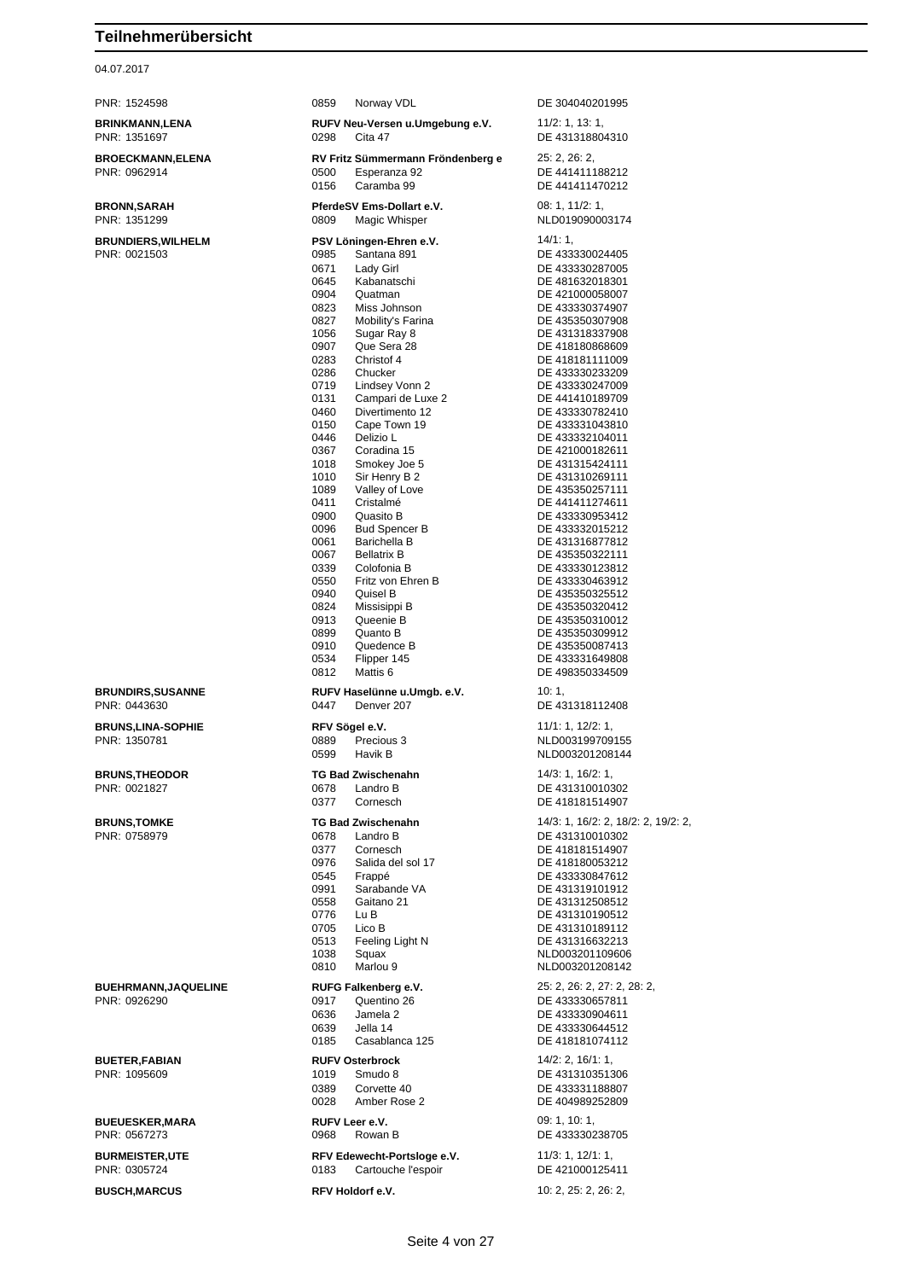## 04.07.2017

| PNR: 1524598                                | 0859<br>Norway VDL                                                                                                                                                                                                                                                                                                                                                                                                                                                                                                                                                                                                                                                                                                                                                                                                                   | DE 304040201995                                                                                                                                                                                                                                                                                                                                                                                                                                                                                                                                                                                                                                            |
|---------------------------------------------|--------------------------------------------------------------------------------------------------------------------------------------------------------------------------------------------------------------------------------------------------------------------------------------------------------------------------------------------------------------------------------------------------------------------------------------------------------------------------------------------------------------------------------------------------------------------------------------------------------------------------------------------------------------------------------------------------------------------------------------------------------------------------------------------------------------------------------------|------------------------------------------------------------------------------------------------------------------------------------------------------------------------------------------------------------------------------------------------------------------------------------------------------------------------------------------------------------------------------------------------------------------------------------------------------------------------------------------------------------------------------------------------------------------------------------------------------------------------------------------------------------|
| <b>BRINKMANN,LENA</b><br>PNR: 1351697       | RUFV Neu-Versen u.Umgebung e.V.<br>0298<br>Cita 47                                                                                                                                                                                                                                                                                                                                                                                                                                                                                                                                                                                                                                                                                                                                                                                   | 11/2: 1, 13: 1,<br>DE 431318804310                                                                                                                                                                                                                                                                                                                                                                                                                                                                                                                                                                                                                         |
| <b>BROECKMANN, ELENA</b><br>PNR: 0962914    | RV Fritz Sümmermann Fröndenberg e<br>Esperanza 92<br>0500<br>0156<br>Caramba 99                                                                                                                                                                                                                                                                                                                                                                                                                                                                                                                                                                                                                                                                                                                                                      | 25: 2, 26: 2,<br>DE 441411188212<br>DE 441411470212                                                                                                                                                                                                                                                                                                                                                                                                                                                                                                                                                                                                        |
| <b>BRONN, SARAH</b><br>PNR: 1351299         | PferdeSV Ems-Dollart e.V.<br>0809<br>Magic Whisper                                                                                                                                                                                                                                                                                                                                                                                                                                                                                                                                                                                                                                                                                                                                                                                   | 08: 1, 11/2: 1,<br>NLD019090003174                                                                                                                                                                                                                                                                                                                                                                                                                                                                                                                                                                                                                         |
| <b>BRUNDIERS, WILHELM</b><br>PNR: 0021503   | PSV Löningen-Ehren e.V.<br>Santana 891<br>0985<br>0671<br>Lady Girl<br>0645<br>Kabanatschi<br>0904<br>Quatman<br>0823<br>Miss Johnson<br>0827<br>Mobility's Farina<br>1056<br>Sugar Ray 8<br>0907<br>Que Sera 28<br>Christof 4<br>0283<br>0286<br>Chucker<br>0719<br>Lindsey Vonn 2<br>Campari de Luxe 2<br>0131<br>0460<br>Divertimento 12<br>0150<br>Cape Town 19<br>0446<br>Delizio L<br>Coradina 15<br>0367<br>1018<br>Smokey Joe 5<br>1010<br>Sir Henry B 2<br>1089<br>Valley of Love<br>0411<br>Cristalmé<br>0900<br>Quasito B<br>0096<br><b>Bud Spencer B</b><br>0061<br>Barichella B<br>0067<br><b>Bellatrix B</b><br>0339<br>Colofonia B<br>0550<br>Fritz von Ehren B<br>0940<br>Quisel B<br>0824<br>Missisippi B<br>0913<br>Queenie B<br>0899<br>Quanto B<br>0910<br>Quedence B<br>0534<br>Flipper 145<br>0812<br>Mattis 6 | 14/1:1,<br>DE 433330024405<br>DE 433330287005<br>DE 481632018301<br>DE 421000058007<br>DE 433330374907<br>DE 435350307908<br>DE 431318337908<br>DE 418180868609<br>DE 418181111009<br>DE 433330233209<br>DE 433330247009<br>DE 441410189709<br>DE 433330782410<br>DE 433331043810<br>DE 433332104011<br>DE 421000182611<br>DE 431315424111<br>DE 431310269111<br>DE 435350257111<br>DE 441411274611<br>DE 433330953412<br>DE 433332015212<br>DE 431316877812<br>DE 435350322111<br>DE 433330123812<br>DE 433330463912<br>DE 435350325512<br>DE 435350320412<br>DE 435350310012<br>DE 435350309912<br>DE 435350087413<br>DE 433331649808<br>DE 498350334509 |
| <b>BRUNDIRS, SUSANNE</b><br>PNR: 0443630    | RUFV Haselünne u.Umgb. e.V.<br>0447<br>Denver 207                                                                                                                                                                                                                                                                                                                                                                                                                                                                                                                                                                                                                                                                                                                                                                                    | 10:1,<br>DE 431318112408                                                                                                                                                                                                                                                                                                                                                                                                                                                                                                                                                                                                                                   |
|                                             |                                                                                                                                                                                                                                                                                                                                                                                                                                                                                                                                                                                                                                                                                                                                                                                                                                      |                                                                                                                                                                                                                                                                                                                                                                                                                                                                                                                                                                                                                                                            |
| <b>BRUNS,LINA-SOPHIE</b><br>PNR: 1350781    | RFV Sögel e.V.<br>0889<br>Precious 3<br>0599<br>Havik B                                                                                                                                                                                                                                                                                                                                                                                                                                                                                                                                                                                                                                                                                                                                                                              | 11/1: 1, 12/2: 1,<br>NLD003199709155<br>NLD003201208144                                                                                                                                                                                                                                                                                                                                                                                                                                                                                                                                                                                                    |
| <b>BRUNS, THEODOR</b><br>PNR: 0021827       | <b>TG Bad Zwischenahn</b><br>0678<br>Landro B<br>0377<br>Cornesch                                                                                                                                                                                                                                                                                                                                                                                                                                                                                                                                                                                                                                                                                                                                                                    | 14/3: 1, 16/2: 1,<br>DE 431310010302<br>DE 418181514907                                                                                                                                                                                                                                                                                                                                                                                                                                                                                                                                                                                                    |
| <b>BRUNS, TOMKE</b><br>PNR: 0758979         | <b>TG Bad Zwischenahn</b><br>0678<br>Landro B<br>0377<br>Cornesch<br>0976<br>Salida del sol 17<br>0545<br>Frappé<br>Sarabande VA<br>0991<br>0558<br>Gaitano 21<br>0776<br>Lu B<br>0705<br>Lico B<br>0513<br>Feeling Light N<br>1038<br>Squax<br>Marlou 9<br>0810                                                                                                                                                                                                                                                                                                                                                                                                                                                                                                                                                                     | 14/3: 1, 16/2: 2, 18/2: 2, 19/2: 2,<br>DE 431310010302<br>DE 418181514907<br>DE 418180053212<br>DE 433330847612<br>DE 431319101912<br>DE 431312508512<br>DE 431310190512<br>DE 431310189112<br>DE 431316632213<br>NLD003201109606<br>NLD003201208142                                                                                                                                                                                                                                                                                                                                                                                                       |
| <b>BUEHRMANN, JAQUELINE</b><br>PNR: 0926290 | RUFG Falkenberg e.V.<br>0917<br>Quentino 26<br>0636<br>Jamela 2<br>0639<br>Jella 14<br>0185<br>Casablanca 125                                                                                                                                                                                                                                                                                                                                                                                                                                                                                                                                                                                                                                                                                                                        | 25: 2, 26: 2, 27: 2, 28: 2,<br>DE 433330657811<br>DE 433330904611<br>DE 433330644512<br>DE 418181074112                                                                                                                                                                                                                                                                                                                                                                                                                                                                                                                                                    |
| <b>BUETER, FABIAN</b><br>PNR: 1095609       | <b>RUFV Osterbrock</b><br>1019<br>Smudo 8<br>0389<br>Corvette 40<br>0028<br>Amber Rose 2                                                                                                                                                                                                                                                                                                                                                                                                                                                                                                                                                                                                                                                                                                                                             | 14/2: 2, 16/1: 1,<br>DE 431310351306<br>DE 433331188807<br>DE 404989252809                                                                                                                                                                                                                                                                                                                                                                                                                                                                                                                                                                                 |
| <b>BUEUESKER, MARA</b><br>PNR: 0567273      | RUFV Leer e.V.<br>0968<br>Rowan B                                                                                                                                                                                                                                                                                                                                                                                                                                                                                                                                                                                                                                                                                                                                                                                                    | 09:1, 10:1,<br>DE 433330238705                                                                                                                                                                                                                                                                                                                                                                                                                                                                                                                                                                                                                             |
| <b>BURMEISTER,UTE</b><br>PNR: 0305724       | RFV Edewecht-Portsloge e.V.<br>0183<br>Cartouche l'espoir                                                                                                                                                                                                                                                                                                                                                                                                                                                                                                                                                                                                                                                                                                                                                                            | 11/3: 1, 12/1: 1,<br>DE 421000125411<br>10: 2, 25: 2, 26: 2,                                                                                                                                                                                                                                                                                                                                                                                                                                                                                                                                                                                               |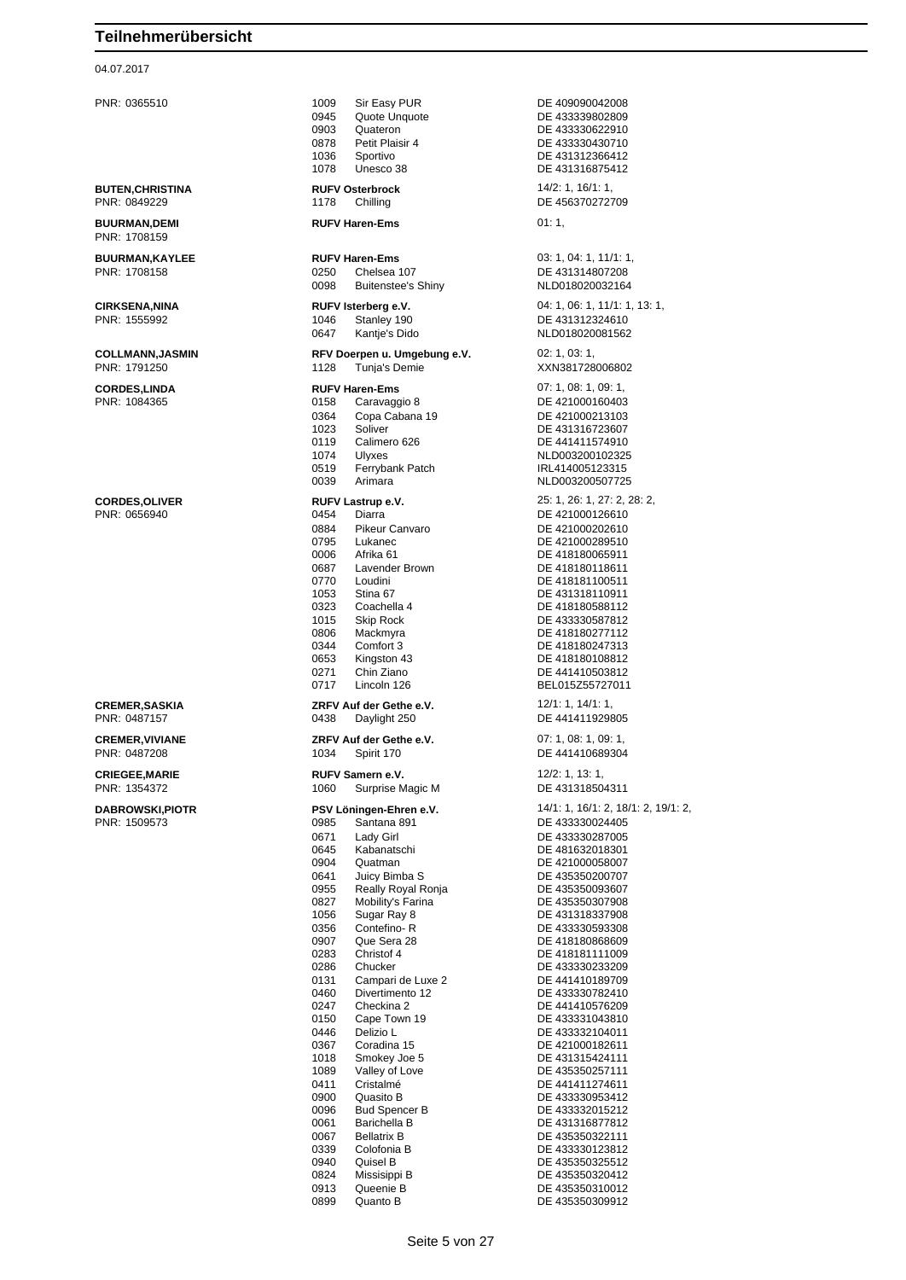### 04.07.2017

PNR: 1708159

| <b>CREMER, SASKIA</b> |
|-----------------------|
| PNR: 0487157          |

PNR: 0365510 1009 Sir Easy PUR DE 409090042008 0945 Quote Unquote **DE 43339802809**<br>0903 Quateron DE 433330622910 0903 Quateron DE 433330622910<br>19878 Petit Plaisir 4 DE 433330430710 1036 Sportivo DE 431312366412 1078 Unesco 38 DE 431316875412 **BUTEN,CHRISTINA RUFV Osterbrock** 14/2: 1, 16/1: 1, 18/1: 1, 18/1: 1, 18/1: 1, 18/1: 1, 18/1: 1, 18/1: 1, 18/1: 1, 18/1: 1, 18/1: 1, 18/1: 1, 1178 Chilling 1178 Chilling DE 456370272709 **BUURMAN,DEMI RUFV Haren-Ems** 01: 1, **BUURMAN,KAYLEE RUFV Haren-Ems** 03: 1, 04: 1, 11/1: 1, PNR: 1708158 0250 Chelsea 107 DE 431314807208 0098 Buitenstee's Shiny **CIRKSENA,NINA RUFV Isterberg e.V.** 04: 1, 06: 1, 11/1: 1, 13: 1, 19: 1, 19: 1, 11/1: 1, 13: 1, 19: 1, 19: 1, 19: 1, 19: 1, 19: 1, 19: 1, 19: 1, 19: 1, 19: 1, 19: 1, 19: 1, 19: 1, 19: 1, 19: 1, 19: 1, 19: 1, 19: 1, 19: 1 1046 Stanley 190 DE 431312324610 0647 Kantie's Dido NLD018020081562 **COLLMANN,JASMIN RFV Doerpen u. Umgebung e.V.** 02: 1, 03: 1,<br>
PNR: 1791250 **PNR: 1791250 REV DOE** 1128 Tunja's Demie **CORDES,LINDA RUFV Haren-Ems** 07: 1, 08: 1, 09: 1, 0158 Caravaggio 8 DE 421000160403 0364 Copa Cabana 19 DE 421000213103 1023 Soliver DE 431316723607 0119 Calimero 626 DE 441411574910 1074 Ulyxes NLD003200102325<br>0519 Ferrybank Patch Number 1RL414005123315 Perrybank Patch IRL414005123315<br>Arimara 1990 - NLD00320050772 0039 Arimara NLD003200507725 **CORDES,OLIVER RUFV Lastrup e.V.** 25: 1, 26: 1, 27: 2, 28: 2, PNR: 0656940 0454 Diarra DE 421000126610<br>0884 Pikeur Canvaro 0684 DE 421000202610 0884 Pikeur Canvaro DE 421000202610 0795 Lukanec DE 421000289510<br>0006 Afrika 61 DE 418180065911 0006 Afrika 61 DE 418180065911<br>0687 Lavender Brown DE 418180118611 0687 Lavender Brown<br>0770 Loudini 0770 Loudini DE 418181100511 1053 Stina 67 DE 431318110911<br>1053 DE 418180588112 0323 Coachella 4 DE 418180588112 1015 Skip Rock DE 433330587812 0806 Mackmyra DE 418180277112 Comfort 3 DE 418180247313<br>
Kingston 43 DE 418180108812 0653 Kingston 43 DE 418180108812 0271 Chin Ziano DE 441410503812 0717 Lincoln 126 Letter BEL015Z55727011 **CREV Auf der Gethe e.V.** 12/1: 1, 14/1: 1, 14/1: 1, 14/38<br>0438 **Davlight 250 DE 441411929805** PNR: 0487157 0438 Daylight 250 DE 441411929805 **CREMER,VIVIANE ZRFV Auf der Gethe e.V.** 07: 1, 08: 1, 09: 1, PNR: 0487208 1034 Spirit 170 DE 441410689304 **CRIEGEE,MARIE RUFV Samern e.V.** 12/2: 1, 13: 1, PNR: 1354372 1060 Surprise Magic M DE 431318504311 **DABROWSKI,PIOTR PSV Löningen-Ehren e.V.** 14/1: 1, 16/1: 2, 18/1: 2, 19/1: 2, PNR: 1509573 0985 Santana 891 DE 433330024405 0671 Lady Girl DE 433330287005 0645 Kabanatschi DE 481632018301 0904 Quatman DE 421000058007 0641 Juicy Bimba S<br>0955 Really Royal Ronia **DE 435350093607** 0955 Really Royal Ronja DE 435350093607 0827 Mobility's Farina DE 435350307908<br>1056 Sugar Ray 8 DE 431318337908 1056 Sugar Ray 8 DE 431318337908 Contefino- R DE 433330593308 0907 Oue Sera 28 DE 418180868609 0283 Christof 4 DE 418181111009 0286 Chucker DE 433330233209 0131 Campari de Luxe 2 DE 441410189709<br>0460 Divertimento 12 DE 433330782410 0247 Checkina 2 DE 441410576209<br>0150 Cape Town 19 DE 433331043810 0150 Cape Town 19 DE 433331043810<br>0446 Delizio L<br>DE 433332104011 0367 Coradina 15 DE 421000182611<br>1018 Smokey Joe 5 DE 431315424111 1018 Smokey Joe 5 DE 431315424111<br>
1018 Valley of Love Contract DE 435350257111 1089 Valley of Love DE 435350257111<br>
0411 Cristalmé DE 441411274611 0411 Cristalmé DE 441411274611<br>19900 Quasito B DE 433330953412 0900 Quasito B DE 433330953412<br>0096 Bud Spencer B DE 433332015212 0096 Bud Spencer B DE 433332015212<br>0061 Barichella B DE 431316877812 0061 Barichella B<br>19967 Bellatrix B DE 435350322111 0067 Bellatrix B DE 435350322111<br>
0339 Colofonia B DE 433330123812 0339 Colofonia B DE 433330123812 099 Quisel B<br>
Missisippi B DE 435350320412 0824 Missisippi B DE 435350320412 0913 Queenie B DE 435350310012

DE 433330430710 XXN381728006802 DE 433330782410 DE 433332104011

0899 Quanto B Quanto B Quanto B Quanto B Quanto B QUE QUE QUE QUE QUE QUE QUE QUE QUE QUE QUE QUE QUE QUE QUE QUE QUE QUE QUE QUE QUE QUE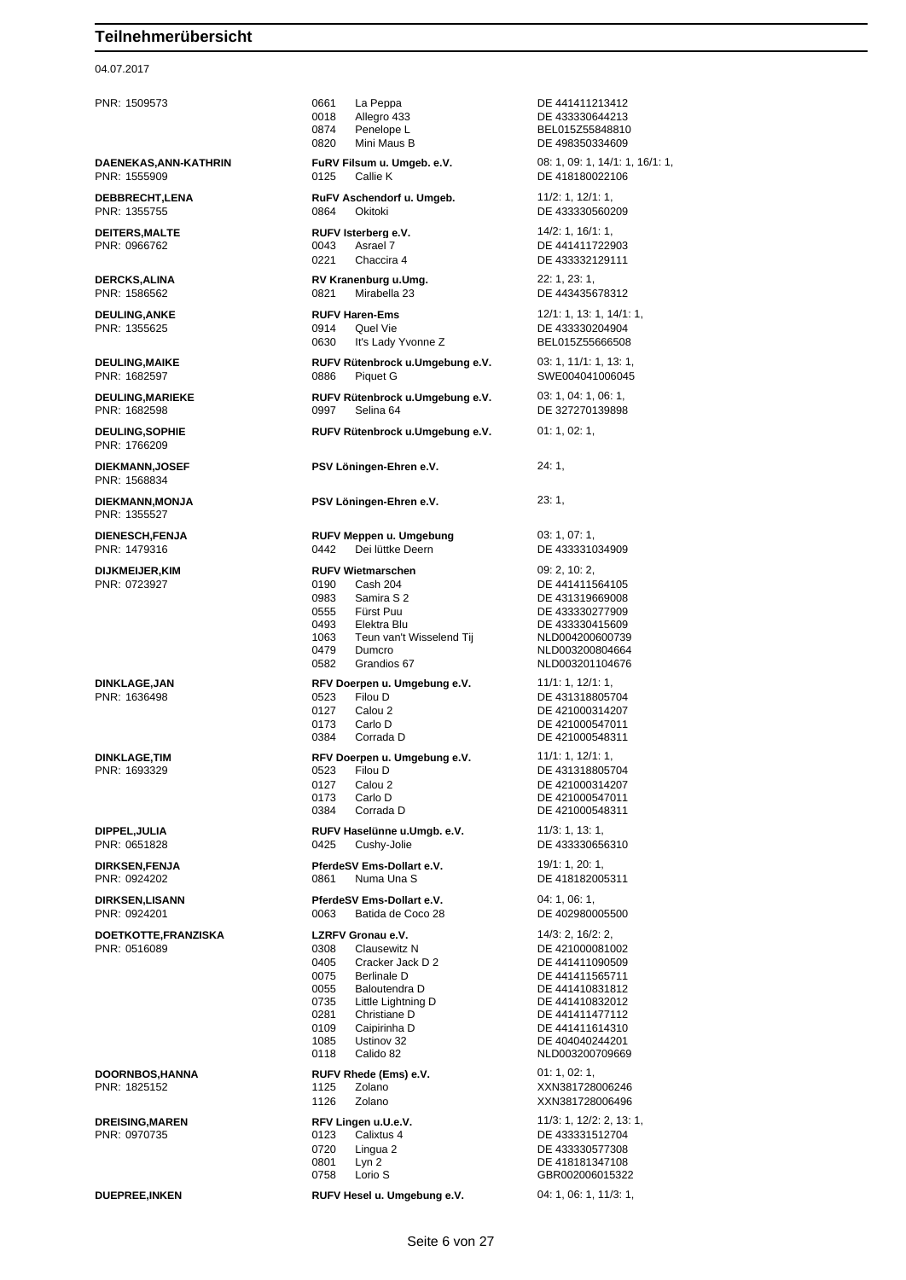## 04.07.2017

| PNR: 1509573                            | 0661<br>La Peppa<br>Allegro 433<br>0018<br>0874<br>Penelope L<br>0820<br>Mini Maus B                                                                                                                                                                  | DE 441411213412<br>DE 433330644213<br>BEL015Z55848810<br>DE 498350334609                                                                                                                     |
|-----------------------------------------|-------------------------------------------------------------------------------------------------------------------------------------------------------------------------------------------------------------------------------------------------------|----------------------------------------------------------------------------------------------------------------------------------------------------------------------------------------------|
| DAENEKAS, ANN-KATHRIN<br>PNR: 1555909   | FuRV Filsum u. Umgeb. e.V.<br>Callie K<br>0125                                                                                                                                                                                                        | 08: 1, 09: 1, 14/1: 1, 16/1: 1,<br>DE 418180022106                                                                                                                                           |
| <b>DEBBRECHT,LENA</b><br>PNR: 1355755   | RuFV Aschendorf u. Umgeb.<br>Okitoki<br>0864                                                                                                                                                                                                          | 11/2: 1, 12/1: 1,<br>DE 433330560209                                                                                                                                                         |
| <b>DEITERS, MALTE</b><br>PNR: 0966762   | RUFV Isterberg e.V.<br>Asrael 7<br>0043<br>0221<br>Chaccira 4                                                                                                                                                                                         | 14/2: 1, 16/1: 1,<br>DE 441411722903<br>DE 433332129111                                                                                                                                      |
| <b>DERCKS, ALINA</b><br>PNR: 1586562    | RV Kranenburg u.Umg.<br>0821<br>Mirabella 23                                                                                                                                                                                                          | 22: 1, 23: 1,<br>DE 443435678312                                                                                                                                                             |
| <b>DEULING, ANKE</b><br>PNR: 1355625    | <b>RUFV Haren-Ems</b><br>0914<br>Quel Vie<br>0630<br>It's Lady Yvonne Z                                                                                                                                                                               | 12/1: 1, 13: 1, 14/1: 1,<br>DE 433330204904<br>BEL015Z55666508                                                                                                                               |
| <b>DEULING, MAIKE</b><br>PNR: 1682597   | RUFV Rütenbrock u.Umgebung e.V.<br>0886<br>Piquet G                                                                                                                                                                                                   | 03: 1, 11/1: 1, 13: 1,<br>SWE004041006045                                                                                                                                                    |
| <b>DEULING, MARIEKE</b><br>PNR: 1682598 | RUFV Rütenbrock u.Umgebung e.V.<br>Selina 64<br>0997                                                                                                                                                                                                  | 03: 1, 04: 1, 06: 1,<br>DE 327270139898                                                                                                                                                      |
| <b>DEULING, SOPHIE</b><br>PNR: 1766209  | RUFV Rütenbrock u.Umgebung e.V.                                                                                                                                                                                                                       | 01: 1, 02: 1,                                                                                                                                                                                |
| <b>DIEKMANN,JOSEF</b><br>PNR: 1568834   | PSV Löningen-Ehren e.V.                                                                                                                                                                                                                               | 24: 1,                                                                                                                                                                                       |
| DIEKMANN, MONJA<br>PNR: 1355527         | PSV Löningen-Ehren e.V.                                                                                                                                                                                                                               | 23:1,                                                                                                                                                                                        |
| <b>DIENESCH,FENJA</b><br>PNR: 1479316   | RUFV Meppen u. Umgebung<br>0442<br>Dei lüttke Deern                                                                                                                                                                                                   | 03: 1, 07: 1,<br>DE 433331034909                                                                                                                                                             |
| <b>DIJKMEIJER,KIM</b><br>PNR: 0723927   | <b>RUFV Wietmarschen</b><br>0190<br>Cash 204<br>0983<br>Samira S 2<br>0555<br>Fürst Puu<br>0493<br>Elektra Blu<br>Teun van't Wisselend Tij<br>1063<br>0479<br>Dumcro<br>0582<br>Grandios 67                                                           | 09: 2, 10: 2,<br>DE 441411564105<br>DE 431319669008<br>DE 433330277909<br>DE 433330415609<br>NLD004200600739<br>NLD003200804664<br>NLD003201104676                                           |
| <b>DINKLAGE, JAN</b><br>PNR: 1636498    | RFV Doerpen u. Umgebung e.V.<br>0523<br>Filou D<br>0127<br>Calou 2<br>Carlo D<br>0173<br>Corrada D<br>0384                                                                                                                                            | 11/1: 1, 12/1: 1,<br>DE 431318805704<br>DE 421000314207<br>DE 421000547011<br>DE 421000548311                                                                                                |
| <b>DINKLAGE,TIM</b><br>PNR: 1693329     | RFV Doerpen u. Umgebung e.V.<br>0523 Filou D<br>0127<br>Calou 2<br>0173<br>Carlo D<br>Corrada D<br>0384                                                                                                                                               | 11/1: 1, 12/1: 1,<br>DE 431318805704<br>DE 421000314207<br>DE 421000547011<br>DE 421000548311                                                                                                |
| DIPPEL, JULIA<br>PNR: 0651828           | RUFV Haselünne u.Umgb. e.V.<br>0425<br>Cushy-Jolie                                                                                                                                                                                                    | 11/3: 1, 13: 1,<br>DE 433330656310                                                                                                                                                           |
| <b>DIRKSEN,FENJA</b><br>PNR: 0924202    | PferdeSV Ems-Dollart e.V.<br>0861<br>Numa Una S                                                                                                                                                                                                       | 19/1:1, 20:1,<br>DE 418182005311                                                                                                                                                             |
| <b>DIRKSEN,LISANN</b><br>PNR: 0924201   | PferdeSV Ems-Dollart e.V.<br>0063<br>Batida de Coco 28                                                                                                                                                                                                | 04: 1, 06: 1,<br>DE 402980005500                                                                                                                                                             |
| DOETKOTTE,FRANZISKA<br>PNR: 0516089     | LZRFV Gronau e.V.<br>0308<br>Clausewitz N<br>0405<br>Cracker Jack D 2<br>0075<br><b>Berlinale D</b><br>0055<br>Baloutendra D<br>0735<br>Little Lightning D<br>0281<br>Christiane D<br>0109<br>Caipirinha D<br>1085<br>Ustinov 32<br>0118<br>Calido 82 | 14/3: 2, 16/2: 2,<br>DE 421000081002<br>DE 441411090509<br>DE 441411565711<br>DE 441410831812<br>DE 441410832012<br>DE 441411477112<br>DE 441411614310<br>DE 404040244201<br>NLD003200709669 |
| DOORNBOS, HANNA<br>PNR: 1825152         | RUFV Rhede (Ems) e.V.<br>1125<br>Zolano<br>1126<br>Zolano                                                                                                                                                                                             | 01: 1, 02: 1,<br>XXN381728006246<br>XXN381728006496                                                                                                                                          |
| <b>DREISING, MAREN</b><br>PNR: 0970735  | RFV Lingen u.U.e.V.<br>0123<br>Calixtus 4<br>0720<br>Lingua 2<br>Lyn <sub>2</sub><br>0801<br>0758<br>Lorio S                                                                                                                                          | 11/3: 1, 12/2: 2, 13: 1,<br>DE 433331512704<br>DE 433330577308<br>DE 418181347108<br>GBR002006015322                                                                                         |
| <b>DUEPREE, INKEN</b>                   | RUFV Hesel u. Umgebung e.V.                                                                                                                                                                                                                           | 04: 1, 06: 1, 11/3: 1,                                                                                                                                                                       |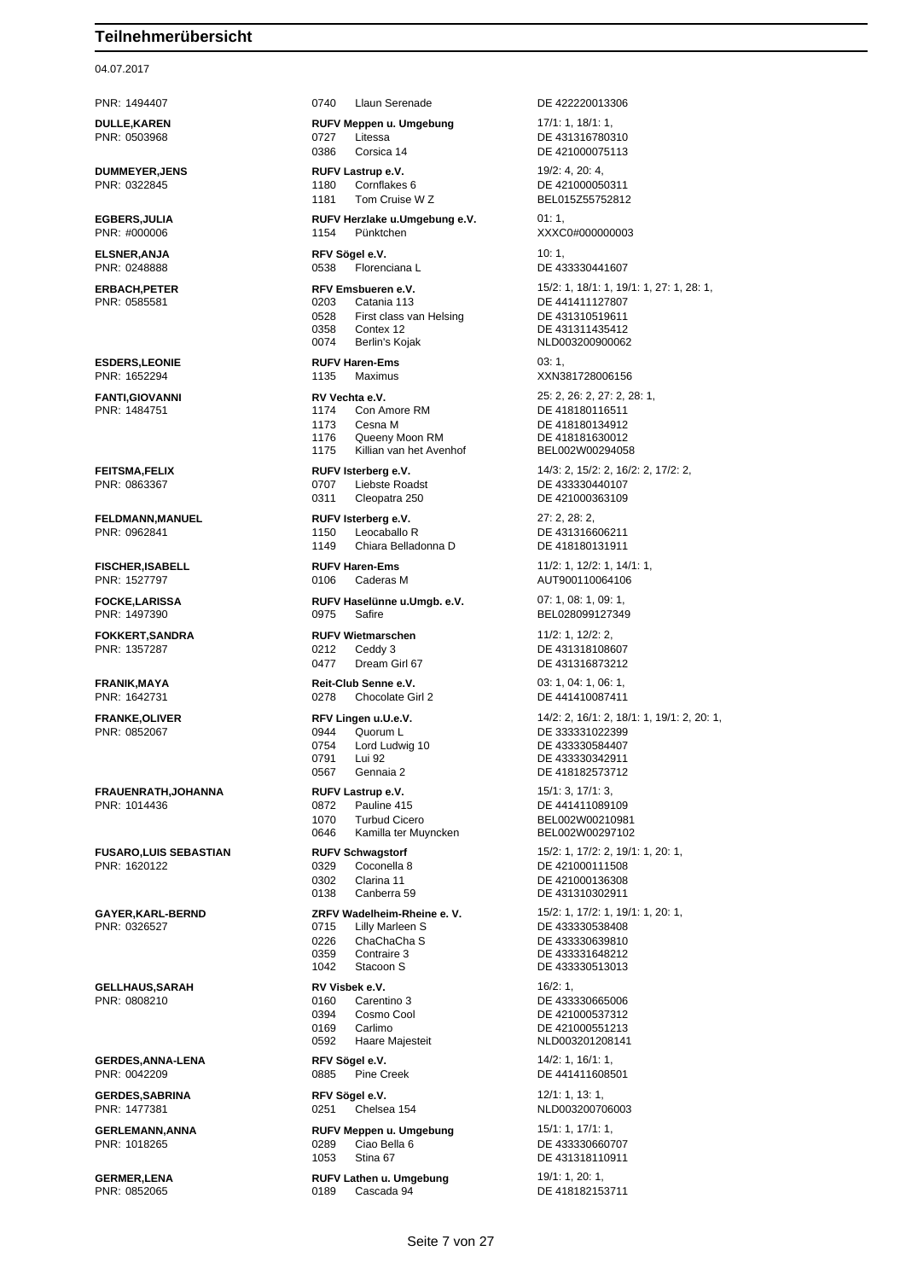04.07.2017

**GERDES,ANNA-LENA RFV Sögel e.V.** 14/2: 1, 16/1: 1, 16/1: 1, 16/1: 1, 16/1: 1, 16/1: 1, 16/1: 1, 16/1: 1, 16/1: 1, 16/1: 1, 16/1: 1, 16/1: 1, 16/1: 1, 16/1: 1, 16/1: 1, 16/1: 1, 16/1: 1, 16/1: 1, 16/1: 1, 16/1: 1, 16/1:

PNR: 1494407 0740 Llaun Serenade DE 422220013306 **DULLE,KAREN RUFV Meppen u. Umgebung** 17/1: 1, 18/1: 1, PNR: 0503968 0727 Litessa DE 431316780310 0386 Corsica 14 DE 421000075113 **DUMMEYER, JENS RUFV Lastrup e.V. RUFV 19/2: 4, 20: 4, 20: 4, 20: 4, 20: 4, 20: 4, 20: 4, 20: 4, 20: 4, 20: 4, 20: 4, 20: 4, 20: 4, 20: 4, 20: 4, 20: 4, 20: 4, 20: 4, 20: 4, 20: 4, 20: 4, 20: 4, 20: 4, 20: 4, 20: 4, 20** PNR: 0322845 1180 Cornflakes 6 DE 421000050311 1181 Tom Cruise W Z BEL015Z55752812 **EGBERS,JULIA RUFV Herzlake u.Umgebung e.V.** 01: 1, PNR: #000006 1154 Pünktchen XXXC0#000000003 **ELSNER, ANJA RFV Sögel e.V. 10: 1,** PNR: 0248888 0538 Florenciana L DE 433330441607 0528 First class van Helsing DE 431310519611 0358 Contex 12 DE 431311435412 **ESDERS,LEONIE RUFV Haren-Ems** 03: 1, **FANTI,GIOVANNI RV Vechta e.V.** 25: 2, 26: 2, 27: 2, 28: 1,<br>
PNR: 1484751 **174** Con Amore RM **DE 418180116511** 1174 Con Amore RM DE 418180116511 1173 Cesna M DE 418180134912 1176 Queeny Moon RM<br>1175 Killian van het Avenhof BEL002W00294058 Killian van het Avenhof **FEITSMA,FELIX RUFV Isterberg e.V.** 14/3: 2, 15/2: 2, 16/2: 2, 17/2: 2, 18/2: 2, 17/2: 2, 18/8<br> **RUFV Isterberg e.V.** 14/3: 2, 17/2: 2, 18/2: 2, 17/2: 2, 18/2: 2, 17/2: 2, 17/2: 2, 17/2: 2, 17/2: 2, 17/2: 2, 17/2: 2, 17/ 0707 Liebste Roadst DE 433330440107 0311 Cleopatra 250 DE 421000363109 **FELDMANN,MANUEL RUFV Isterberg e.V.** 27: 2, 28: 2, PNR: 0962841 1150 Leocaballo R DE 431316606211 1149 Chiara Belladonna D DE 418180131911 **FISCHER,ISABELL RUFV Haren-Ems** 11/2: 1, 12/2: 1, 14/1: 1, PNR: 1527797 0106 Caderas M AUT900110064106 **FOCKE,LARISSA RUFV Haselünne u.Umgb. e.V.** 07: 1, 08: 1, 09: 1, **FOKKERT,SANDRA RUFV Wietmarschen** 11/2: 1, 12/2: 2, 0212 Ceddy 3 DE 431318108607 0477 Dream Girl 67 DE 431316873212 **FRANIK,MAYA Reit-Club Senne e.V.** 03: 1, 04: 1, 06: 1, 06: 1, 08: 1, 08: 1, 08: 1, 08: 1, 08: 1, 08: 1, 08: 1, 08: 1, 08: 1, 08: 1, 08: 0278 Chocolate Girl 2 0278 Chocolate Girl 2 DE 441410087411 PNR: 0852067 0944 Quorum L DE 333331022399 0754 Lord Ludwig 10 DE 433330584407<br>0791 Lui 92 DE 433330342911 Lui 92 DE 433330342911 0567 Gennaia 2 DE 418182573712 **FRAUENRATH,JOHANNA RUFV Lastrup e.V.** 15/1: 3, 17/1: 3, 1070 Turbud Cicero BEL002W00210981<br>0646 Kamilla ter Muyncken BEL002W00297102 Kamilla ter Muyncken **FUSARO,LUIS SEBASTIAN RUFV Schwagstorf** 15/2: 1, 17/2: 2, 19/1: 1, 20: 1, PNR: 1620122 0329 Coconella 8 DE 421000111508<br>0302 Clarina 11 DE 421000136308 0302 Clarina 11 DE 421000136308 **GAYER,KARL-BERND ZRFV Wadelheim-Rheine e. V.** 15/2: 1, 17/2: 1, 19/1: 1, 20: 1, 0226 ChaChaCha S DE 433330639810 0359 Contraire 3 Contraire 3 CONNE 1042 Stacoon S DE 433330513013 **GELLHAUS,SARAH RV Visbek e.V.** 16/2: 1, PNR: 0808210 0160 Carentino 3 DE 433330665006 0394 Cosmo Cool DE 421000537312 0169 Carlimo DE 421000551213 Haare Majesteit

**GERDES,SABRINA RFV Sögel e.V.** 12/1: 1, 13: 1,

**GERLEMANN,ANNA RUFV Meppen u. Umgebung** 15/1: 1, 17/1: 1, 17/1: 1, 18/289 Ciao Bella 6 **DE** 4333306607 1053 Stina 67 DE 431318110911

**GERMER,LENA RUFV Lathen u. Umgebung** 19/1: 1, 20: 1,<br>
PNR: 0852065 **PNR: 0852065** 189 0189 Cascada 94 **DE 41818215** 0189 Cascada 94 DE 418182153711

**ERBACH, PETER REXEMBLE REV Emsbueren e.V.** 15/2: 1, 18/1: 1, 19/1: 1, 27: 1, 28: 1, 19/1: 1, 27: 1, 28: 1, 19/1: 1, 27: 1, 28: 1, 19/1: 1, 27: 1, 28: 1, 19/1: 1, 27: 1, 28: 1, 19/1: 1, 27: 1, 28: 1, 19/1: 1, 27: 1, 28: DE 441411127807 NLD003200900062 PNR: 1652294 1135 Maximus XXN381728006156 BEL028099127349 **FRANKE,OLIVER RFV Lingen u.U.e.V.** 14/2: 2, 16/1: 2, 18/1: 1, 19/1: 2, 20: 1, PNR: 1014436 0872 Pauline 415 DE 441411089109 DE 431310302911 DE 433330538408 DE 441411608501 PNR: 1477381 0251 Chelsea 154 NLD003200706003 DE 433330660707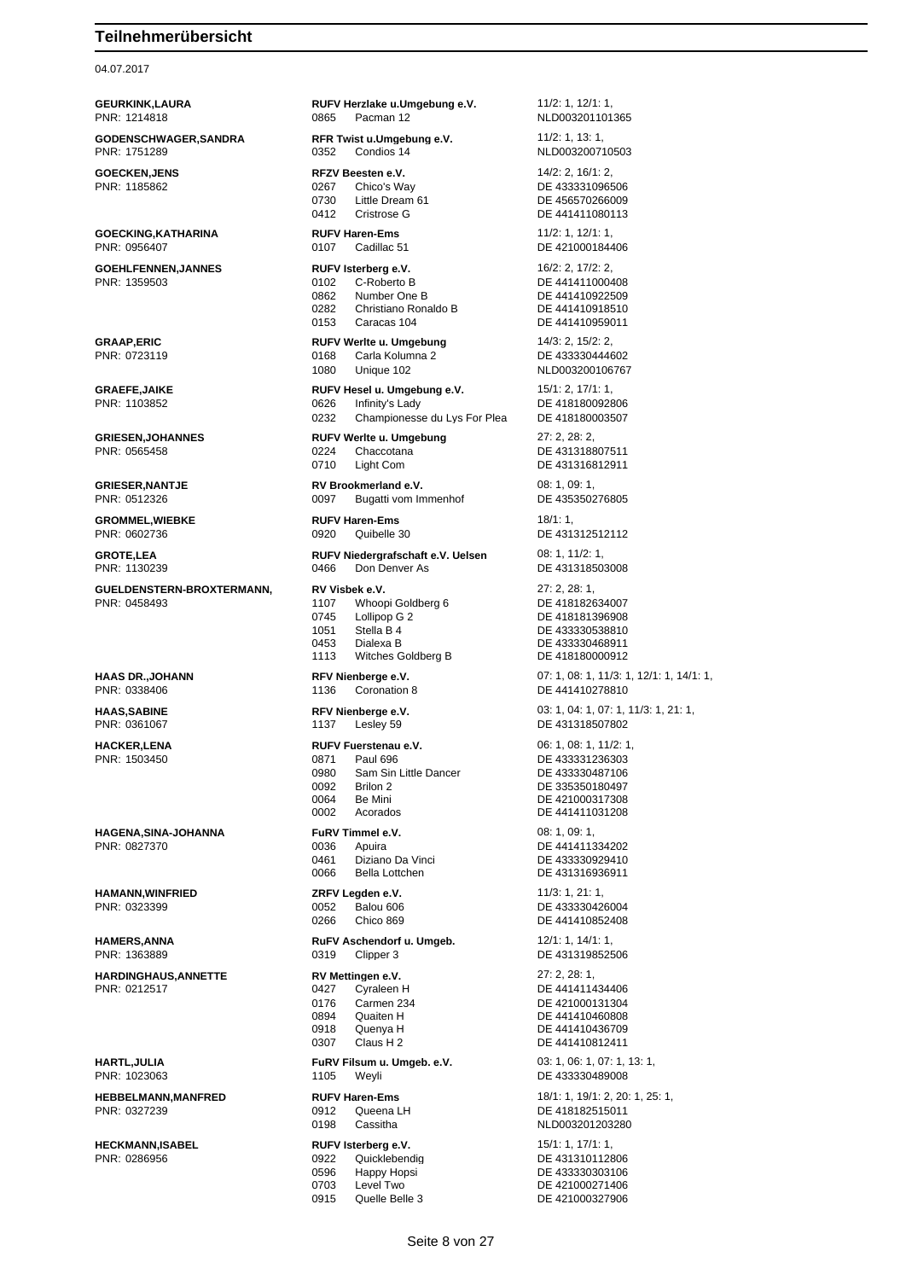04.07.2017

**GEURKINK,LAURA RUFV Herzlake u.Umgebung e.V.** 11/2: 1, 12/1: 1, PNR: 1214818 0865 Pacman 12 NLD003201101365 **GODENSCHWAGER,SANDRA RFR Twist u.Umgebung e.V.** 11/2: 1, 13: 1, PNR: 1751289 0352 Condios 14 NLD003200710503 **GOECKEN,JENS RFZV Beesten e.V.** 14/2: 2, 16/1: 2, 16/1: 2, 16/1: 2, 16/1: 2, 16/1: 2, 16/1: 2, 16/1: 2, PNR: 1185862 0730 Little Dream 61 DE 456570266009<br>0412 Cristrose G DE 441411080113 0412 Cristrose G DE 441411080113 **GOECKING,KATHARINA RUFV Haren-Ems** 11/2: 1, 12/1: 1, 0107 Cadillac 51 DE 421000184406 **GOEHLFENNEN,JANNES RUFV Isterberg e.V.** 16/2: 2, 17/2: 2, PNR: 1359503 0102 C-Roberto B DE 441411000408 0862 Number One B DE 441410922509<br>0282 Christiano Ronaldo B DE 441410918510 0282 Christiano Ronaldo B DE 441410918510 0153 Caracas 104 Quantity DE 441410959011 **GRAAP,ERIC RUFV Werlte u. Umgebung** 14/3: 2, 15/2: 2, 0168 Carla Kolumna 2 DE 433330444602 1080 Unique 102 NLD003200106767 **GRAEFE,JAIKE RUFV Hesel u. Umgebung e.V.** 15/1: 2, 17/1: 1,<br>PNR: 1103852 **15/2: 2006 Infinity's Lady DE 4181800928** 0626 Infinity's Lady DE 418180092806 0232 Championesse du Lys For Plea DE 418180003507 **GRIESEN,JOHANNES RUFV Werlte u. Umgebung** 27: 2, 28: 2, 28: 2, 28: 2, 28: 2, 28: 2, 28: 2, 28: 2, 28: 2, 28: 2, 28: 2, 28: 2, 28: 2, 28: 2, 28: 2, 28: 2, 28: 2, 28: 2, 28: 2, 28: 2, 28: 2, 28: 2, 28: 2, 28: 2, 28: 2, 29 0710 Light Com DE 431316812911 **GRIESER, NANTJE RV Brookmerland e.V.** 08: 1, 09: 1, 09: 1, 09: 1, 09: 1, 09: 1, 09: 1, 09: 1, 09: 1, 09: 1, 09: 1, 09: 1, 09: 1, 09: 1, 09: 0097 Bugatti vom Immenhof 0097 Bugatti vom Immenhof DE 435350276805 **GROMMEL,WIEBKE RUFV Haren-Ems** 18/1: 1, **GROTE,LEA RUFV Niedergrafschaft e.V. Uelsen** 08: 1, 11/2: 1, PNR: 1130239 0466 Don Denver As DE 431318503008 **GUELDENSTERN-BROXTERMANN, RV Visbek e.V.** 27: 2, 28: 1,<br>PNR: 0458493 **PNR: 0458493** 27: 2, 28: 1, 2007 2107 Whoopi Goldberg 6 1107 Whoopi Goldberg 6 0745 Lollipop G 2 DE 418181396908 0453 Dialexa B DE 433330468911 1113 Witches Goldberg B DE 418180000912 **HAAS DR.,JOHANN RFV Nienberge e.V.** 07: 1, 08: 1, 11/3: 1, 12/1: 1, 14/1: 1, PNR: 0338406 1136 Coronation 8 DE 441410278810 **HAAS,SABINE RFV Nienberge e.V.** 03: 1, 04: 1, 07: 1, 11/3: 1, 21: 1, PNR: 0361067 1137 Lesley 59 DE 431318507802 **HACKER,LENA RUFV Fuerstenau e.V.** 06: 1, 08: 1, 11/2: 1, 08: 1, 11/2: 1, 08: 1, 11/2: 1, 08: 1, 11/2: 1, 08: 1, 11/2: 1, 08: 1, 08: 1, 08: 1, 08: 1, 08: 1, 08: 1, 08: 1, 08: 0, 0871 **Paul 696 DE 433331236303** 0871 Paul 696 DE 433331236303 0980 Sam Sin Little Dancer DE 433330487106<br>0092 Brilon 2 0092 Brilon 2 DE 335350180497<br>0064 Be Mini DE 421000317308 0002 Acorados DE 441411031208 **HAGENA,SINA-JOHANNA FuRV Timmel e.V.** 08: 1, 09: 1, 09: 1, 09: 1, 09: 1, 09: 1, 09: 1, 09: 1, 09: 1, 09: 1, 09: 1, 09: 1, 09: 1, 09: 1, 09: 1, 09: 1, 09: 1, 09: 1, 09: 1, 09: 1, 09: 1, 09: 1, 09: 1, 09: 1, 09: 1, 09: 1, Apuira **DE 441411334202** 0461 Diziano Da Vinci DE 433330929410 0066 Bella Lottchen DE 431316936911 **HAMANN,WINFRIED ZRFV Legden e.V.** 11/3: 1, 21: 1, PNR: 0323399 0052 Balou 606 DE 433330426004 0266 Chico 869 DE 441410852408 **HAMERS,ANNA RuFV Aschendorf u. Umgeb.** 12/1: 1, 14/1: 1, PNR: 1363889 0319 0319 Clipper 3 DE 431319852506 **HARDINGHAUS,ANNETTE RV Mettingen e.V.** 27: 2, 28: 1, PNR: 0212517 0427 Cyraleen H DE 441411434406 0176 Carmen 234 DE 421000131304<br>0894 Quaiten H DE 441410460808 0894 Quaiten H DE 441410460808<br>0918 Quenva H DE 441410436709 Quenya H DE 441410436709<br>Claus H 2 DE 441410812411 0307 Claus H 2 DE 441410812411 **HARTL,JULIA FURV Filsum u. Umgeb. e.V.** 03: 1, 06: 1, 07: 1, 13: 1, 08: 1, 07: 1, 13: 1, 07: 1, 13: 1, 07: 1, 13: 1, 07: 1, 13: 1, 07: 1, 13: 1, 07: 1, 13: 1, 07: 1, 13: 1, 07: 1, 13: 1, 07: 1, 13: 1, 07: 1, 07: 1, 07: 1105 Weyli DE 433330489008 **HEBBELMANN,MANFRED RUFV Haren-Ems** 18/1: 1, 19/1: 2, 20: 1, 25: 1, 0198 Cassitha NLD003201203280 **HECKMANN,ISABEL RUFV Isterberg e.V.** 15/1: 1, 17/1: 1, PNR: 0286956 0922 Quicklebendig DE 431310112806 0596 Happy Hopsi DE 433330303106

DE 433331096506 DE 431318807511 DE 431312512112 DE 433330538810 DE 421000317308 DE 418182515011 0703 Level Two **DE 421000271406**<br>0915 Quelle Belle 3 DE 421000327906 0915 Quelle Belle 3 DE 421000327906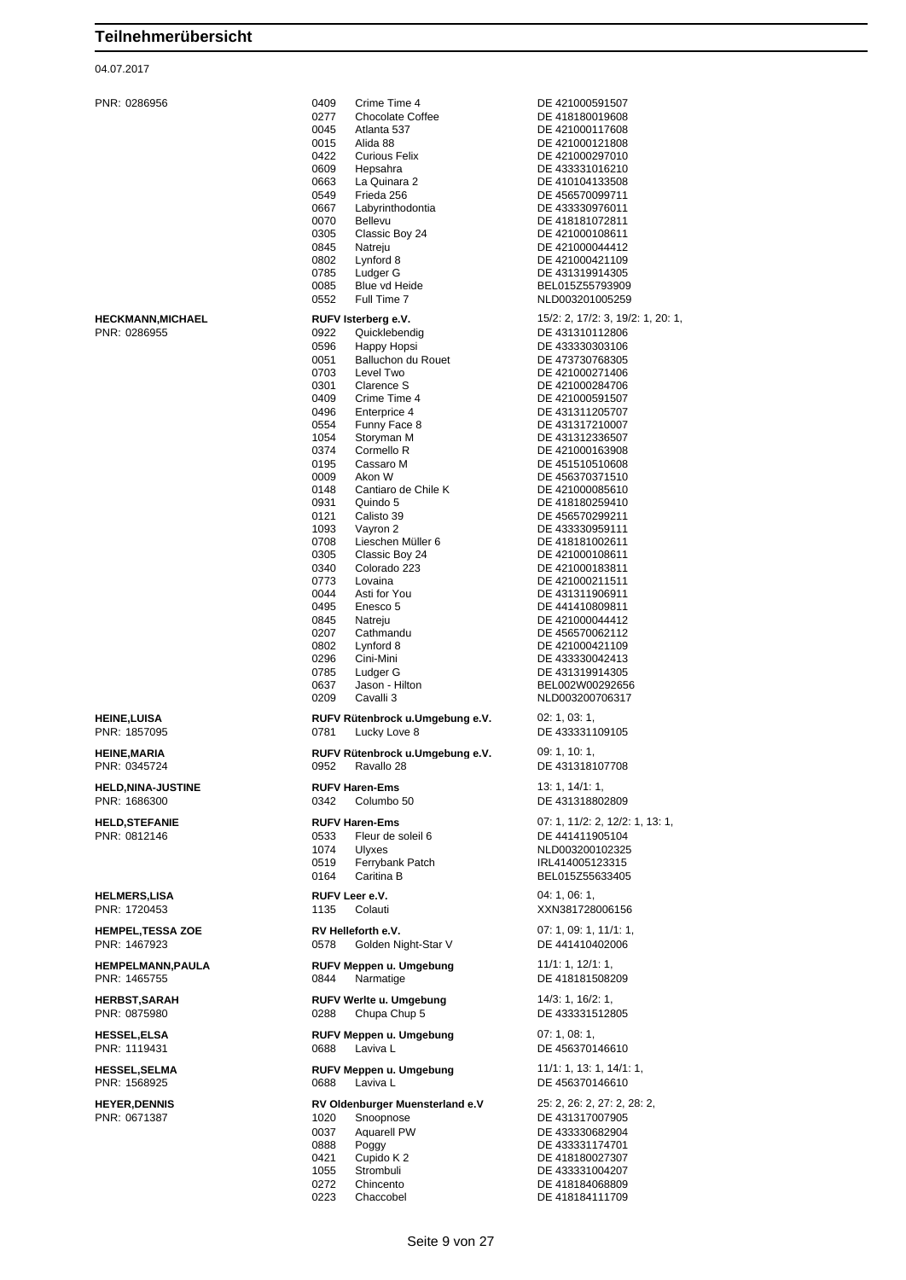### 04.07.2017

| HECKMANN,MICHAEL |
|------------------|
| DNIR 0286055     |

| -------------<br>PNR: 1857095 |  |
|-------------------------------|--|
| <b>HEINE.MARIA</b>            |  |

PNR: 0286956 0409 Crime Time 4 DE 421000591507 0277 Chocolate Coffee DE 418180019608 0045 Atlanta 537 DE 421000117608<br>1991 - DE 421000121808 Alida 88 **DE 421000121808**<br>Curious Felix **DE 421000297010** 0422 Curious Felix DE 421000297010 0609 Hepsahra DE 433331016210 0663 La Quinara 2 DE 410104133508 0549 Frieda 256 DE 456570099711 0667 Labyrinthodontia DE 433330976011 DE 418181072811 0305 Classic Boy 24 DE 421000108611 0845 Natreju DE 421000044412 0802 Lynford 8 DE 421000421109<br>0785 Ludger G DE 431319914305 0785 Ludger G DE 431319914305 BEL015Z55793909 0552 Full Time 7 NLD003201005259 **RUFV Isterberg e.V.** 15/2: 2, 17/2: 3, 19/2: 1, 20: 1, PNR: 0286955 0922 Quicklebendig DE 431310112806 0596 Happy Hopsi DE 433330303106<br>0051 Balluchon du Rouet DE 473730768305 0051 Balluchon du Rouet<br>0703 Level Two 0703 Level Two DE 421000271406<br>0301 Clarence S DE 421000284706 Clarence S DE 421000284706 0409 Crime Time 4 DE 421000591507 0496 Enterprice 4 DE 431311205707 0554 Funny Face 8 DE 431317210007 1054 Storyman M DE 431312336507 DE 421000163908 0195 Cassaro M DE 451510510608 0009 Akon W<br>0148 Cantiaro de Chile K DE 421000085610 0148 Cantiaro de Chile K<br>0931 Quindo 5 0931 Quindo 5 DE 418180259410<br>0121 Calisto 39 DE 456570299211 DE 456570299211 1093 Vayron 2 DE 433330959111 0708 Lieschen Müller 6<br>0305 Classic Boy 24 0305 Classic Boy 24 DE 421000108611<br>0340 Colorado 223 DE 421000183811 0340 Colorado 223 DE 421000183811<br>0773 Lovaina DE 421000211511 0773 Lovaina DE 421000211511 DE 431311906911 0495 Enesco 5 DE 441410809811 0845 Natreju DE 421000044412 0207 Cathmandu DE 456570062112<br>0802 Lynford 8 DE 421000421109 Lynford 8 DE 421000421109<br>Cini-Mini DE 433330042413 0296 Cini-Mini 2008 DE 433330042413 0785 Ludger G DE 431319914305 0637 Jason - Hilton BEL002W00292656 0209 Cavalli 3 NLD003200706317 **HEINE,LUISA RUFV Rütenbrock u.Umgebung e.V.** 02: 1, 03: 1, 0781 Lucky Love 8 DE 433331109105 **HEINE,MARIA RUFV Rütenbrock u.Umgebung e.V.** 09: 1, 10: 1, 0952 Ravallo 28 DE 431318107708 **HELD,NINA-JUSTINE RUFV Haren-Ems** 13: 1, 14/1: 1, PNR: 1686300 0342 Columbo 50 DE 431318802809 **HELD,STEFANIE RUFV Haren-Ems RUFV Haren-Ems** 07: 1, 11/2: 2, 12/2: 1, 13: 1, 11/2: 2, 12/2: 1, 13: 1, 19: 1, 19: 1, 19: 1, 19: 1, 19: 1, 19: 1, 19: 1, 19: 1, 19: 1, 19: 1, 19: 1, 19: 1, 19: 1, 19: 1, 19: 1, 19: 1, 19: DE 441411905104 1074 Ulyxes **NLD003200102325**<br>0519 Ferrybank Patch **NCLALL** IRL414005123315 0519 Ferrybank Patch IRL414005123315<br>0164 Caritina B BEL015Z55633405 BEL015Z55633405 **HELMERS,LISA RUFV Leer e.V. CONSISTENT 1135 RUFV Leer e.V.** 04: 1, 06: 1, 06: 1, 06: 1, 06: 1, 06: 1, 06: 1, 06: 1, 06: 1, 06: 1, 06: 1, 06: 1, 06: 1, 06: 1, 06: 1, 06: 1, 06: 1, 06: 1, 06: 1, 06: 1, 06: 1, 06: 1, 0 1135 Colauti XXN381728006156 **HEMPEL,TESSA ZOE RV Helleforth e.V.** 07: 1, 09: 1, 11/1: 1, 0578 Golden Night-Star V **HEMPELMANN,PAULA RUFV Meppen u. Umgebung** 11/1: 1, 12/1: 1, PNR: 1465755 0844 Narmatige DE 418181508209 **HERBST,SARAH RUFV Werlte u. Umgebung** 14/3: 1, 16/2: 1, PNR: 0875980 0288 Chupa Chup 5 DE 433331512805 **HESSEL,ELSA RUFV Meppen u. Umgebung 07: 1, 08: 1,** PNR: 1119431 0688 Laviva L DE 456370146610 **HESSEL,SELMA RUFV Meppen u. Umgebung** 11/1: 1, 13: 1, 14/1: 1, PNR: 1568925 0688 Laviva L DE 456370146610 **HEYER, DENNIS RV Oldenburger Muensterland e.V** 25: 2, 26: 2, 27: 2, 28: 2, 28: 2, 28: 2, 28: 2, 28: 2, 28: 2, 28: 2, 28: 2, 28: 2, 28: 2, 28: 2, 28: 2, 28: 2, 28: 2, 28: 2, 28: 2, 28: 2, 28: 2, 28: 2, 28: 2, 28: 2, 28: 1020 Snoopnose DE 431317007905 0037 Aquarell PW DE 433330682904<br>0888 Poggy De DE 433331174701 0888 Poggy DE 433331174701 0421 Cupido K 2 DE 418180027307<br>1055 Strombuli DF 433331004207 1055 Strombuli DE 433331004207 0272 Chincento DE 418184068809

0223 Chaccobel DE 418184111709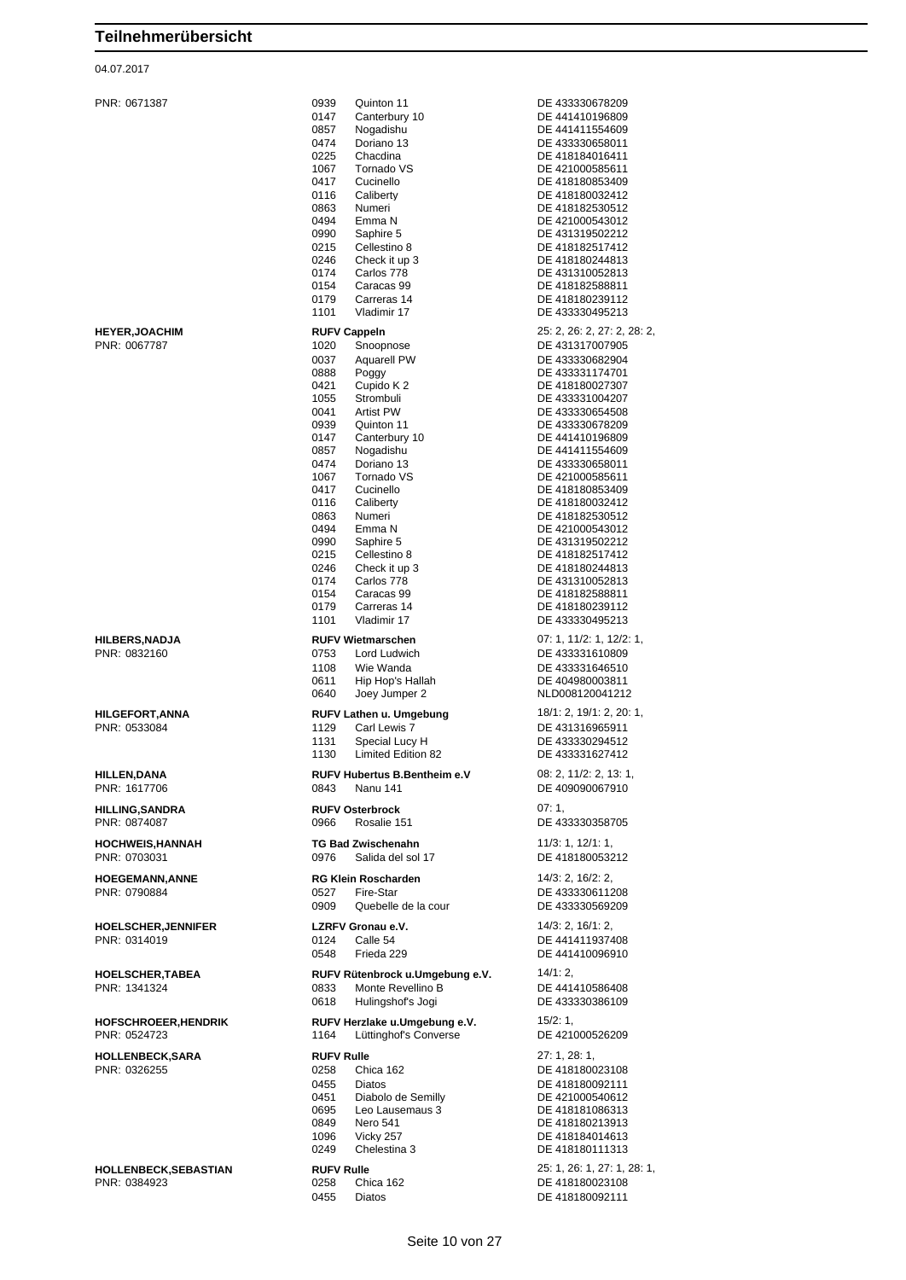#### 04.07.2017

| <b>HEYER,JOACHIM</b> |  |
|----------------------|--|
| DNIR 1067787         |  |

PNR: 0671387 0939 Quinton 11 DE 433330678209 0147 Canterbury 10 DE 441410196809<br>
0857 Nogadishu DE 441411554609 0857 Nogadishu DE 441411554609 Doriano 13 DE 433330658011 0225 Chacdina DE 418184016411<br>1067 Tornado VS DE 421000585611 1067 Tornado VS DE 421000585611 0417 Cucinello DE 418180853409 0116 Caliberty DE 418180032412<br>0863 Numeri DE 418182530512 0863 Numeri DE 418182530512<br>0494 Emma N DE 421000543012 0990 Saphire 5 DE 431319502212<br>0215 Cellestino 8 DE 418182517412 0215 Cellestino 8 DE 418182517412<br>0246 Check it up 3 DE 418180244813 0246 Check it up 3 DE 418180244813<br>0174 Carlos 778 DE 431310052813 0174 Carlos 778 DE 431310052813<br>0154 Caracas 99 DE 418182588811 0179 Carreras 14 Letter 101 DE 418180239112<br>1101 Vladimir 17 Letter DE 433330495213 1101 Vladimir 17 DE 433330495213 **RUFV Cappeln** 25: 2, 26: 2, 27: 2, 28: 2, e: 0067787 1020 Snoopnose DE 431317007905<br>۲۳۹۵ - ۲۵۵۶ - ۲۵۵۶ Tagarell PW وO37 Aguarell PW 0037 Aquarell PW DE 433330682904<br>0888 Poggy De DE 433331174701 0888 Poggy DE 433331174701 1055 Strombuli DE 433331004207 0041 Artist PW DE 433330654508 0939 **Quinton 11** DE 433330678209 0147 Canterbury 10 DE 441410196809<br>0857 Nogadishu DE 441411554609 0474 Doriano 13 DE 433330658011 1067 Tornado VS DE 421000585611 0417 Cucinello DE 418180853409 0116 Caliberty DE 418180032412 0863 Numeri DE 418182530512<br>0494 Emma N DE 421000543012 0494 Emma N DE 421000543012 0990 Saphire 5 DE 431319502212<br>0215 Cellestino 8 DE 418182517412 0215 Cellestino 8 DE 418182517412<br>0246 Check it up 3 DE 418180244813 0246 Check it up 3 DE 418180244813<br>0174 Carlos 778 DE 431310052813 0174 Carlos 778 DE 431310052813<br>0154 Caracas 99 DE 418182588811 0154 Caracas 99 DE 418182588811 0179 Carreras 14 DE 418180239112 1101 Vladimir 17 DE 433330495213 **HILBERS,NADJA RUFV Wietmarschen** 07: 1, 11/2: 1, 12/2: 1, 12/2: 1, 19/2: 1, 12/2: 1, 12/2: 1, 12/2: 1, 12/2: 1, 12/2: 1, 12/2: 1, 12/2: 1, 12/2: 1, 12/2: 1, 12/2: 1, 12/2: 1, 12/2: 1, 12/2: 1, 12/2: 1, 12/2: 1, 12/2: 1, 1108 Wie Wanda DE 433331646510 0611 Hip Hop's Hallah DE 404980003811 0640 Joey Jumper 2 NLD008120041212 **HILGEFORT,ANNA RUFV Lathen u. Umgebung** 18/1: 2, 19/1: 2, 20: 1,<br>PNR: 0533084<br>
1129 Carl Lewis 7 DE 431316965911 PNR: 0533084 1129 Carl Lewis 7 DE 431316965911 1131 Special Lucy H DE 433330294512<br>1130 Limited Edition 82 DE 433331627412 1130 Limited Edition 82 DE 433331627412 **HILLEN,DANA RUFV Hubertus B.Bentheim e.V** 08: 2, 11/2: 2, 13: 1, PNR: 1617706 0843 Nanu 141 DE 409090067910 **HILLING,SANDRA RUFV Osterbrock** 07: 1, PNR: 0874087 0966 Rosalie 151 DE 433330358705 **HOCHWEIS,HANNAH TG Bad Zwischenahn** 11/3: 1, 12/1: 1, PNR: 0703031 0976 Salida del sol 17 DE 418180053212 **HOEGEMANN,ANNE RG Klein Roscharden** 14/3: 2, 16/2: 2, 0527 Fire-Star DE 433330611208 0909 Quebelle de la cour DE 433330569209 **HOELSCHER,JENNIFER LZRFV Gronau e.V.** 14/3: 2, 16/1: 2, 0124 Calle 54 DE 441411937408 0548 Frieda 229 DE 441410096910 **HOELSCHER,TABEA RUFV Rütenbrock u.Umgebung e.V.** 14/1: 2, PNR: 1341324 0833 Monte Revellino B DE 441410586408 0618 Hulingshof's Jogi DE 433330386109 **HOFSCHROEER,HENDRIK RUFV Herzlake u.Umgebung e.V.** 15/2: 1, PNR: 0524723 1164 Lüttinghof's Converse DE 421000526209 **HOLLENBECK,SARA RUFV Rulle** 27: 1, 28: 1, PNR: 0326255 0258 Chica 162 DE 418180023108 0455 Diatos<br>
0451 Diabolo de Semilly<br>
DE 421000540612 0451 Diabolo de Semilly DE 421000540612 0695 Leo Lausemaus 3 DE 418181086313 0849 Nero 541 DE 418180213913 0249 Chelestina 3 DE 418180111313 **HOLLENBECK,SEBASTIAN RUFV Rulle** 25: 1, 26: 1, 27: 1, 28: 1,

DE 421000543012 DE 418182588811 DE 418180027307 DE 441411554609 DE 433331610809 DE 418184014613 DE 418180023108 0455 Diatos DE 418180092111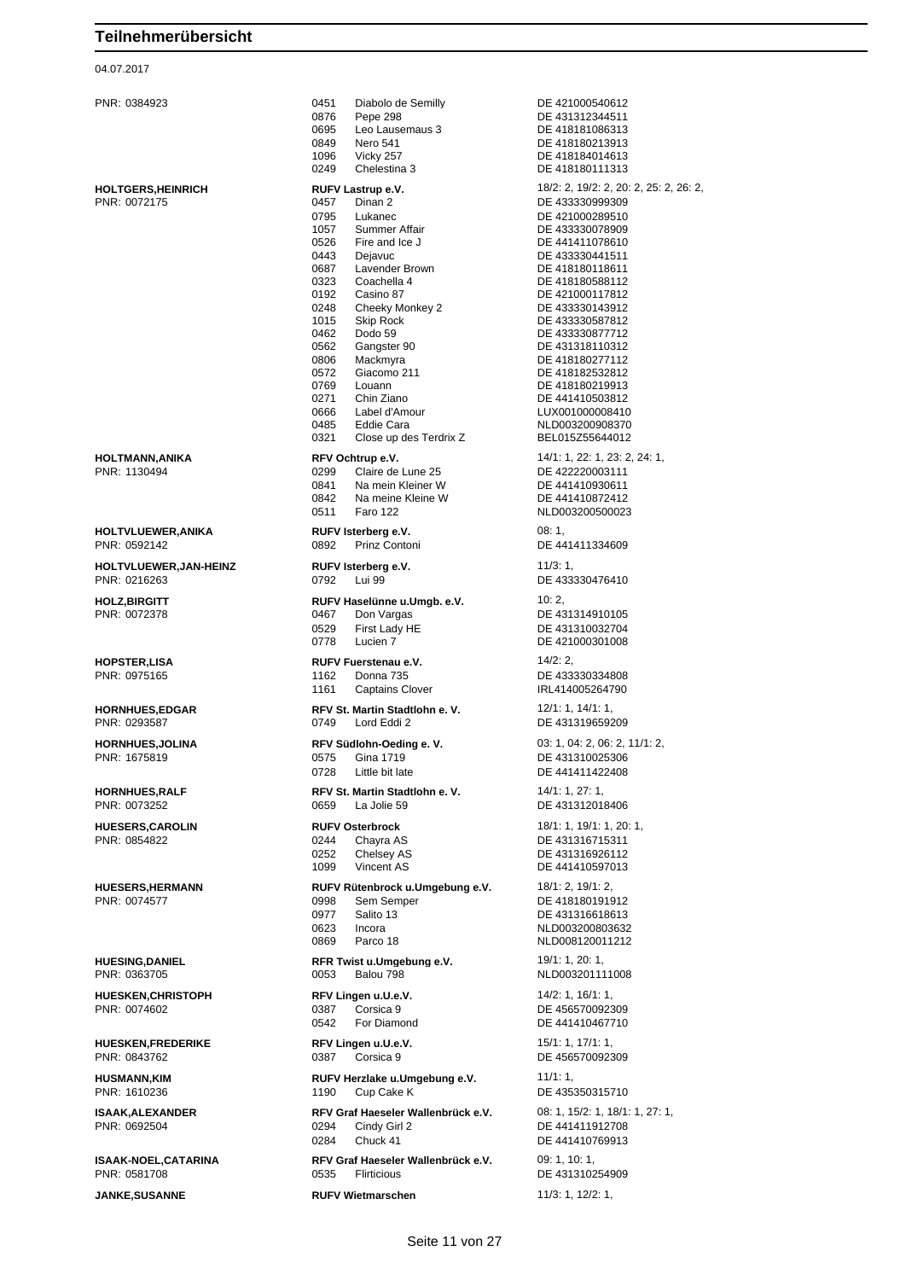#### 04.07.2017

PNR: 0384923 0451 Diabolo de Semilly DE 421000540612 0876 Pepe 298 **DE 431312344511**<br>0695 Leo Lausemaus 3 DE 418181086313 0695 Leo Lausemaus 3 DE 418181086313<br>0849 Nero 541 DE 418180213913 DE 418180213913 1096 Vicky 257 DE 418184014613 0249 Chelestina 3 DE 418180111313 **HOLTGERS,HEINRICH RUFV Lastrup e.V.** 18/2: 2, 19/2: 2, 20: 2, 25: 2, 26: 2, Pinan 2 DE 433330999309 0795 Lukanec DE 421000289510<br>1057 Summer Affair DE 433330078909 1057 Summer Affair DE 433330078909<br>0526 Fire and Ice J DE 441411078610 DE 441411078610 0443 Dejavuc DE 433330441511<br>19687 Lavender Brown DE 418180118611 0687 Lavender Brown DE 418180118611<br>0323 Coachella 4 DE 418180588112 0323 Coachella 4 DE 418180588112<br>0192 Casino 87 DE 421000117812 0192 Casino 87 Casino 87 DE 421000117812<br>0248 Cheeky Monkey 2 DE 433330143912 Cheeky Monkey 2 1015 Skip Rock DE 433330587812<br>19462 Dodo 59 DE 433330877712 0462 Dodo 59 DE 433330877712<br>0562 Gangster 90 DE 431318110312 0562 Gangster 90 DE 431318110312<br>1806 Mackmyra DE 418180277112 0806 Mackmyra DE 418180277112 0572 Giacomo 211 DE 418182532812<br>0769 Louann DE 418180219913 0769 Louann DE 418180219913 0271 Chin Ziano DE 441410503812 0666 Label d'Amour LUX001000008410 0485 Eddie Cara NED003200908370 0321 Close up des Terdrix Z BEL015Z55644012 **HOLTMANN,ANIKA RFV Ochtrup e.V.** 14/1: 1, 22: 1, 23: 2, 24: 1, PNR: 1130494 0299 Claire de Lune 25 DE 422220003111 0841 Na mein Kleiner W DE 441410930611<br>0842 Na meine Kleine W DE 441410872412 Na meine Kleine W<br>Faro 122 0511 Faro 122 NLD003200500023 **HOLTVLUEWER,ANIKA RUFV Isterberg e.V.** 08: 1, PNR: 0592142 0892 Prinz Contoni DE 441411334609 **HOLTVLUEWER,JAN-HEINZ RUFV Isterberg e.V.** 11/3: 1, PNR: 0216263 0792 Lui 99 DE 433330476410 **HOLZ,BIRGITT RUFV Haselünne u.Umgb. e.V.** 10: 2, Poon Vargas **DE 431314910105**<br>Pirst Lady HE **DE 431310032704** 0529 First Lady HF DE 431310032704 0778 Lucien 7 DE 421000301008 **HOPSTER, LISA RUFV Fuerstenau e.V. 14/2: 2,**<br> **PNR:** 0975165 **DRIPY FUEL ASS PNR:** 0975165 **DE** 433 1162 Donna 735 DE 433330334808 1161 Captains Clover IRL414005264790 **HORNHUES,EDGAR RFV St. Martin Stadtlohn e. V.** 12/1: 1, 14/1: 1, PNR: 0293587 0749 Lord Eddi 2 DE 431319659209 **HORNHUES,JOLINA RFV Südlohn-Oeding e. V.** 03: 1, 04: 2, 06: 2, 11/1: 2, PNR: 1675819 0575 Gina 1719 DE 431310025306 0728 Little bit late DE 441411422408 **HORNHUES,RALF RFV St. Martin Stadtlohn e. V.** 14/1: 1, 27: 1, PNR: 0073252 0659 La Jolie 59 DE 431312018406 **HUESERS,CAROLIN RUFV Osterbrock** 18/1: 1, 19/1: 1, 20: 1, PNR: 0854822 0244 Chayra AS DE 431316715311 0252 Chelsey AS DE 431316926112<br>1099 Vincent AS DE 441410597013 Vincent AS DE 441410597013 **HUESERS,HERMANN RUFV Rütenbrock u.Umgebung e.V.** 18/1: 2, 19/1: 2, 19/1: 2, 19/1: 2, 19/1: 2, 19/1: 2, 19/1: 2, 19/1: 2, 19/1: 2, 19/1: 2, 19/1: 2, 19/1: 2, 19/1: 2, 19/1: 2, 19/1: 2, 19/1: 2, 19/1: 2, 19/1: 2, 19/1: 2, DE 418180191912 0977 Salito 13 DE 431316618613 0623 Incora NLD003200803632 0869 Parco 18 NLD008120011212 **HUESING,DANIEL RFR Twist u.Umgebung e.V.** 19/1: 1, 20: 1, PNR: 0363705 0053 Balou 798 NLD003201111008 **HUESKEN,CHRISTOPH RFV Lingen u.U.e.V.** 14/2: 1, 16/1: 1, PNR: 0074602 0387 Corsica 9 DE 456570092309<br>
0542 For Diamond DE 441410467710 0542 For Diamond DE 441410467710 **HUESKEN,FREDERIKE RFV Lingen u.U.e.V.** 15/1: 1, 17/1: 1, 17/1: 1, 18/1: 1, 18/1: 1, 18/1: 1, 18/1: 1, 18/1: 1, 18/1: 1, 18/1: 1, 18/1: 1, 18/1: 1, 18/1: 1, 18/1: 1, 18/1: 1, 18/1: 1, 18/1: 1, 18/1: 1, 18/1: 1, 18/1: 1, DE 456570092309 **HUSMANN,KIM RUFV Herzlake u.Umgebung e.V.** 11/1: 1,<br>PNR: 1610236 **BUSH 1190** Cup Cake K **DE 435** 1190 Cup Cake K DE 435350315710 **ISAAK,ALEXANDER RFV Graf Haeseler Wallenbrück e.V.** 08: 1, 15/2: 1, 18/1: 1, 27: 1, PNR: 0692504 **COMPUT COMPUT COMPUT COMPUT COMPUT** DE 441411912708 PNR: 0692504 0294 Cindy Girl 2 DE 441411912708 Chuck 41 DE 441410769913 **ISAAK-NOEL,CATARINA RFV Graf Haeseler Wallenbrück e.V.** 09: 1, 10: 1, 10: 1, 10: 1, 10: 1, 10: 1, 10: 1, 10: 1, 10: 1, 10: 1, 10: 1, 10: 1, 10: 1, 10: 1, 10: 1, 10: 1, 10: 1, 10: 1, 10: 1, 10: 1, 10: 1, 10: 1, 10: 1, 10 0535 Flirticious DE 431310254909

**JANKE,SUSANNE RUFV Wietmarschen** 11/3: 1, 12/2: 1,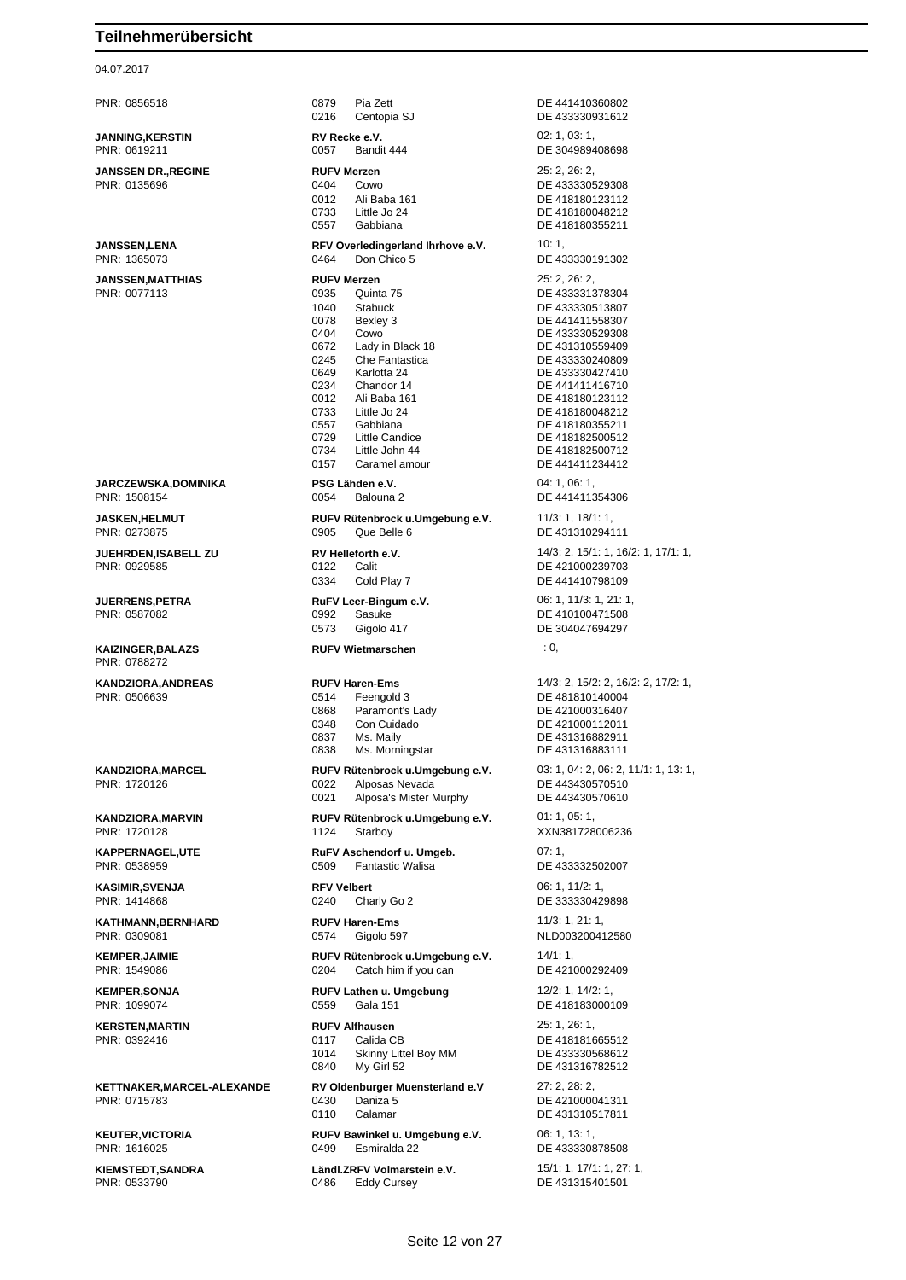## 04.07.2017

| PNR: 0856518                               | 0879<br>Pia Zett<br>0216<br>Centopia SJ                                                                                                                                                                                                                                                                                                            | DE 441410360802<br>DE 433330931612                                                                                                                                                                                                                                                      |
|--------------------------------------------|----------------------------------------------------------------------------------------------------------------------------------------------------------------------------------------------------------------------------------------------------------------------------------------------------------------------------------------------------|-----------------------------------------------------------------------------------------------------------------------------------------------------------------------------------------------------------------------------------------------------------------------------------------|
| <b>JANNING, KERSTIN</b><br>PNR: 0619211    | RV Recke e.V.<br>0057<br>Bandit 444                                                                                                                                                                                                                                                                                                                | 02: 1, 03: 1,<br>DE 304989408698                                                                                                                                                                                                                                                        |
| <b>JANSSEN DR., REGINE</b><br>PNR: 0135696 | <b>RUFV Merzen</b><br>0404<br>Cowo<br>0012<br>Ali Baba 161<br>0733<br>Little Jo 24<br>0557<br>Gabbiana                                                                                                                                                                                                                                             | 25: 2, 26: 2,<br>DE 433330529308<br>DE 418180123112<br>DE 418180048212<br>DE 418180355211                                                                                                                                                                                               |
| <b>JANSSEN,LENA</b><br>PNR: 1365073        | RFV Overledingerland Ihrhove e.V.<br>0464<br>Don Chico 5                                                                                                                                                                                                                                                                                           | 10:1,<br>DE 433330191302                                                                                                                                                                                                                                                                |
| <b>JANSSEN,MATTHIAS</b><br>PNR: 0077113    | <b>RUFV Merzen</b><br>0935<br>Quinta 75<br>1040<br>Stabuck<br>0078<br>Bexley 3<br>0404<br>Cowo<br>0672<br>Lady in Black 18<br>0245<br>Che Fantastica<br>0649<br>Karlotta 24<br>0234<br>Chandor 14<br>0012<br>Ali Baba 161<br>0733<br>Little Jo 24<br>0557<br>Gabbiana<br>0729<br>Little Candice<br>0734<br>Little John 44<br>0157<br>Caramel amour | 25: 2, 26: 2,<br>DE 433331378304<br>DE 433330513807<br>DE 441411558307<br>DE 433330529308<br>DE 431310559409<br>DE 433330240809<br>DE 433330427410<br>DE 441411416710<br>DE 418180123112<br>DE 418180048212<br>DE 418180355211<br>DE 418182500512<br>DE 418182500712<br>DE 441411234412 |
| <b>JARCZEWSKA,DOMINIKA</b><br>PNR: 1508154 | PSG Lähden e.V.<br>0054<br>Balouna 2                                                                                                                                                                                                                                                                                                               | 04:1,06:1,<br>DE 441411354306                                                                                                                                                                                                                                                           |
| <b>JASKEN,HELMUT</b><br>PNR: 0273875       | RUFV Rütenbrock u.Umgebung e.V.<br>0905<br>Que Belle 6                                                                                                                                                                                                                                                                                             | 11/3: 1, 18/1: 1,<br>DE 431310294111                                                                                                                                                                                                                                                    |
| JUEHRDEN,ISABELL ZU<br>PNR: 0929585        | RV Helleforth e.V.<br>0122<br>Calit<br>0334<br>Cold Play 7                                                                                                                                                                                                                                                                                         | 14/3: 2, 15/1: 1, 16/2: 1, 17/1: 1,<br>DE 421000239703<br>DE 441410798109                                                                                                                                                                                                               |
| <b>JUERRENS,PETRA</b><br>PNR: 0587082      | RuFV Leer-Bingum e.V.<br>0992<br>Sasuke<br>0573<br>Gigolo 417                                                                                                                                                                                                                                                                                      | 06: 1, 11/3: 1, 21: 1,<br>DE 410100471508<br>DE 304047694297                                                                                                                                                                                                                            |
| <b>KAIZINGER, BALAZS</b><br>PNR: 0788272   | <b>RUFV Wietmarschen</b>                                                                                                                                                                                                                                                                                                                           | : 0,                                                                                                                                                                                                                                                                                    |
| <b>KANDZIORA, ANDREAS</b><br>PNR: 0506639  | <b>RUFV Haren-Ems</b><br>Feengold 3<br>0514<br>0868<br>Paramont's Lady<br>Con Cuidado<br>0348<br>Ms. Maily<br>0837<br>0838<br>Ms. Morningstar                                                                                                                                                                                                      | 14/3: 2, 15/2: 2, 16/2: 2, 17/2: 1,<br>DE 481810140004<br>DE 421000316407<br>DE 421000112011<br>DE 431316882911<br>DE 431316883111                                                                                                                                                      |
| <b>KANDZIORA,MARCEL</b><br>PNR: 1720126    | RUFV Rütenbrock u.Umgebung e.V.<br>0022<br>Alposas Nevada<br>0021<br>Alposa's Mister Murphy                                                                                                                                                                                                                                                        | 03: 1, 04: 2, 06: 2, 11/1: 1, 13: 1,<br>DE 443430570510<br>DE 443430570610                                                                                                                                                                                                              |
| KANDZIORA,MARVIN<br>PNR: 1720128           | RUFV Rütenbrock u.Umgebung e.V.<br>1124<br>Starboy                                                                                                                                                                                                                                                                                                 | 01:1,05:1,<br>XXN381728006236                                                                                                                                                                                                                                                           |
| <b>KAPPERNAGEL,UTE</b><br>PNR: 0538959     | RuFV Aschendorf u. Umgeb.<br><b>Fantastic Walisa</b><br>0509                                                                                                                                                                                                                                                                                       | 07:1<br>DE 433332502007                                                                                                                                                                                                                                                                 |
| <b>KASIMIR,SVENJA</b><br>PNR: 1414868      | <b>RFV Velbert</b><br>0240<br>Charly Go 2                                                                                                                                                                                                                                                                                                          | 06: 1, 11/2: 1,<br>DE 333330429898                                                                                                                                                                                                                                                      |
| KATHMANN, BERNHARD<br>PNR: 0309081         | <b>RUFV Haren-Ems</b><br>0574<br>Gigolo 597                                                                                                                                                                                                                                                                                                        | 11/3: 1, 21: 1,<br>NLD003200412580                                                                                                                                                                                                                                                      |
| <b>KEMPER,JAIMIE</b><br>PNR: 1549086       | RUFV Rütenbrock u.Umgebung e.V.<br>0204<br>Catch him if you can                                                                                                                                                                                                                                                                                    | 14/1:1<br>DE 421000292409                                                                                                                                                                                                                                                               |
| <b>KEMPER,SONJA</b><br>PNR: 1099074        | RUFV Lathen u. Umgebung<br>0559<br><b>Gala 151</b>                                                                                                                                                                                                                                                                                                 | 12/2: 1, 14/2: 1,<br>DE 418183000109                                                                                                                                                                                                                                                    |
| <b>KERSTEN,MARTIN</b><br>PNR: 0392416      | <b>RUFV Alfhausen</b><br>0117<br>Calida CB<br>1014<br>Skinny Littel Boy MM<br>0840<br>My Girl 52                                                                                                                                                                                                                                                   | 25: 1, 26: 1,<br>DE 418181665512<br>DE 433330568612<br>DE 431316782512                                                                                                                                                                                                                  |
| KETTNAKER,MARCEL-ALEXANDE<br>PNR: 0715783  | RV Oldenburger Muensterland e.V<br>0430<br>Daniza 5<br>0110<br>Calamar                                                                                                                                                                                                                                                                             | 27: 2, 28: 2,<br>DE 421000041311<br>DE 431310517811                                                                                                                                                                                                                                     |
| <b>KEUTER, VICTORIA</b><br>PNR: 1616025    | RUFV Bawinkel u. Umgebung e.V.<br>Esmiralda 22<br>0499                                                                                                                                                                                                                                                                                             | 06: 1, 13: 1,<br>DE 433330878508                                                                                                                                                                                                                                                        |
| <b>KIEMSTEDT, SANDRA</b><br>PNR: 0533790   | Ländl.ZRFV Volmarstein e.V.<br>0486<br><b>Eddy Cursey</b>                                                                                                                                                                                                                                                                                          | 15/1: 1, 17/1: 1, 27: 1,<br>DE 431315401501                                                                                                                                                                                                                                             |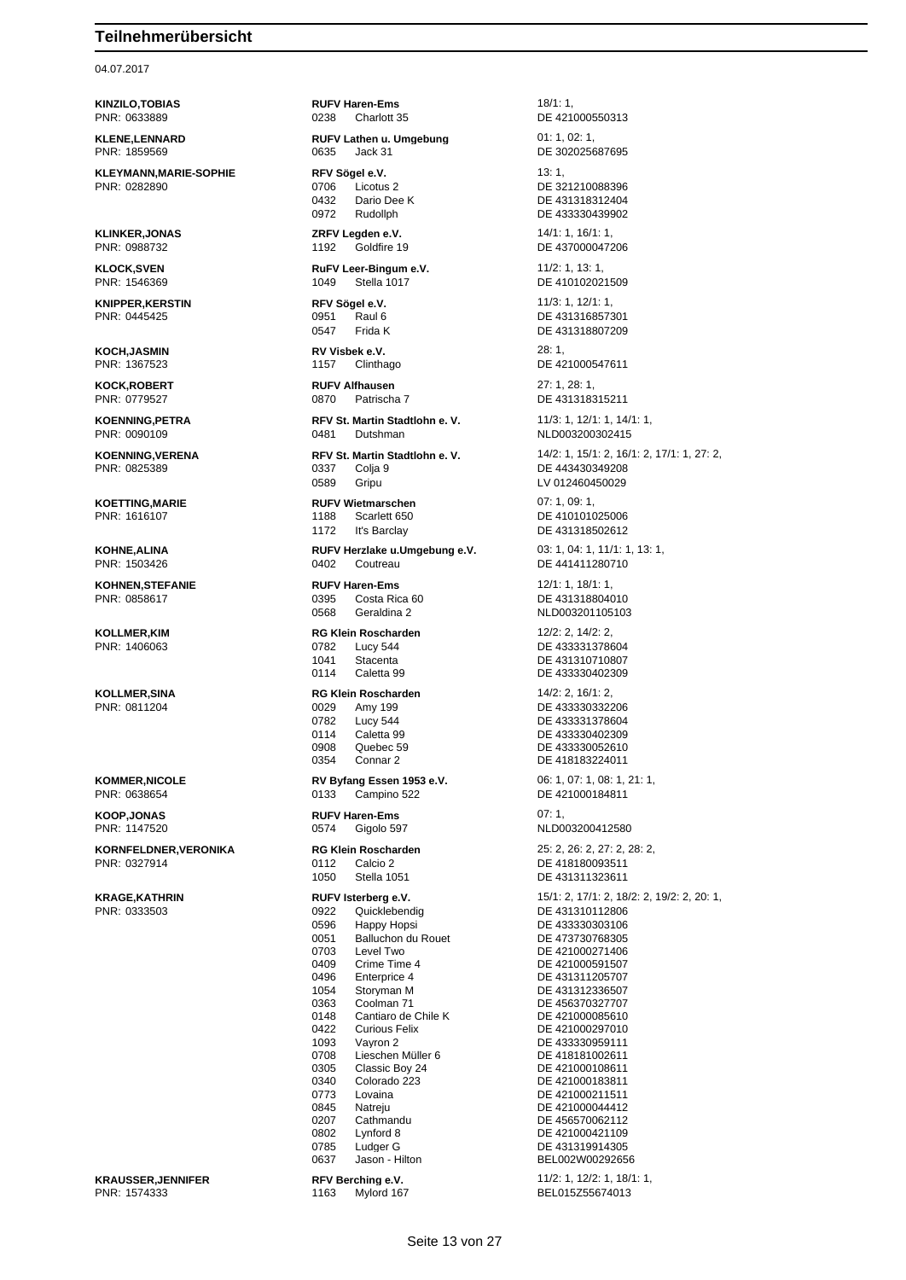### 04.07.2017

**KLEYMANN,MARIE-SOPHIE RFV Sögel e.V.** 13: 1, **PNR: 0282890 DE 32** 

**KNIPPER,KERSTIN RFV Sögel e.V.** 11/3: 1, 12/1: 1, 12/1: 1, 12/1: 1, 12/1: 1, 12/1: 1, 12/1: 1, 12/1: 1, 12/1: 1, 12/1: 1, 12/1: 1, 12/1: 1, 12/1: 1, 12/1: 1, 12/1: 1, 12/1: 1, 12/1: 1, 12/1: 1, 12/1: 1, 12/1: 1, 12/1: 1

**KOCH,JASMIN RV Visbek e.V.** 28: 1,

**KORNFELDNER,VERONIKA RG Klein Roscharden** 25: 2, 26: 2, 27: 2, 28: 2,

PNR: 1574333 1163 Mylord 167 BEL015Z55674013

**KINZILO,TOBIAS RUFV Haren-Ems** 18/1: 1, PNR: 0633889 0238 Charlott 35 DE 421000550313

**KLENE,LENNARD RUFV Lathen u. Umgebung** 01: 1, 02: 1, PNR: 1859569 0635 Jack 31 DE 302025687695

0432 Dario Dee K DE 431318312404<br>0972 Rudollph DE 433330439902

**KLINKER,JONAS ZRFV Legden e.V.** 14/1: 1, 16/1: 1, 16/1: 1, 18/1: 1, 16/1: 1, 16/1: 1, 16/1: 1, 16/1: 1, PNR: 0988732 1192 Goldfire 19 DE 437000047206

**KLOCK,SVEN RuFV Leer-Bingum e.V.** 11/2: 1, 13: 1, PNR: 1546369 1049 Stella 1017 DE 410102021509

**KOCK,ROBERT RUFV Alfhausen** 27: 1, 28: 1, PNR: 0779527 0870 Patrischa 7 DE 431318315211

PNR: 0090109 0481 Dutshman NLD003200302415

0337 Colja 9 DE 443430349208<br>0589 Gripu DV LV 012460450029 Gripu LV 012460450029

**KOETTING,MARIE RUFV Wietmarschen** 07: 1, 09: 1, 1172 It's Barclay DE 431318502612

PNR: 1503426 0402 Coutreau DE 441411280710

**KOHNEN,STEFANIE RUFV Haren-Ems** 12/1: 1, 18/1: 1, 0568 Geraldina 2 NLD003201105103

> 1041 Stacenta<br>
> 0114 Caletta 99 DE 433330402309 0114 Caletta 99 DE 433330402309

**KOLLMER,SINA RG Klein Roscharden** 14/2: 2, 16/1: 2, PNR: 0811204 0029 Amy 199 DE 433330332206

0908 Quebec 59 DE 433330052610<br>0354 Connar 2 DE 418183224011

**KOOP,JONAS RUFV Haren-Ems** 07: 1,<br> **PNR: 1147520 RUFV Haren-Ems** 07: 1, **PNR: 1147520 RUDO** 0574 Gigolo 597 NLD003200412580

> 0112 Calcio 2 DE 418180093511 1050 Stella 1051 DE 431311323611

PNR: 0333503 0922 Quicklebendig DE 431310112806 0596 Happy Hopsi DE 433330303106<br>
0051 Balluchon du Rouet DE 473730768305 0051 Balluchon du Rouet<br>0703 Level Two 0703 Level Two DE 421000271406<br>0409 Crime Time 4 DE 421000591507 0409 Crime Time 4 DE 421000591507<br>0496 Enterprice 4 DE 431311205707 1054 Storyman M DE 431312336507 0363 Coolman 71 DE 456370327707<br>0148 Cantiaro de Chile K DE 421000085610 0148 Cantiaro de Chile K<br>0422 Curious Felix 0422 Curious Felix DE 421000297010<br>1093 Vayron 2 DE 433330959111 1093 Vayron 2 DE 433330959111 Lieschen Müller 6 DE 418181002611<br>Classic Boy 24 DE 421000108611  $0305$  Classic Boy 24<br> $0340$  Colorado 223 0340 Colorado 223 DE 421000183811 0773 Lovaina DE 421000211511 0845 Natreju DE 421000044412 0207 Cathmandu DE 456570062112 0802 Lynford 8 DE 421000421109 0785 Ludger G DE 431319914305

DE 321210088396 DE 433330439902 DE 431316857301 0547 Frida K DE 431318807209 PNR: 1367523 1157 Clinthago DE 421000547611 **KOENNING,PETRA RFV St. Martin Stadtlohn e. V.** 11/3: 1, 12/1: 1, 14/1: 1, **KOENNING,VERENA RFV St. Martin Stadtlohn e. V.** 14/2: 1, 15/1: 2, 16/1: 2, 17/1: 1, 27: 2, 17. PNR: 0825389 DE 410101025006 **KOHNE,ALINA RUFV Herzlake u.Umgebung e.V.** 03: 1, 04: 1, 11/1: 1, 13: 1, DE 431318804010 **KOLLMER,KIM RG Klein Roscharden** 12/2: 2, 14/2: 2, PNR: 1406063 0782 Lucy 544 DE 433331378604 0782 Lucy 544 DE 433331378604 0114 Caletta 99 DE 433330402309<br>0908 Quebec 59 DE 433330052610 DE 418183224011 **KOMMER, NICOLE RV Byfang Essen 1953 e.V.** 06: 1, 07: 1, 08: 1, 21: 1,<br>
PNR: 0638654 **DE 421000184811** DE 421000184811 **KRAGE,KATHRIN RUFV Isterberg e.V.** 15/1: 2, 17/1: 2, 18/2: 2, 19/2: 2, 20: 1, DE 431311205707 BEL002W00292656

**KRAUSSER,JENNIFER RFV Berching e.V.** 11/2: 1, 12/2: 1, 18/1: 1,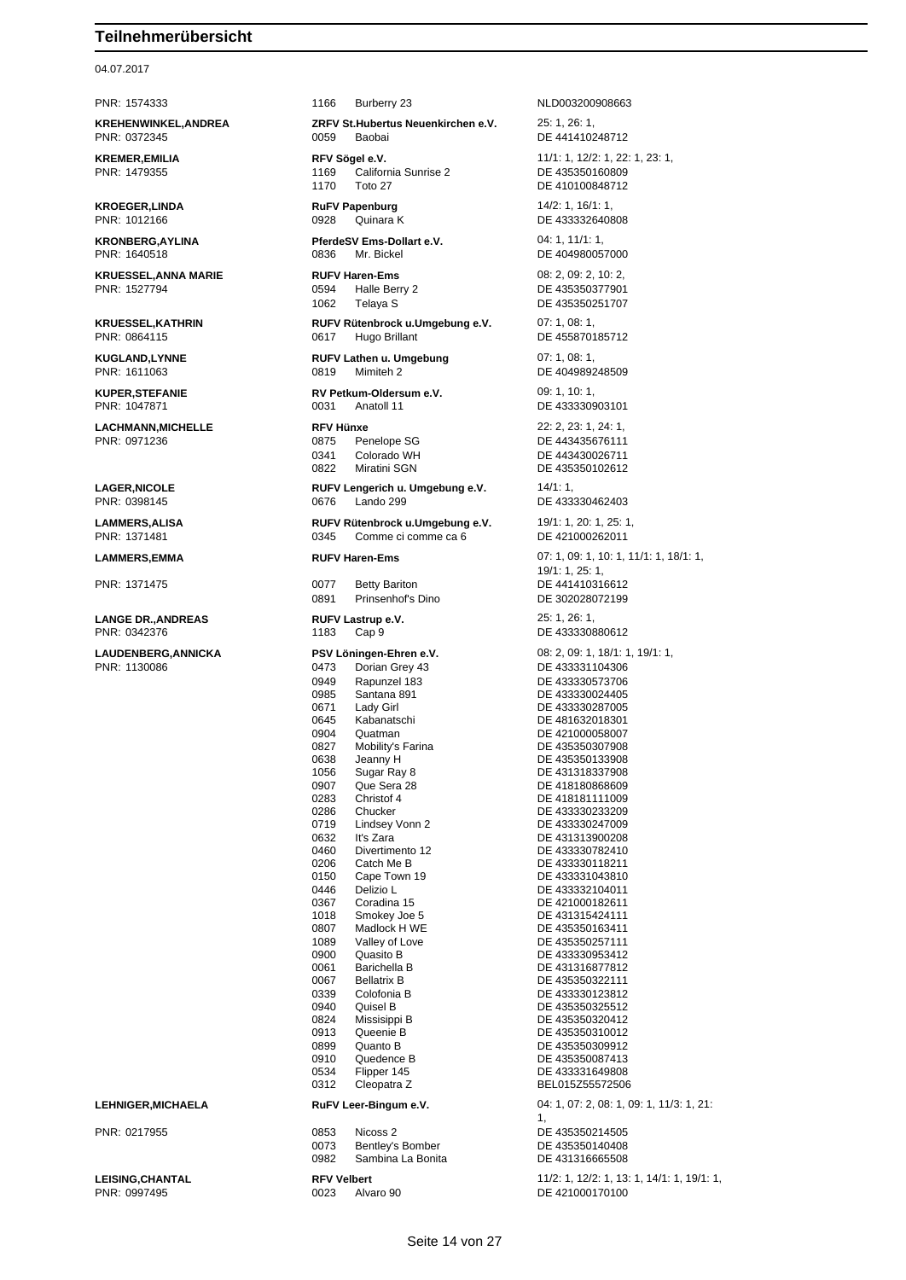## 04.07.2017

**KREHENWINKEL,ANDREA ZRFV St.Hubertus Neuenkirchen e.V.** 25: 1, 26: 1, PNR: 0372345 0059 Baobai DE 441410248712

**KROEGER,LINDA RUFV Papenburg** 14/2: 1, 16/1: 1, 18/1: 1, 18/1: 1, 18/1: 1, 18/1: 1, 18/1: 1, 18/1: 1, 18/1: 1, 18/1: 1, 18/1: 1, 18/1: 1, 18/1: 1, 18/1: 1, 18/1: 1, 18/1: 1, 18/1: 1, 18/1: 1, 18/1: 1, 18/1: 1, 18/1: 1,

**KRUESSEL,ANNA MARIE RUFV Haren-Ems** 08: 2, 09: 2, 10: 2,

**LACHMANN,MICHELLE RFV Hünxe** 22: 2, 23: 1, 24: 1,

**LANGE DR.,ANDREAS RUFV Lastrup e.V.** 25: 1, 26: 1,

PNR: 1574333 1166 Burberry 23 NLD003200908663

**KREMER,EMILIA REV Sögel e.V. RFV Sögel e.V.** 11/1: 1, 12/2: 1, 22: 1, 23: 1,<br>
PNR: 1479355 **12: 1169** California Sunrise 2 **DE** 435350160809 **Political**<br>California Sunrise 2 1170 Toto 27 DE 410100848712

**KRONBERG,AYLINA PferdeSV Ems-Dollart e.V.** 04: 1, 11/1: 1, PNR: 1640518 0836 Mr. Bickel DE 404980057000

1062 Telaya S DE 435350251707

**KRUESSEL,KATHRIN RUFV Rütenbrock u.Umgebung e.V.** 07: 1, 08: 1,<br>PNR: 0864115 **DE 4558701 DE 4558701** 0617 Hugo Brillant De 155870185712

**KUGLAND,LYNNE RUFV Lathen u. Umgebung** 07: 1, 08: 1,

**KUPER,STEFANIE RV Petkum-Oldersum e.V.** 09: 1, 10: 1, 0031 Anatoll 11 DE 433330903101

0341 Colorado WH DE 443430026711

**LAGER,NICOLE RUFV Lengerich u. Umgebung e.V.** 14/1: 1, PNR: 0398145 0676 Lando 299 DE 433330462403

PNR: 1371481 0345 Comme ci comme ca 6 DE 421000262011

PNR: 1371475 0077 Betty Bariton DE 441410316612 0891 Prinsenhof's Dino DE 302028072199

1183 Cap 9 DE 433330880612

0949 Rapunzel 183 DE 433330573706 0985 Santana 891 DE 433330024405 0671 Lady Girl DE 433330287005<br>0645 Kabanatschi DE 481632018301 0645 Kabanatschi DE 481632018301<br>0904 Quatman DE 421000058007 0904 Quatman DE 421000058007 0827 Mobility's Farina<br>0638 Jeanny H 1056 Sugar Ray 8 DE 431318337908 0907 Que Sera 28 DE 418180868609<br>0283 Christof 4 DE 418181111009 0283 Christof 4 DE 418181111009 0286 Chucker DE 433330233209<br>1991 The Undsey Vonn 2 DE 433330247009 0632 It's Zara DE 431313900208<br>0460 Divertimento 12 DE 433330782410 0460 Divertimento 12 DE 433330782410<br>0206 Catch Me B DE 433330118211 0206 Catch Me B<br>0150 Cape Town 19 DE 433331043810 0446 Delizio L Contra Contra DE 433332104011 0367 Coradina 15 DE 421000182611 1018 Smokey Joe 5 DE 431315424111 0807 Madlock H WE DE 435350163411<br>1089 Valley of Love DE 435350257111 0900 Quasito B DE 433330953412<br>0061 Barichella B DE 431316877812 0061 Barichella B<br>19967 Bellatrix B DE 435350322111 0067 Bellatrix B DE 435350322111<br>
0339 Colofonia B DE 433330123812 0339 Colofonia B DE 433330123812 0940 Quisel B DE 435350325512 0824 Missisippi B<br>
0913 Queenie B<br>
DE 435350310012 0913 Queenie B DE 435350310012<br>0899 Quanto B DE 435350309912 0899 Quanto B DE 435350309912 0910 Quedence B DE 435350087413<br>0534 Flipper 145 DE 433331649808 0312 Cleopatra Z BEL015Z55572506

PNR: 0217955 0853 Nicoss 2 DE 435350214505 0073 Bentley's Bomber DE 435350140408 0982 Sambina La Bonita DE 431316665508

PNR: 0997495 0023 Alvaro 90 DE 421000170100

0928 Quinara K DE 433332640808 DE 435350377901 DE 404989248509 PNR: 0971236 0875 Penelope SG DE 443435676111 DE 435350102612 **LAMMERS,ALISA RUFV Rütenbrock u.Umgebung e.V.** 19/1: 1, 20: 1, 25: 1, **LAMMERS,EMMA RUFV Haren-Ems** 07: 1, 09: 1, 10: 1, 11/1: 1, 18/1: 1, 19/1: 1, 25: 1, **LAUDENBERG,ANNICKA PSV Löningen-Ehren e.V.** 08: 2, 09: 1, 18/1: 1, 19/1: 1, 0473 Dorian Grey 43 DE 433331104306 Jeanny H DE 435350133908 DE 433330247009 DE 433331043810 DE 435350257111 Flipper 145 **DE 43331649808**<br>Cleopatra Z **BEL015Z5557250 LEHNIGER,MICHAELA RuFV Leer-Bingum e.V.** 04: 1, 07: 2, 08: 1, 09: 1, 11/3: 1, 21: 1, **LEISING,CHANTAL RFV Velbert** 11/2: 1, 12/2: 1, 13: 1, 14/1: 1, 19/1: 1,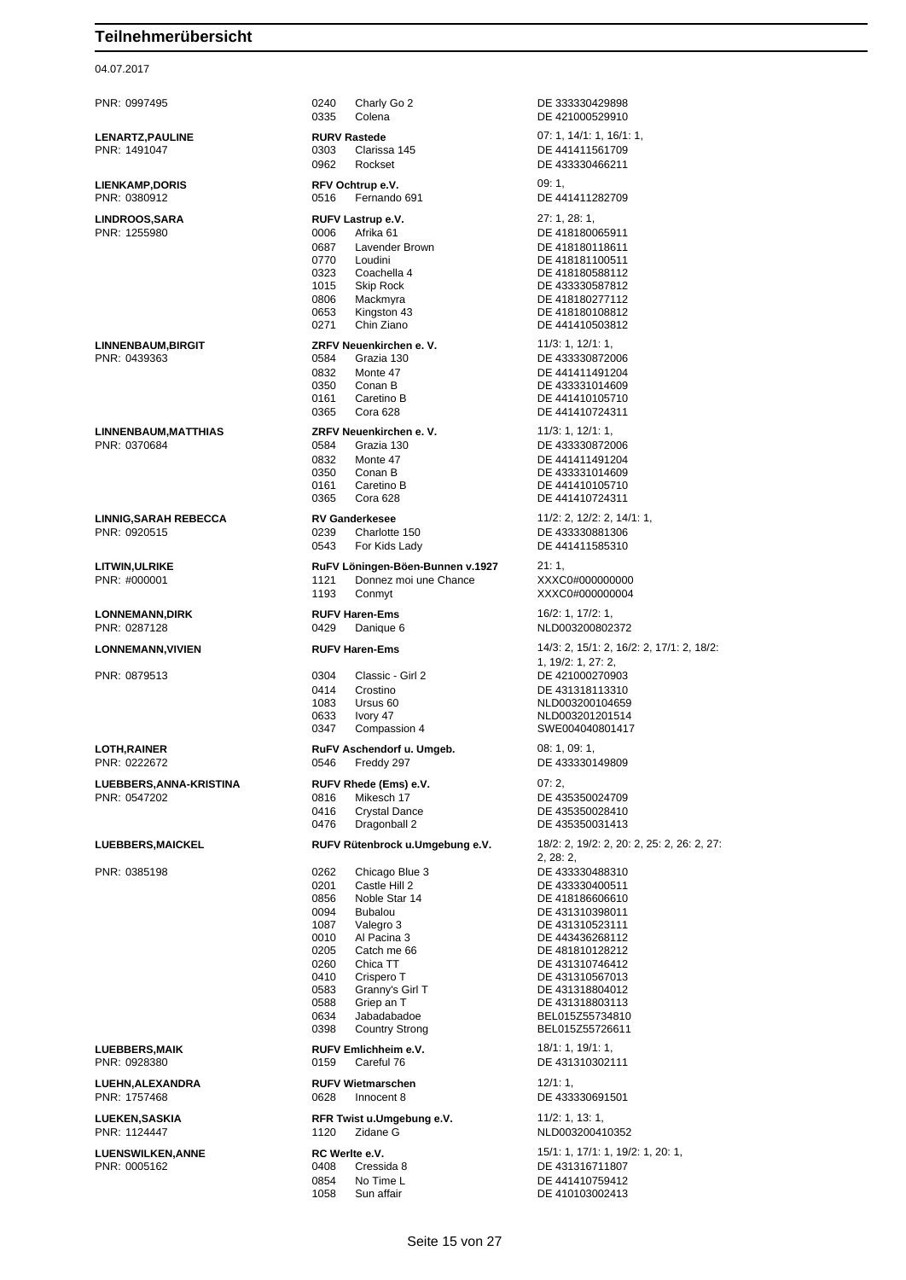04.07.2017

PNR: 0997495 0240 Charly Go 2 DE 333330429898 0335 Colena DE 421000529910 **LENARTZ,PAULINE RURV Rastede** 07: 1, 14/1: 1, 16/1: 1, 0303 Clarissa 145 DE 441411561709 0962 Rockset DE 433330466211 **LIENKAMP,DORIS RFV Ochtrup e.V.** 09: 1, 09: 1, 09: 1, 09: 1, 09: 1, 09: 1, 09: 1, 09: 1, 09: 1, 09: 1, 09: 1, 09: 1, 09: 1, 09: 1, 09: 1, 09: 1, 09: 1, 09: 1, 09: 1, 09: 1, 09: 1, 09: 1, 09: 1, 09: 1, 09: 1, 09: 1, 09: 0516 Fernando 691 DE 441411282709 **LINDROOS,SARA RUFV Lastrup e.V.** 27: 1, 28: 1, PNR: 1255980 0006 Afrika 61 DE 418180065911 0687 Lavender Brown DE 418180118611<br>0770 Loudini DE 418181100511 0770 Loudini DE 418181100511 0323 Coachella 4 DE 418180588112<br>1015 Skip Rock DE 433330587812 0806 Mackmyra DE 418180277112<br>0653 Kingston 43 DE 418180108812 0653 Kingston 43 DE 418180108812<br>0271 Chin Ziano DE 441410503812 **LINNENBAUM,BIRGIT ZRFV Neuenkirchen e. V.** 11/3: 1, 12/1: 1, 0584 Grazia 130 DE 433330872006 0832 Monte 47 DE 441411491204<br>0350 Conan B DE 433331014609 Conan B DE 433331014609 0161 Caretino B DE 441410105710 0365 Cora 628 DE 441410724311 **LINNENBAUM,MATTHIAS ZRFV Neuenkirchen e. V.** 11/3: 1, 12/1: 1, PNR: 0370684 0584 Grazia 130 DE 433330872006 0832 Monte 47 DE 441411491204<br>0350 Conan B DE 433331014609 0350 Conan B DE 433331014609<br>0161 Caretino B DE 441410105710 0161 Caretino B DE 441410105710<br>0365 Cora 628 DE 441410724311 **LINNIG,SARAH REBECCA RV Ganderkesee** 11/2: 2, 12/2: 2, 14/1: 1, PNR: 0920515 0239 Charlotte 150 DE 433330881306 0543 For Kids Lady DE 441411585310 **LITWIN,ULRIKE RuFV Löningen-Böen-Bunnen v.1927** 21: 1, PNR: #000001 1121 Donnez moi une Chance XXXC0#000000000 1193 Conmyt XXXC0#000000004 **LONNEMANN,DIRK RUFV Haren-Ems** 16/2: 1, 17/2: 1, PNR: 0287128 0429 Danique 6 NLD003200802372 **LONNEMANN,VIVIEN RUFV Haren-Ems** 14/3: 2, 15/1: 2, 16/2: 2, 17/1: 2, 18/2: PNR: 0879513 0304 Classic - Girl 2 DE 421000270903 0414 Crostino Crostino DE 431318113310<br>1083 Ursus 60 COMP NLD003200104659 1083 Ursus 60 NLD003200104659 0347 Compassion 4 SWE004040801417 **LOTH,RAINER RUFV Aschendorf u. Umgeb.** 08: 1, 09: 1, 09: 1, 09: 1, 09: 1, 09: 1, 09: 1, 09: 1, 09: 1, 09: 1, 09: 1, 09: 1, 09: 1, 09: 1, 09: 1, 09: 1, 09: 1, 09: 1, 09: 1, 09: 1, 09: 1, 09: 1, 09: 1, 09: 1, 09: 1, 09: 1 **LUEBBERS,ANNA-KRISTINA RUFV Rhede (Ems) e.V.** 07: 2,<br>PNR: 0547202 **DE 4:** 0816 Mikesch 17 **DE 4:** 0816 Mikesch 17 DE 435350024709<br>0416 Crystal Dance DE 435350028410 0476 Dragonball 2 DE 435350031413 **LUEBBERS,MAICKEL RUFV Rütenbrock u.Umgebung e.V.** 18/2: 2, 19/2: 2, 20: 2, 25: 2, 26: 2, 27: PNR: 0385198 0262 Chicago Blue 3 DE 433330488310 0201 Castle Hill 2 DE 433330400511 0856 Noble Star 14 DE 418186606610 0094 Bubalou DE 431310398011<br>1087 Valegro 3 DE 431310523111 0010 Al Pacina 3 DE 443436268112<br>0205 Catch me 66 DE 481810128212 0205 Catch me 66 DE 481810128212<br>0260 Chica TT DE 431310746412 0260 Chica TT DE 431310746412 Crispero T<br>
Granny's Girl T<br>
DE 431318804012 0583 Granny's Girl T<br>0588 Griep an T<br>DE 431318803113 0588 Griep an T DE 431318803113 0634 Jabadabadoe BEL015Z55734810 **LUEBBERS,MAIK RUFV Emlichheim e.V.** 18/1: 1, 19/1: 1, 19/1: 1, PNR: 0928380 0159 Careful 76 DE 431310302111 **LUEHN,ALEXANDRA RUFV Wietmarschen** 12/1: 1, 0628 Innocent 8 DE 433330691501 **LUEKEN, SASKIA RFR Twist u.Umgebung e.V.** 11/2: 1, 13: 1, 13: 1, PNR: 1124447 1120 Zidane G NLD003200410352 **LUENSWILKEN,ANNE RC Werlte e.V.** 15/1: 1, 17/1: 1, 19/2: 1, 20: 1, PNR: 0005162 0408 Cressida 8 DE 431316711807 0854 No Time L DE 441410759412

DE 433330587812 DE 441410503812 DE 441410724311 1, 19/2: 1, 27: 2, NLD003201201514 DE 433330149809 DE 435350028410 2, 28: 2, DE 431310523111 BEL015Z55726611

DE 410103002413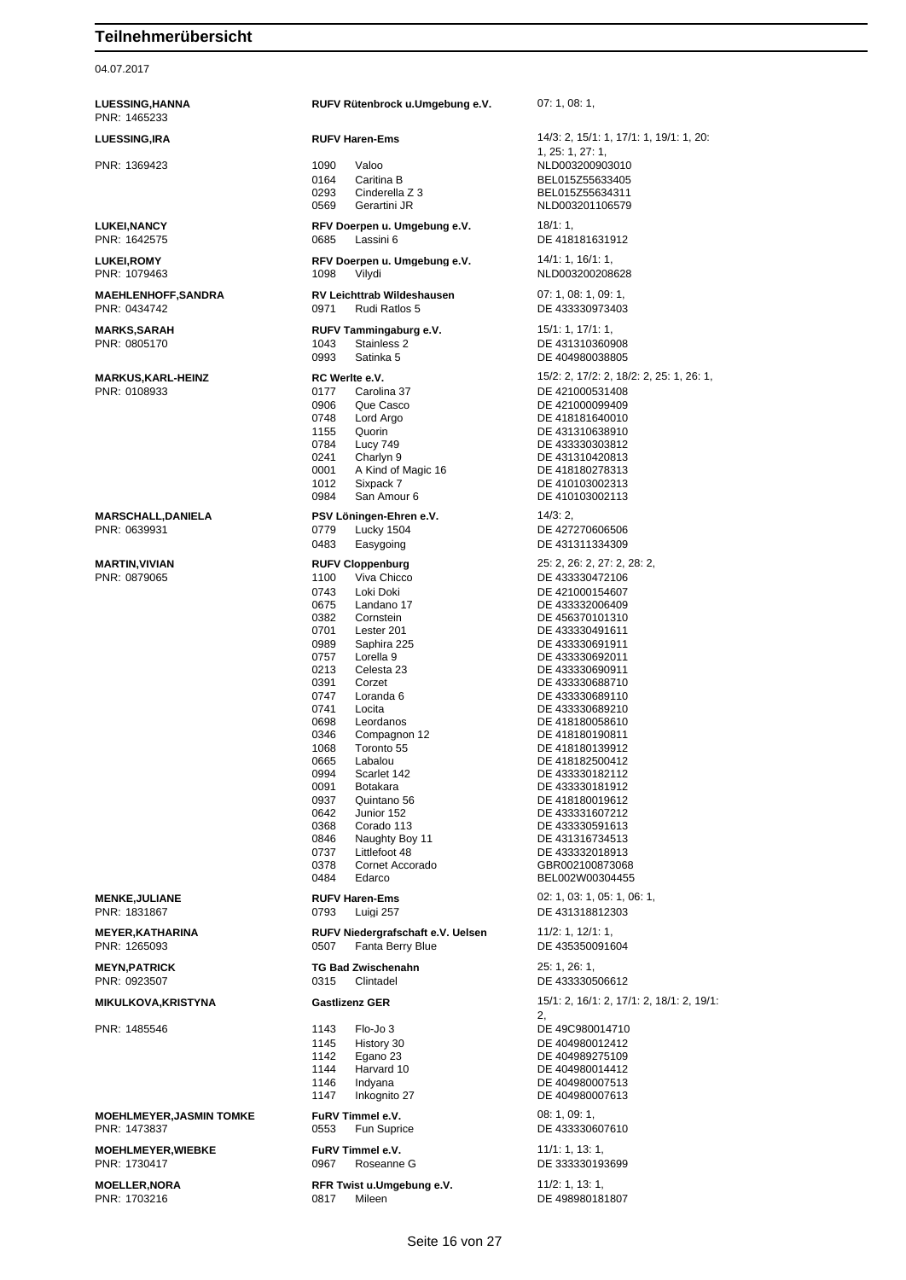04.07.2017

**MOELLER,NORA RFR Twist u.Umgebung e.V.** 11/2: 1, 13: 1,

| <b>LUESSING,HANNA</b><br>PNR: 1465233    | RUFV Rütenbrock u.Umgebung e.V.                                                                                                                                                                                                                                                                                                                                                                                                                                                                                                                                                | 07:1,08:1                                                                                                                                                                                                                                                                                                                                                                                                                                                                                                                          |  |
|------------------------------------------|--------------------------------------------------------------------------------------------------------------------------------------------------------------------------------------------------------------------------------------------------------------------------------------------------------------------------------------------------------------------------------------------------------------------------------------------------------------------------------------------------------------------------------------------------------------------------------|------------------------------------------------------------------------------------------------------------------------------------------------------------------------------------------------------------------------------------------------------------------------------------------------------------------------------------------------------------------------------------------------------------------------------------------------------------------------------------------------------------------------------------|--|
| <b>LUESSING,IRA</b>                      | <b>RUFV Haren-Ems</b>                                                                                                                                                                                                                                                                                                                                                                                                                                                                                                                                                          | 14/3: 2, 15/1: 1, 17/1: 1, 19/1: 1, 20:                                                                                                                                                                                                                                                                                                                                                                                                                                                                                            |  |
| PNR: 1369423                             | 1090<br>Valoo<br>0164<br>Caritina B<br>0293<br>Cinderella Z 3<br>0569<br>Gerartini JR                                                                                                                                                                                                                                                                                                                                                                                                                                                                                          | 1, 25: 1, 27: 1,<br>NLD003200903010<br>BEL015Z55633405<br>BEL015Z55634311<br>NLD003201106579                                                                                                                                                                                                                                                                                                                                                                                                                                       |  |
| <b>LUKEI,NANCY</b><br>PNR: 1642575       | RFV Doerpen u. Umgebung e.V.<br>0685<br>Lassini 6                                                                                                                                                                                                                                                                                                                                                                                                                                                                                                                              | 18/1:1,<br>DE 418181631912                                                                                                                                                                                                                                                                                                                                                                                                                                                                                                         |  |
| <b>LUKEI,ROMY</b><br>PNR: 1079463        | RFV Doerpen u. Umgebung e.V.<br>1098<br>Vilydi                                                                                                                                                                                                                                                                                                                                                                                                                                                                                                                                 | 14/1: 1, 16/1: 1,<br>NLD003200208628                                                                                                                                                                                                                                                                                                                                                                                                                                                                                               |  |
| MAEHLENHOFF,SANDRA<br>PNR: 0434742       | RV Leichttrab Wildeshausen<br>0971<br>Rudi Ratlos 5                                                                                                                                                                                                                                                                                                                                                                                                                                                                                                                            | 07: 1, 08: 1, 09: 1,<br>DE 433330973403                                                                                                                                                                                                                                                                                                                                                                                                                                                                                            |  |
| MARKS,SARAH<br>PNR: 0805170              | RUFV Tammingaburg e.V.<br>Stainless 2<br>1043<br>0993<br>Satinka 5                                                                                                                                                                                                                                                                                                                                                                                                                                                                                                             | 15/1: 1, 17/1: 1,<br>DE 431310360908<br>DE 404980038805                                                                                                                                                                                                                                                                                                                                                                                                                                                                            |  |
| MARKUS,KARL-HEINZ<br>PNR: 0108933        | RC Werlte e.V.<br>0177<br>Carolina 37<br>0906<br>Que Casco<br>0748<br>Lord Argo<br>1155<br>Quorin<br>0784<br><b>Lucy 749</b><br>0241<br>Charlyn 9<br>0001<br>A Kind of Magic 16<br>1012<br>Sixpack 7<br>0984<br>San Amour 6                                                                                                                                                                                                                                                                                                                                                    | 15/2: 2, 17/2: 2, 18/2: 2, 25: 1, 26: 1,<br>DE 421000531408<br>DE 421000099409<br>DE 418181640010<br>DE 431310638910<br>DE 433330303812<br>DE 431310420813<br>DE 418180278313<br>DE 410103002313<br>DE 410103002113                                                                                                                                                                                                                                                                                                                |  |
| MARSCHALL,DANIELA<br>PNR: 0639931        | PSV Löningen-Ehren e.V.<br>0779<br>Lucky 1504<br>0483<br>Easygoing                                                                                                                                                                                                                                                                                                                                                                                                                                                                                                             | 14/3:2,<br>DE 427270606506<br>DE 431311334309                                                                                                                                                                                                                                                                                                                                                                                                                                                                                      |  |
| MARTIN,VIVIAN<br>PNR: 0879065            | <b>RUFV Cloppenburg</b><br>1100<br>Viva Chicco<br>0743<br>Loki Doki<br>0675<br>Landano 17<br>0382<br>Cornstein<br>0701<br>Lester 201<br>0989<br>Saphira 225<br>0757<br>Lorella <sub>9</sub><br>0213<br>Celesta 23<br>0391<br>Corzet<br>0747<br>Loranda 6<br>0741<br>Locita<br>0698<br>Leordanos<br>0346<br>Compagnon 12<br>1068<br>Toronto 55<br>0665<br>Labalou<br>0994<br>Scarlet 142<br>0091<br>Botakara<br>0937<br>Quintano 56<br>0642<br>Junior 152<br>0368<br>Corado 113<br>0846<br>Naughty Boy 11<br>0737<br>Littlefoot 48<br>0378<br>Cornet Accorado<br>0484<br>Edarco | 25: 2, 26: 2, 27: 2, 28: 2,<br>DE 433330472106<br>DE 421000154607<br>DE 433332006409<br>DE 456370101310<br>DE 433330491611<br>DE 433330691911<br>DE 433330692011<br>DE 433330690911<br>DE 433330688710<br>DE 433330689110<br>DE 433330689210<br>DE 418180058610<br>DE 418180190811<br>DE 418180139912<br>DE 418182500412<br>DE 433330182112<br>DE 433330181912<br>DE 418180019612<br>DE 433331607212<br>DE 433330591613<br>DE 431316734513<br>DE 433332018913<br>GBR002100873068<br>BEL002W00304455<br>02: 1, 03: 1, 05: 1, 06: 1, |  |
| <b>MENKE,JULIANE</b><br>PNR: 1831867     | <b>RUFV Haren-Ems</b><br>Luigi 257<br>0793                                                                                                                                                                                                                                                                                                                                                                                                                                                                                                                                     | DE 431318812303                                                                                                                                                                                                                                                                                                                                                                                                                                                                                                                    |  |
| <b>MEYER,KATHARINA</b><br>PNR: 1265093   | RUFV Niedergrafschaft e.V. Uelsen<br>Fanta Berry Blue<br>0507                                                                                                                                                                                                                                                                                                                                                                                                                                                                                                                  | 11/2: 1, 12/1: 1,<br>DE 435350091604                                                                                                                                                                                                                                                                                                                                                                                                                                                                                               |  |
| MEYN,PATRICK<br>PNR: 0923507             | <b>TG Bad Zwischenahn</b><br>0315<br>Clintadel                                                                                                                                                                                                                                                                                                                                                                                                                                                                                                                                 | 25: 1, 26: 1,<br>DE 433330506612                                                                                                                                                                                                                                                                                                                                                                                                                                                                                                   |  |
| MIKULKOVA,KRISTYNA                       | <b>Gastlizenz GER</b>                                                                                                                                                                                                                                                                                                                                                                                                                                                                                                                                                          | 15/1: 2, 16/1: 2, 17/1: 2, 18/1: 2, 19/1:<br>2,                                                                                                                                                                                                                                                                                                                                                                                                                                                                                    |  |
| PNR: 1485546                             | 1143<br>Flo-Jo 3<br>1145<br>History 30<br>1142<br>Egano 23<br>1144<br>Harvard 10<br>1146<br>Indyana<br>1147<br>Inkognito 27                                                                                                                                                                                                                                                                                                                                                                                                                                                    | DE 49C980014710<br>DE 404980012412<br>DE 404989275109<br>DE 404980014412<br>DE 404980007513<br>DE 404980007613                                                                                                                                                                                                                                                                                                                                                                                                                     |  |
| MOEHLMEYER,JASMIN TOMKE<br>PNR: 1473837  | FuRV Timmel e.V.<br>Fun Suprice<br>0553                                                                                                                                                                                                                                                                                                                                                                                                                                                                                                                                        | 08:1,09:1,<br>DE 433330607610                                                                                                                                                                                                                                                                                                                                                                                                                                                                                                      |  |
| <b>MOEHLMEYER,WIEBKE</b><br>PNR: 1730417 | FuRV Timmel e.V.<br>0967<br>Roseanne G                                                                                                                                                                                                                                                                                                                                                                                                                                                                                                                                         | 11/1: 1, 13: 1,<br>DE 333330193699                                                                                                                                                                                                                                                                                                                                                                                                                                                                                                 |  |
| <b>MOELLER.NORA</b>                      | RFR Twist u.Umaebuna e.V.                                                                                                                                                                                                                                                                                                                                                                                                                                                                                                                                                      | 11/2: 1, 13: 1,                                                                                                                                                                                                                                                                                                                                                                                                                                                                                                                    |  |

DE 498980181807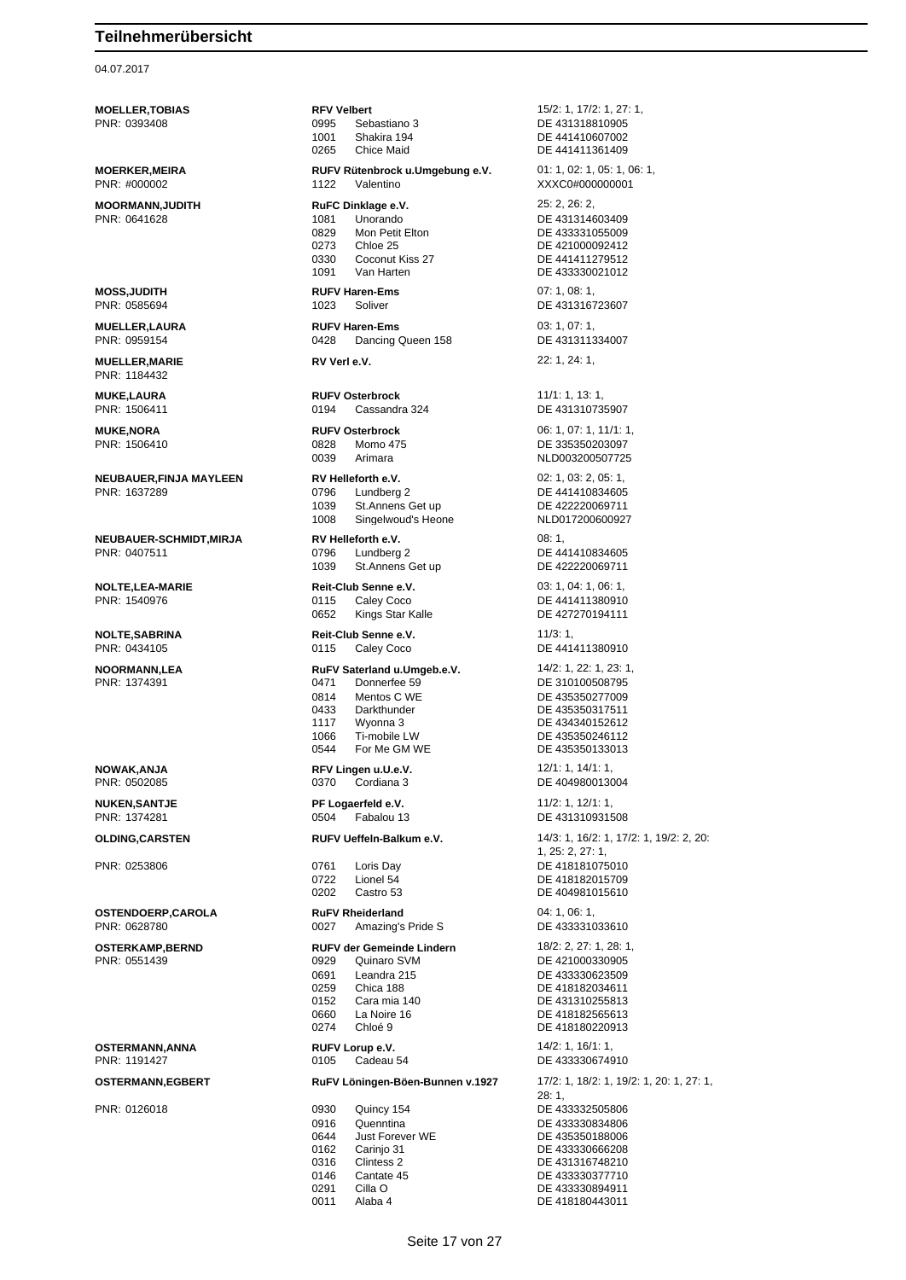### 04.07.2017

PNR: 1184432

**MOELLER,TOBIAS RFV Velbert RFV 15/2: 1, 17/2: 1, 27: 1,** 27: 1, 27: 1, 27: 1, 27: 1, 27: 1, 27: 1, 27: 1, 27: 1, 27: 1, 27: 1, 27: 1, 27: 1, 27: 1, 27: 1, 27: 1, 27: 1, 27: 1, 27: 1, 27: 1, 27: 1, 27: 2, 2, 2, 2, 2, 2 PNR: 0393408 0995 Sebastiano 3 DE 431318810905 1001 Shakira 194<br>0265 Chice Maid<br>DE 441411361409 0265 Chice Maid DE 441411361409 **MOERKER,MEIRA RUFV Rütenbrock u.Umgebung e.V.** 01: 1, 02: 1, 05: 1, 06: 1, PNR: #000002 1122 Valentino XXXC0#000000001 **MOORMANN,JUDITH RUFC Dinklage e.V.** 25: 2, 26: 2, 26: 2, 26: 2, 28: 2, 26: 2, 26: 2, 26: 2, 26: 2, 26: 2, 26: 2, 26: 2, 26: 2, 26: 2, 26: 2, 26: 2, 26: 2, 26: 2, 26: 2, 26: 2, 26: 2, 26: 2, 26: 2, 26: 2, 26: 2, 26: 2, 26: 1081 Unorando DE 431314603409 0829 Mon Petit Elton DE 433331055009 0273 Chloe 25 DE 421000092412 0330 Coconut Kiss 27 DE 441411279512<br>1091 Van Harten 1091 DE 433330021012 **MOSS,JUDITH RUFV Haren-Ems** 07: 1, 08: 1, PNR: 0585694 1023 Soliver DE 431316723607 **MUELLER,LAURA RUFV Haren-Ems** 03: 1, 07: 1, PNR: 0959154 0428 Dancing Queen 158 DE 431311334007 **MUELLER,MARIE RV Verl e.V.** 22: 1, 24: 1, **MUKE,LAURA RUFV Osterbrock** 11/1: 1, 13: 1, PNR: 1506411 0194 Cassandra 324 DE 431310735907 **MUKE,NORA RUFV Osterbrock** 06: 1, 07: 1, 11/1: 1, PNR: 1506410 0828 Momo 475 DE 335350203097 0039 Arimara NLD003200507725 **NEUBAUER,FINJA MAYLEEN RV Helleforth e.V.** 02: 1, 03: 2, 05: 1, PNR: 1637289 0796 Lundberg 2 DE 441410834605 1039 St.Annens Get up DE 422220069711 1008 Singelwoud's Heone NLD017200600927 **NEUBAUER-SCHMIDT,MIRJA RV Helleforth e.V.** 08: 1, PNR: 0407511 0796 Lundberg 2 DE 441410834605 1039 St.Annens Get up DE 422220069711 **NOLTE,LEA-MARIE Reit-Club Senne e.V.** 03: 1, 04: 1, 06: 1, PNR: 1540976 0115 Caley Coco DE 441411380910 0652 Kings Star Kalle **DE 427270194111 NOLTE,SABRINA Reit-Club Senne e.V.** 11/3: 1, PNR: 0434105 0115 Caley Coco DE 441411380910 **NOORMANN,LEA RuFV Saterland u.Umgeb.e.V.** 14/2: 1, 22: 1, 23: 1, 0471 Donnerfee 59 DE 310100508795<br>0814 Mentos C WE DE 435350277009 Mentos C WE DE 435350277009<br>Darkthunder DE 435350317511 0433 Darkthunder DE 435350317511 1117 Wyonna 3 DE 434340152612 1066 Ti-mobile LW DE 435350246112 0544 For Me GM WE DE 435350133013 **NOWAK,ANJA RFV Lingen u.U.e.V.** 12/1: 1, 14/1: 1, PNR: 0502085 0370 Cordiana 3 DE 404980013004 **NUKEN,SANTJE PF Logaerfeld e.V.** 11/2: 1, 12/1: 1, PNR: 1374281 0504 Fabalou 13 DE 431310931508 **OLDING,CARSTEN RUFV Ueffeln-Balkum e.V.** 14/3: 1, 16/2: 1, 17/2: 1, 19/2: 2, 20: PNR: 0253806 0761 Loris Day DE 418181075010 0722 Lionel 54 DE 418182015709 Castro 53 DE 404981015610 **OSTENDOERP,CAROLA RuFV Rheiderland** 04: 1, 06: 1, PNR: 0628780 0027 Amazing's Pride S DE 433331033610 **OSTERKAMP,BERND RUFV der Gemeinde Lindern** 18/2: 2, 27: 1, 28: 1, 0929 Quinaro SVM DE 421000330905 0691 Leandra 215 DE 433330623509 0259 Chica 188 DE 418182034611 0152 Cara mia 140 DE 431310255813 0660 La Noire 16 DE 418182565613 **OSTERMANN,ANNA RUFV Lorup e.V. RUFV Lorup e.V.** 14/2: 1, 16/1: 1, PNR: 1191427 0105 Cadeau 54 DE 433330674910 **OSTERMANN,EGBERT RuFV Löningen-Böen-Bunnen v.1927** 17/2: 1, 18/2: 1, 19/2: 1, 20: 1, 27: 1, 28: 1, PNR: 0126018 0930 Quincy 154 DE 433332505806 Quenntina DE 433330834806 0644 Just Forever WE DE 435350188006 0162 Carinjo 31 DE 433330666208 0316 Clintess 2 DE 431316748210 0146 Cantate 45 DE 433330377710

DE 433330021012 1, 25: 2, 27: 1, DE 418180220913 0291 Cilla O DE 433330894911

0011 Alaba 4 DE 418180443011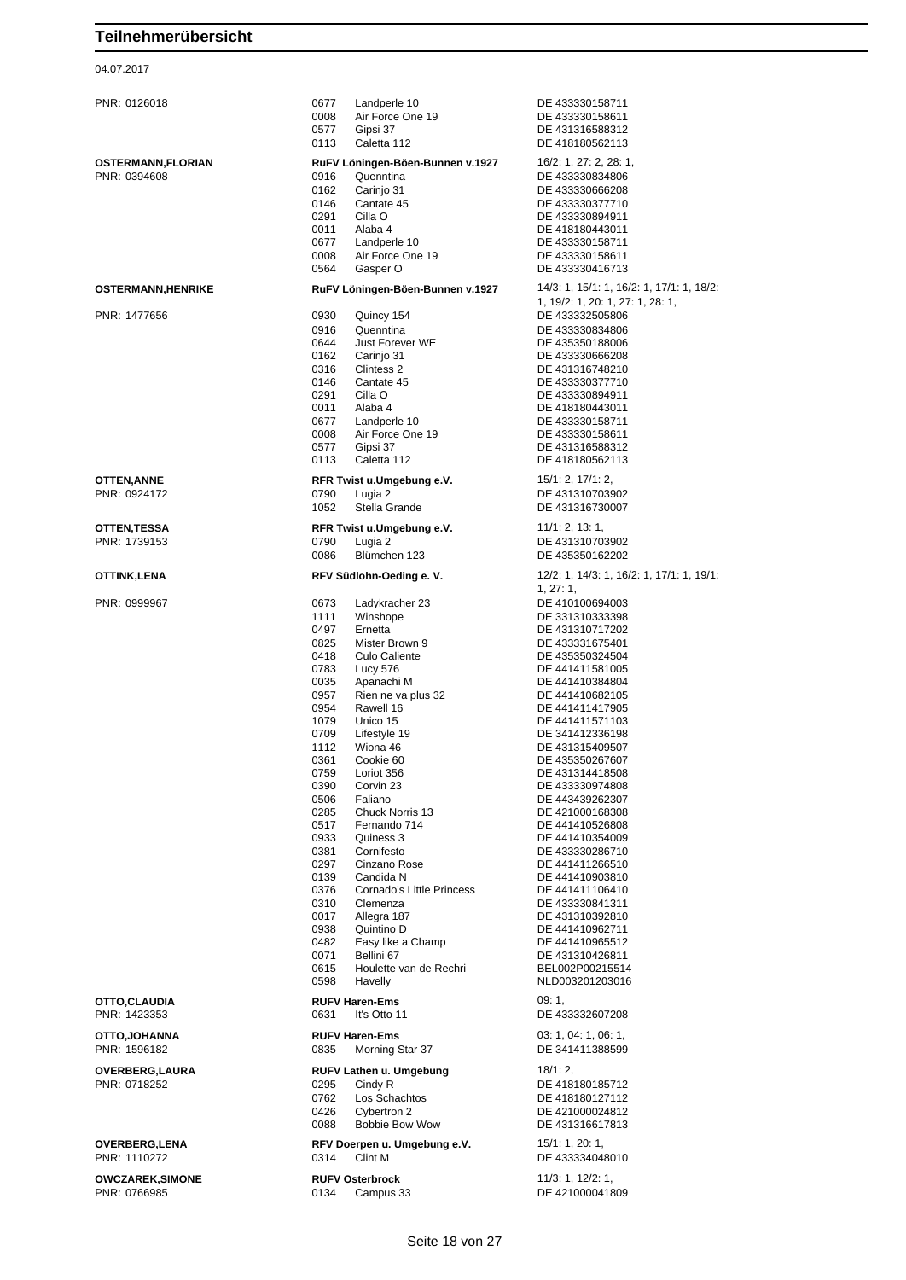## 04.07.2017

| PNR: 0126018                      | Landperle 10<br>0677<br>0008<br>Air Force One 19<br>0577<br>Gipsi 37<br>Caletta 112<br>0113                                                                                                                                                                                                                                                                                                                                                                                                                                                                                                                                                                                                                                                        | DE 433330158711<br>DE 433330158611<br>DE 431316588312<br>DE 418180562113                                                                                                                                                                                                                                                                                                                                                                                                                                                                                                                                     |
|-----------------------------------|----------------------------------------------------------------------------------------------------------------------------------------------------------------------------------------------------------------------------------------------------------------------------------------------------------------------------------------------------------------------------------------------------------------------------------------------------------------------------------------------------------------------------------------------------------------------------------------------------------------------------------------------------------------------------------------------------------------------------------------------------|--------------------------------------------------------------------------------------------------------------------------------------------------------------------------------------------------------------------------------------------------------------------------------------------------------------------------------------------------------------------------------------------------------------------------------------------------------------------------------------------------------------------------------------------------------------------------------------------------------------|
| OSTERMANN,FLORIAN<br>PNR: 0394608 | RuFV Löningen-Böen-Bunnen v.1927<br>0916<br>Quenntina<br>0162<br>Carinjo 31<br>0146<br>Cantate 45<br>0291<br>Cilla O<br>0011<br>Alaba 4<br>0677<br>Landperle 10<br>0008<br>Air Force One 19<br>0564<br>Gasper O                                                                                                                                                                                                                                                                                                                                                                                                                                                                                                                                    | 16/2: 1, 27: 2, 28: 1,<br>DE 433330834806<br>DE 433330666208<br>DE 433330377710<br>DE 433330894911<br>DE 418180443011<br>DE 433330158711<br>DE 433330158611<br>DE 433330416713                                                                                                                                                                                                                                                                                                                                                                                                                               |
| <b>OSTERMANN,HENRIKE</b>          | RuFV Löningen-Böen-Bunnen v.1927                                                                                                                                                                                                                                                                                                                                                                                                                                                                                                                                                                                                                                                                                                                   | 14/3: 1, 15/1: 1, 16/2: 1, 17/1: 1, 18/2:                                                                                                                                                                                                                                                                                                                                                                                                                                                                                                                                                                    |
| PNR: 1477656                      | 0930<br>Quincy 154<br>0916<br>Quenntina<br>0644<br>Just Forever WE<br>0162<br>Carinjo 31<br>0316<br>Clintess 2<br>0146<br>Cantate 45<br>0291<br>Cilla O<br>0011<br>Alaba 4<br>0677<br>Landperle 10<br>0008<br>Air Force One 19<br>0577<br>Gipsi 37<br>0113<br>Caletta 112                                                                                                                                                                                                                                                                                                                                                                                                                                                                          | 1, 19/2: 1, 20: 1, 27: 1, 28: 1,<br>DE 433332505806<br>DE 433330834806<br>DE 435350188006<br>DE 433330666208<br>DE 431316748210<br>DE 433330377710<br>DE 433330894911<br>DE 418180443011<br>DE 433330158711<br>DE 433330158611<br>DE 431316588312<br>DE 418180562113                                                                                                                                                                                                                                                                                                                                         |
| OTTEN,ANNE<br>PNR: 0924172        | RFR Twist u.Umgebung e.V.<br>0790                                                                                                                                                                                                                                                                                                                                                                                                                                                                                                                                                                                                                                                                                                                  | 15/1: 2, 17/1: 2,                                                                                                                                                                                                                                                                                                                                                                                                                                                                                                                                                                                            |
|                                   | Lugia 2<br>1052<br>Stella Grande                                                                                                                                                                                                                                                                                                                                                                                                                                                                                                                                                                                                                                                                                                                   | DE 431310703902<br>DE 431316730007                                                                                                                                                                                                                                                                                                                                                                                                                                                                                                                                                                           |
| OTTEN,TESSA<br>PNR: 1739153       | RFR Twist u.Umgebung e.V.<br>0790<br>Lugia 2<br>0086<br>Blümchen 123                                                                                                                                                                                                                                                                                                                                                                                                                                                                                                                                                                                                                                                                               | 11/1: 2, 13: 1,<br>DE 431310703902<br>DE 435350162202                                                                                                                                                                                                                                                                                                                                                                                                                                                                                                                                                        |
| OTTINK,LENA                       | RFV Südlohn-Oeding e. V.                                                                                                                                                                                                                                                                                                                                                                                                                                                                                                                                                                                                                                                                                                                           | 12/2: 1, 14/3: 1, 16/2: 1, 17/1: 1, 19/1:                                                                                                                                                                                                                                                                                                                                                                                                                                                                                                                                                                    |
| PNR: 0999967<br>OTTO,CLAUDIA      | 0673<br>Ladykracher 23<br>1111<br>Winshope<br>0497<br>Ernetta<br>0825<br>Mister Brown 9<br>0418<br>Culo Caliente<br>0783<br>Lucy 576<br>0035<br>Apanachi M<br>0957<br>Rien ne va plus 32<br>0954<br>Rawell 16<br>1079<br>Unico 15<br>0709<br>Lifestyle 19<br>1112<br>Wiona 46<br>0361<br>Cookie 60<br>0759<br>Loriot 356<br>0390<br>Corvin 23<br>0506<br>Faliano<br>0285<br>Chuck Norris 13<br>0517<br>Fernando 714<br>0933<br>Quiness 3<br>0381<br>Cornifesto<br>0297<br>Cinzano Rose<br>0139<br>Candida N<br>0376<br>Cornado's Little Princess<br>0310<br>Clemenza<br>0017<br>Allegra 187<br>0938<br>Quintino D<br>0482<br>Easy like a Champ<br>0071<br>Bellini 67<br>0615<br>Houlette van de Rechri<br>0598<br>Havelly<br><b>RUFV Haren-Ems</b> | 1, 27: 1,<br>DE 410100694003<br>DE 331310333398<br>DE 431310717202<br>DE 433331675401<br>DE 435350324504<br>DE 441411581005<br>DE 441410384804<br>DE 441410682105<br>DE 441411417905<br>DE 441411571103<br>DE 341412336198<br>DE 431315409507<br>DE 435350267607<br>DE 431314418508<br>DE 433330974808<br>DE 443439262307<br>DE 421000168308<br>DE 441410526808<br>DE 441410354009<br>DE 433330286710<br>DE 441411266510<br>DE 441410903810<br>DE 441411106410<br>DE 433330841311<br>DE 431310392810<br>DE 441410962711<br>DE 441410965512<br>DE 431310426811<br>BEL002P00215514<br>NLD003201203016<br>09:1, |
| PNR: 1423353<br>OTTO,JOHANNA      | 0631<br>It's Otto 11<br><b>RUFV Haren-Ems</b>                                                                                                                                                                                                                                                                                                                                                                                                                                                                                                                                                                                                                                                                                                      | DE 433332607208<br>03: 1, 04: 1, 06: 1,                                                                                                                                                                                                                                                                                                                                                                                                                                                                                                                                                                      |
| PNR: 1596182                      | 0835<br>Morning Star 37                                                                                                                                                                                                                                                                                                                                                                                                                                                                                                                                                                                                                                                                                                                            | DE 341411388599                                                                                                                                                                                                                                                                                                                                                                                                                                                                                                                                                                                              |
| OVERBERG,LAURA<br>PNR: 0718252    | RUFV Lathen u. Umgebung<br>0295<br>Cindy R<br>0762<br>Los Schachtos<br>0426<br>Cybertron 2<br>0088<br><b>Bobbie Bow Wow</b>                                                                                                                                                                                                                                                                                                                                                                                                                                                                                                                                                                                                                        | 18/1:2,<br>DE 418180185712<br>DE 418180127112<br>DE 421000024812<br>DE 431316617813                                                                                                                                                                                                                                                                                                                                                                                                                                                                                                                          |
| OVERBERG,LENA<br>PNR: 1110272     | RFV Doerpen u. Umgebung e.V.<br>Clint M<br>0314                                                                                                                                                                                                                                                                                                                                                                                                                                                                                                                                                                                                                                                                                                    | 15/1: 1, 20: 1,<br>DE 433334048010                                                                                                                                                                                                                                                                                                                                                                                                                                                                                                                                                                           |
| OWCZAREK,SIMONE<br>PNR: 0766985   | <b>RUFV Osterbrock</b><br>0134<br>Campus 33                                                                                                                                                                                                                                                                                                                                                                                                                                                                                                                                                                                                                                                                                                        | 11/3: 1, 12/2: 1,<br>DE 421000041809                                                                                                                                                                                                                                                                                                                                                                                                                                                                                                                                                                         |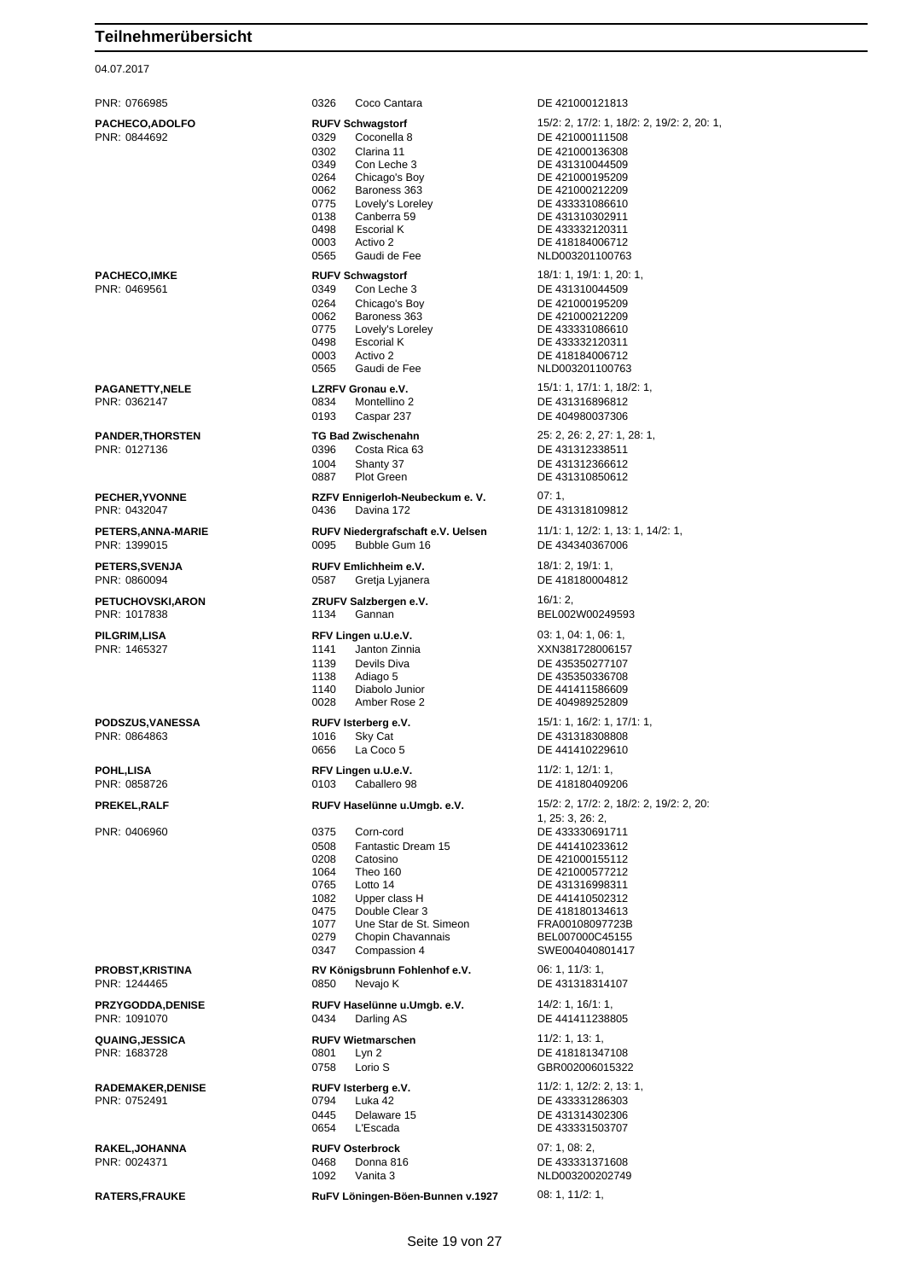04.07.2017

PNR: 0766985 0326 Coco Cantara DE 421000121813 **PACHECO,ADOLFO RUFV Schwagstorf** 15/2: 2, 17/2: 1, 18/2: 2, 19/2: 2, 20: 1, PNR: 0844692 0329 Coconella 8 DE 421000111508 0302 Clarina 11 DE 421000136308 0349 Con Leche 3 DE 431310044509 0264 Chicago's Boy DE 421000195209 0062 Baroness 363 DE 421000212209<br>0775 Lovely's Loreley DE 433331086610 0138 Canberra 59 DE 431310302911<br>0498 Escorial K DE 433332120311 0498 Escorial K DE 433332120311<br>0003 Activo 2 DE 418184006712 0003 Activo 2 DE 418184006712 0565 Gaudi de Fee NLD003201100763 **PACHECO,IMKE RUFV Schwagstorf** 18/1: 1, 19/1: 1, 20: 1, 0264 Chicago's Boy<br>0062 Baroness 363 DE 421000212209 0062 Baroness 363 DE 421000212209<br>0775 Lovely's Loreley DE 433331086610 0775 Lovely's Loreley DE 433331086610<br>0498 Escorial K DE 433332120311 0498 Escorial K DE 433332120311 0003 Activo 2 DE 418184006712<br>0565 Gaudi de Fee NLD003201100763 **PAGANETTY,NELE LZRFV Gronau e.V.** 15/1: 1, 17/1: 1, 18/2: 1, 0834 Montellino 2 DE 431316896812 0193 Caspar 237 DE 404980037306 **PANDER,THORSTEN TG Bad Zwischenahn** 25: 2, 26: 2, 27: 1, 28: 1, PNR: 0127136 0396 Costa Rica 63 DE 431312338511 1004 Shanty 37 DE 431312366612 0887 Plot Green DE 431310850612 **PECHER,YVONNE RZFV Ennigerloh-Neubeckum e. V.** 07: 1, PNR: 0432047 0436 Davina 172 DE 431318109812 **PETERS,ANNA-MARIE RUFV Niedergrafschaft e.V. Uelsen** 11/1: 1, 12/2: 1, 13: 1, 14/2: 1, PNR: 1399015 0095 Bubble Gum 16 DE 434340367006 **PETERS,SVENJA RUFV Emlichheim e.V.** 18/1: 2, 19/1: 1, PNR: 0860094 0587 Gretja Lyjanera DE 418180004812 **PETUCHOVSKI,ARON ZRUFV Salzbergen e.V.** 16/1: 2, **PILGRIM,LISA RFV Lingen u.U.e.V.** 03: 1, 04: 1, 06: 1, PNR: 1465327 1141 Janton Zinnia XXN381728006157 1139 Devils Diva **DE 435350277107** 1138 Adiago 5 DE 435350336708 1140 Diabolo Junior DE 441411586609 0028 Amber Rose 2 DE 404989252809 **PODSZUS,VANESSA RUFV Isterberg e.V.** 15/1: 1, 16/2: 1, 17/1: 1, PNR: 0864863 1016 Sky Cat DE 431318308808 0656 La Coco 5 DE 441410229610 **POHL,LISA RFV Lingen u.U.e.V.** 11/2: 1, 12/1: 1, 12/1: 1, 12/1: 1, 12/1: 1, 12/1: 1, 12/1: 1, 12/1: 1, 12/1: 1, 12/1: 1, 12/1: 1, 12/1: 1, 12/1: 1, 12/1: 1, 12/1: 1, 12/1: 1, 12/1: 1, 12/1: 1, 12/1: 1, 12/1: 1, 12/1: 1, 0103 Caballero 98 DE 418180409206 **PREKEL,RALF RUFV Haselünne u.Umgb. e.V.** 15/2: 2, 17/2: 2, 18/2: 2, 19/2: 2, 20: PNR: 0406960 0375 Corn-cord DE 433330691711 0508 Fantastic Dream 15<br>0208 Catosino 1064 Theo 160 DE 421000577212 Lotto 14 DE 431316998311 1082 Upper class H DE 441410502312 0475 Double Clear 3 DE 418180134613<br>1077 Une Star de St. Simeon FRA00108097723B Une Star de St. Simeon 0279 Chopin Chavannais BEL007000C45155 0347 Compassion 4 SWE004040801417 **PROBST,KRISTINA RV Königsbrunn Fohlenhof e.V.** 06: 1, 11/3: 1, PNR: 1244465 0850 Nevajo K DE 431318314107 **PRZYGODDA,DENISE RUFV Haselünne u.Umgb. e.V.** 14/2: 1, 16/1: 1, PNR: 1091070 0434 Darling AS DE 441411238805 **QUAING,JESSICA RUFV Wietmarschen** 11/2: 1, 13: 1, PNR: 1683728 0801 Lyn 2 DE 418181347108 0758 Lorio S GBR002006015322 **RADEMAKER,DENISE RUFV Isterberg e.V.** 11/2: 1, 12/2: 2, 13: 1, PNR: 0752491 0794 Luka 42 DE 433331286303 0445 Delaware 15 DE 431314302306<br>0654 L'Escada DE 433331503707 0654 L'Escada DE 433331503707 **RAKEL,JOHANNA RUFV Osterbrock** 07: 1, 08: 2, PNR: 0024371 0468 Donna 816 DE 433331371608 1092 Vanita 3 NLD003200202749 **RATERS,FRAUKE RuFV Löningen-Böen-Bunnen v.1927** 08: 1, 11/2: 1,

DE 433331086610 DE 431310044509 NLD003201100763 BEL002W00249593 1, 25: 3, 26: 2, DE 421000155112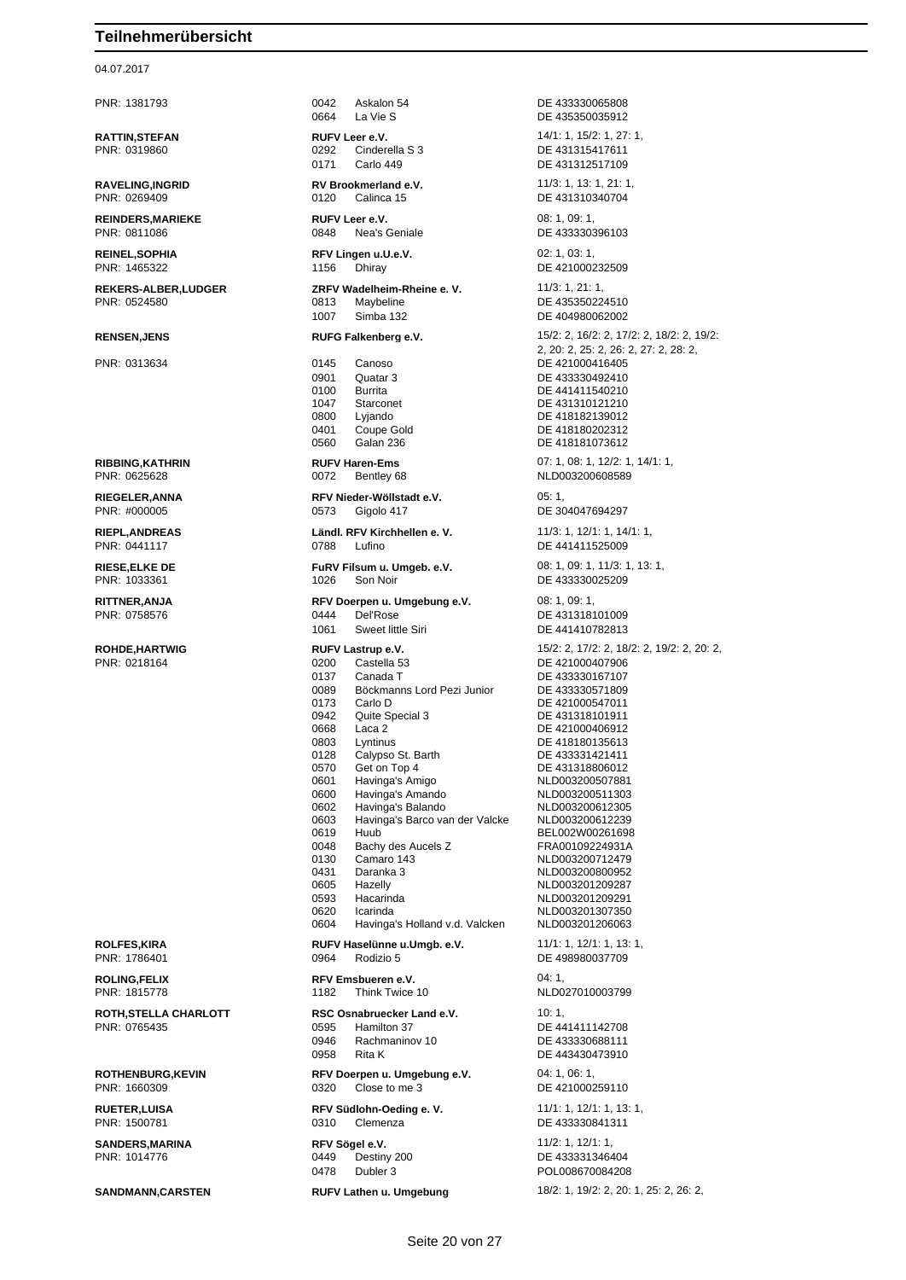### 04.07.2017

PNR: 1381793 0042 Askalon 54 DE 433330065808 0664 La Vie S DE 435350035912 **RATTIN,STEFAN RUFV Leer e.V.** 14/1: 1, 15/2: 1, 27: 1, 0292 Cinderella S 3 DE 431315417611 0171 Carlo 449 DE 431312517109 **RAVELING,INGRID RV Brookmerland e.V.** 11/3: 1, 13: 1, 21: 1, PNR: 0269409 0120 Calinca 15 DE 431310340704 **REINDERS,MARIEKE RUFV Leer e.V. CONSUMING 198: 1, 09: 1, 09: 1,** PNR: 0811086 0848 Nea's Geniale DE 433330396103 **REINEL,SOPHIA RFV Lingen u.U.e.V.** 02: 1, 03: 1, PNR: 1465322 1156 Dhiray 1156 Dhiray DE 421000232509 **REKERS-ALBER,LUDGER ZRFV Wadelheim-Rheine e. V.** 11/3: 1, 21: 1, 1007 Simba 132 DE 404980062002 PNR: 0313634 0145 Canoso DE 421000416405 0901 Quatar 3 DE 433330492410 0100 Burrita DE 441411540210 1047 Starconet DE 431310121210<br>10800 Lyjando DE 418182139012 0401 Coupe Gold DE 418180202312 0560 Galan 236 DE 418181073612 PNR: 0625628 0072 Bentley 68 NLD003200608589 **RIEGELER,ANNA RFV Nieder-Wöllstadt e.V.** 05: 1, PNR: #000005 0573 Gigolo 417 DE 304047694297 PNR: 0441117 0788 Lufino DE 441411525009 **RITTNER,ANJA RFV Doerpen u. Umgebung e.V.** 08: 1, 09: 1, 09: 1, 09: 1, 09: 1, 09: 1, 09: 1, 09: 1, 09: 1, 09: 0 0444 Del'Rose DE 431318101009 1061 Sweet little Siri DE 441410782813 PNR: 0218164 0200 Castella 53 DE 421000407906 0137 Canada T DE 433330167107 0089 Böckmanns Lord Pezi Junior DE 433330571809<br>0173 Carlo D DE 421000547011 0173 Carlo D<br>
0942 Quite Special 3 DE 431318101911 0942 Quite Special 3 DE 431318101911<br>0668 Laca 2 DE 421000406912 0668 Laca 2 DE 421000406912 0803 Lyntinus DE 418180135613<br>128 Calypso St. Barth DE 433331421411 0128 Calypso St. Barth<br>0570 Get on Top 4 0570 Get on Top 4 DE 431318806012<br>0601 Havinga's Amigo NLD00320050788 0601 Havinga's Amigo NLD003200507881 0600 Havinga's Amando<br>0602 Havinga's Balando 0602 Havinga's Balando NLD003200612305 0603 Havinga's Barco van der Valcke<br>0619 Huub 0619 Huub BEL002W00261698<br>0048 Bachy des Aucels Z FRA00109224931A 0048 Bachy des Aucels Z<br>0130 Camaro 143 0431 Daranka 3 NLD003200800952 0605 Hazelly **NLD003201209287**<br>0593 Hacarinda NI D003201209291 0620 Icarinda<br>0604 Havinga's Holland v.d. Valcken NLD003201206063 Havinga's Holland v.d. Valcken **ROLFES,KIRA RUFV Haselünne u.Umgb. e.V.** 11/1: 1, 12/1: 1, 13: 1, PNR: 1786401 0964 Rodizio 5 DE 498980037709 **ROLING,FELIX RFV Emsbueren e.V.** 04: 1, PNR: 1815778 1182 Think Twice 10 NLD027010003799 **ROTH, STELLA CHARLOTT RSC Osnabruecker Land e.V.** 10: 1, PNR: 0765435 0595 Hamilton 37 DE 441411142708 0946 Rachmaninov 10 0958 Rita K DE 443430473910 **ROTHENBURG,KEVIN RFV Doerpen u. Umgebung e.V.** 04: 1, 06: 1, 06: 1, 08: 1, 08: 1, 08: 1, 08: 1, 08: 1, 08: 1, 08: 1, 08: 1, 08: 1, 08: 1, 08: 1, 08: 1, 08: 1, 08: 1, 08: 1, 08: 1, 08: 1, 08: 1, 08: 1, 08: 1, 08: 1, 08: 0320 Close to me 3 DE 421000259110

DE 435350224510 **RENSEN,JENS RUFG Falkenberg e.V.** 15/2: 2, 16/2: 2, 17/2: 2, 18/2: 2, 19/2: 2, 20: 2, 25: 2, 26: 2, 27: 2, 28: 2, DE 418182139012 **RIBBING,KATHRIN RUFV Haren-Ems** 07: 1, 08: 1, 12/2: 1, 14/1: 1, **RIEPL,ANDREAS Ländl. RFV Kirchhellen e. V.** 11/3: 1, 12/1: 1, 14/1: 1, **RIESE,ELKE DE FURV Filsum u. Umgeb. e.V.** 08: 1, 09: 1, 11/3: 1, 13: 1, 13: 1, 19: 1, 13: 1, 13: 1, 109: 1, 11/3: 1, 13: 1, 108: 1, 11/3: 1, 13: 1, 109: 1, 11/3: 1, 13: 1, 109: 1, 109: 1, 11/3: 1, 13: 1, 109: 1, 1026 So DE 433330025209 **ROHDE,HARTWIG RUFV Lastrup e.V.** 15/2: 2, 17/2: 2, 18/2: 2, 19/2: 2, 20: 2, NLD003200712479 0593 Hacarinda NLD003201209291 **RUETER, LUISA RFV Südlohn-Oeding e. V.** 11/1: 1, 12/1: 1, 13: 1, 19: 1, 13: 1, 19: 1, 13: 1, 19: 1, 19: 1, 19: 1, 19: 1, 19: 1, 19: 1, 19: 1, 19: 1, 19: 1, 19: 1, 19: 1, 19: 1, 19: 1, 19: 1, 19: 1, 19: 1, 19: 1, 19: 1, 0310 Clemenza DE 433330841311 **SANDERS,MARINA RFV Sögel e.V.** 11/2: 1, 12/1: 1, 12/1: 1, 12/1: 1, 12/1: 1, 12/1: 1, 12/1: 1, 12/1: 1, 12/1: 1, 12/1: 1, 12/1: 1, 12/1: 1, 12/1: 1, 12/1: 1, 12/1: 1, 12/1: 1, 12/1: 1, 12/1: 1, 12/1: 1, 12/1: 1, 12/1: 1, DE 433331346404 0478 Dubler 3 POL008670084208 **SANDMANN,CARSTEN RUFV Lathen u. Umgebung** 18/2: 1, 19/2: 2, 20: 1, 25: 2, 26: 2,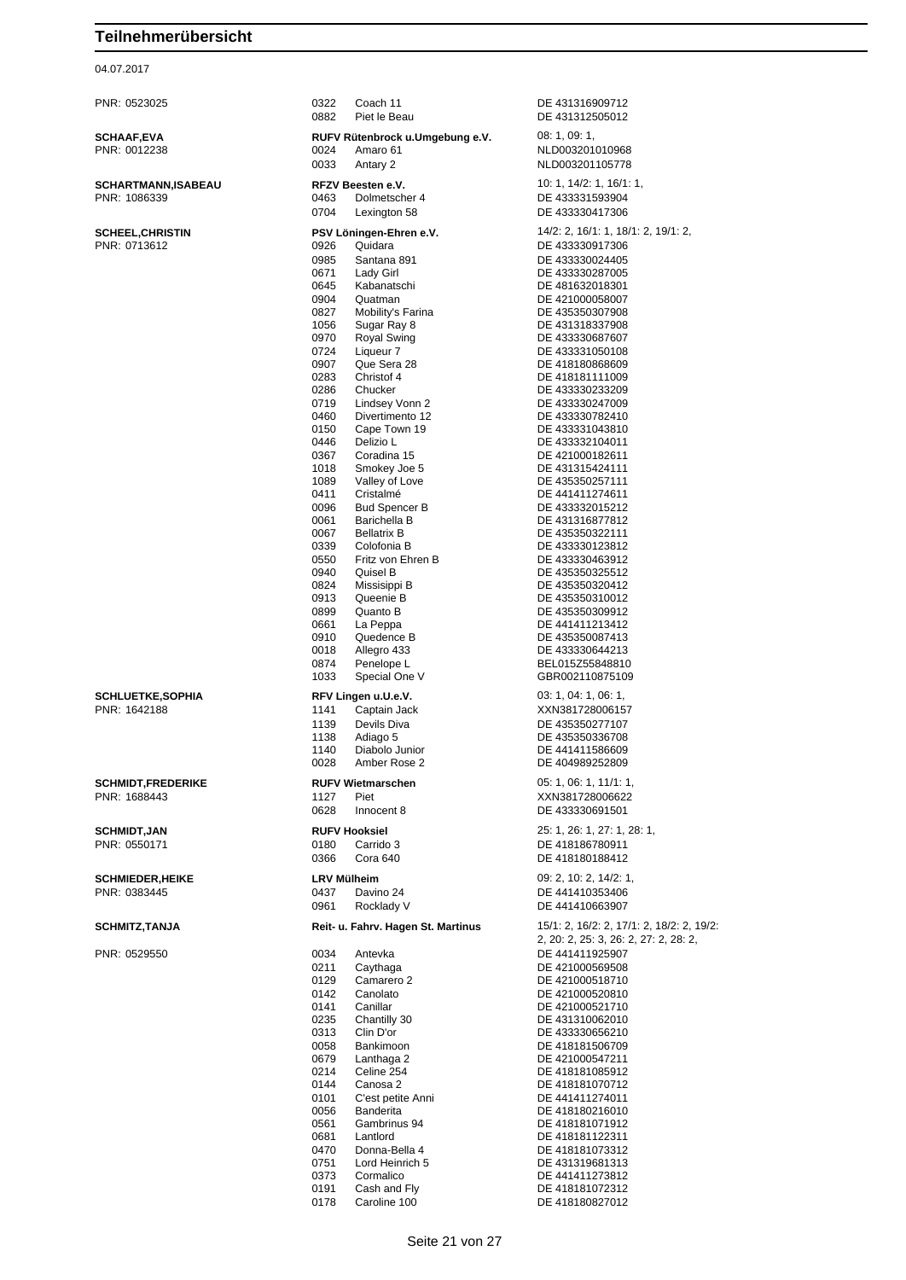## 04.07.2017

PNR: 0523025 0322 Coach 11 DE 431316909712

**SCHAAF, EVA**<br>PNR: 0012238

| SCHAAF,EVA                              | RUFV Rütenbrock u.Umgebung e.V.                    | 08: 1, 09: 1,                             |
|-----------------------------------------|----------------------------------------------------|-------------------------------------------|
| PNR: 0012238                            | 0024<br>Amaro 61                                   | NLD003201010968                           |
|                                         | 0033<br>Antary 2                                   | NLD003201105778                           |
| SCHARTMANN,ISABEAU                      | <b>RFZV Beesten e.V.</b>                           | 10: 1, 14/2: 1, 16/1: 1,                  |
| PNR: 1086339                            | 0463<br>Dolmetscher 4                              | DE 433331593904                           |
|                                         | 0704<br>Lexington 58                               | DE 433330417306                           |
| SCHEEL,CHRISTIN                         | PSV Löningen-Ehren e.V.                            | 14/2: 2, 16/1: 1, 18/1: 2, 19/1: 2,       |
| PNR: 0713612                            | 0926<br>Quidara                                    | DE 433330917306                           |
|                                         | 0985<br>Santana 891                                | DE 433330024405                           |
|                                         | 0671<br>Lady Girl                                  | DE 433330287005                           |
|                                         | Kabanatschi<br>0645<br>0904<br>Quatman             | DE 481632018301                           |
|                                         | 0827<br>Mobility's Farina                          | DE 421000058007<br>DE 435350307908        |
|                                         | 1056<br>Sugar Ray 8                                | DE 431318337908                           |
|                                         | 0970<br>Royal Swing                                | DE 433330687607                           |
|                                         | 0724<br>Liqueur 7                                  | DE 433331050108                           |
|                                         | 0907<br>Que Sera 28<br>Christof 4<br>0283          | DE 418180868609<br>DE 418181111009        |
|                                         | Chucker<br>0286                                    | DE 433330233209                           |
|                                         | 0719<br>Lindsey Vonn 2                             | DE 433330247009                           |
|                                         | 0460<br>Divertimento 12                            | DE 433330782410                           |
|                                         | 0150<br>Cape Town 19                               | DE 433331043810                           |
|                                         | 0446<br>Delizio L<br>Coradina 15<br>0367           | DE 433332104011<br>DE 421000182611        |
|                                         | 1018<br>Smokey Joe 5                               | DE 431315424111                           |
|                                         | 1089<br>Valley of Love                             | DE 435350257111                           |
|                                         | 0411<br>Cristalmé                                  | DE 441411274611                           |
|                                         | 0096<br><b>Bud Spencer B</b>                       | DE 433332015212                           |
|                                         | Barichella B<br>0061<br>0067<br><b>Bellatrix B</b> | DE 431316877812<br>DE 435350322111        |
|                                         | 0339<br>Colofonia B                                | DE 433330123812                           |
|                                         | Fritz von Ehren B<br>0550                          | DE 433330463912                           |
|                                         | 0940<br>Quisel B                                   | DE 435350325512                           |
|                                         | 0824<br>Missisippi B                               | DE 435350320412                           |
|                                         | 0913<br>Queenie B<br>0899<br>Quanto B              | DE 435350310012<br>DE 435350309912        |
|                                         | 0661<br>La Peppa                                   | DE 441411213412                           |
|                                         | 0910<br>Quedence B                                 | DE 435350087413                           |
|                                         | 0018<br>Allegro 433                                | DE 433330644213                           |
|                                         | 0874<br>Penelope L<br>Special One V<br>1033        | BEL015Z55848810<br>GBR002110875109        |
|                                         |                                                    |                                           |
| <b>SCHLUETKE,SOPHIA</b><br>PNR: 1642188 | RFV Lingen u.U.e.V.                                | 03: 1, 04: 1, 06: 1,                      |
|                                         | 1141<br>Captain Jack<br>1139<br>Devils Diva        | XXN381728006157<br>DE 435350277107        |
|                                         | 1138<br>Adiago 5                                   | DE 435350336708                           |
|                                         | 1140<br>Diabolo Junior                             | DE 441411586609                           |
|                                         | 0028<br>Amber Rose 2                               | DE 404989252809                           |
| <b>SCHMIDT,FREDERIKE</b>                | <b>RUFV Wietmarschen</b>                           | 05: 1, 06: 1, 11/1: 1,                    |
| PNR: 1688443                            | 1127<br>Piet                                       | XXN381728006622                           |
|                                         | 0628<br>Innocent 8                                 | DE 433330691501                           |
| <b>SCHMIDT,JAN</b>                      | <b>RUFV Hooksiel</b>                               | 25: 1, 26: 1, 27: 1, 28: 1,               |
| PNR: 0550171                            | 0180<br>Carrido 3                                  | DE 418186780911                           |
|                                         | 0366<br>Cora 640                                   | DE 418180188412                           |
| <b>SCHMIEDER,HEIKE</b>                  | <b>LRV Mülheim</b>                                 | 09: 2, 10: 2, 14/2: 1,                    |
| PNR: 0383445                            | 0437<br>Davino 24                                  | DE 441410353406                           |
|                                         | 0961<br>Rocklady V                                 | DE 441410663907                           |
| <b>SCHMITZ,TANJA</b>                    | Reit- u. Fahrv. Hagen St. Martinus                 | 15/1: 2, 16/2: 2, 17/1: 2, 18/2: 2, 19/2: |
|                                         |                                                    | 2, 20: 2, 25: 3, 26: 2, 27: 2, 28: 2,     |
| PNR: 0529550                            | 0034<br>Antevka                                    | DE 441411925907                           |
|                                         | 0211<br>Caythaga                                   | DE 421000569508                           |
|                                         | 0129<br>Camarero 2<br>0142<br>Canolato             | DE 421000518710<br>DE 421000520810        |
|                                         | Canillar<br>0141                                   | DE 421000521710                           |
|                                         | 0235<br>Chantilly 30                               | DE 431310062010                           |
|                                         | 0313<br>Clin D'or                                  | DE 433330656210                           |
|                                         | 0058<br>Bankimoon<br>0679<br>Lanthaga 2            | DE 418181506709<br>DE 421000547211        |
|                                         | 0214<br>Celine 254                                 | DE 418181085912                           |
|                                         | 0144<br>Canosa 2                                   | DE 418181070712                           |
|                                         | C'est petite Anni<br>0101                          | DE 441411274011                           |
|                                         | 0056<br>Banderita                                  | DE 418180216010                           |
|                                         | 0561<br>Gambrinus 94<br>Lantlord<br>0681           | DE 418181071912<br>DE 418181122311        |
|                                         | 0470<br>Donna-Bella 4                              | DE 418181073312                           |
|                                         | 0751<br>Lord Heinrich 5                            | DE 431319681313                           |
|                                         | 0373<br>Cormalico                                  | DE 441411273812                           |
|                                         | 0191<br>Cash and Fly<br>0178<br>Caroline 100       | DE 418181072312<br>DE 418180827012        |
|                                         |                                                    |                                           |

Piet le Beau DE 431312505012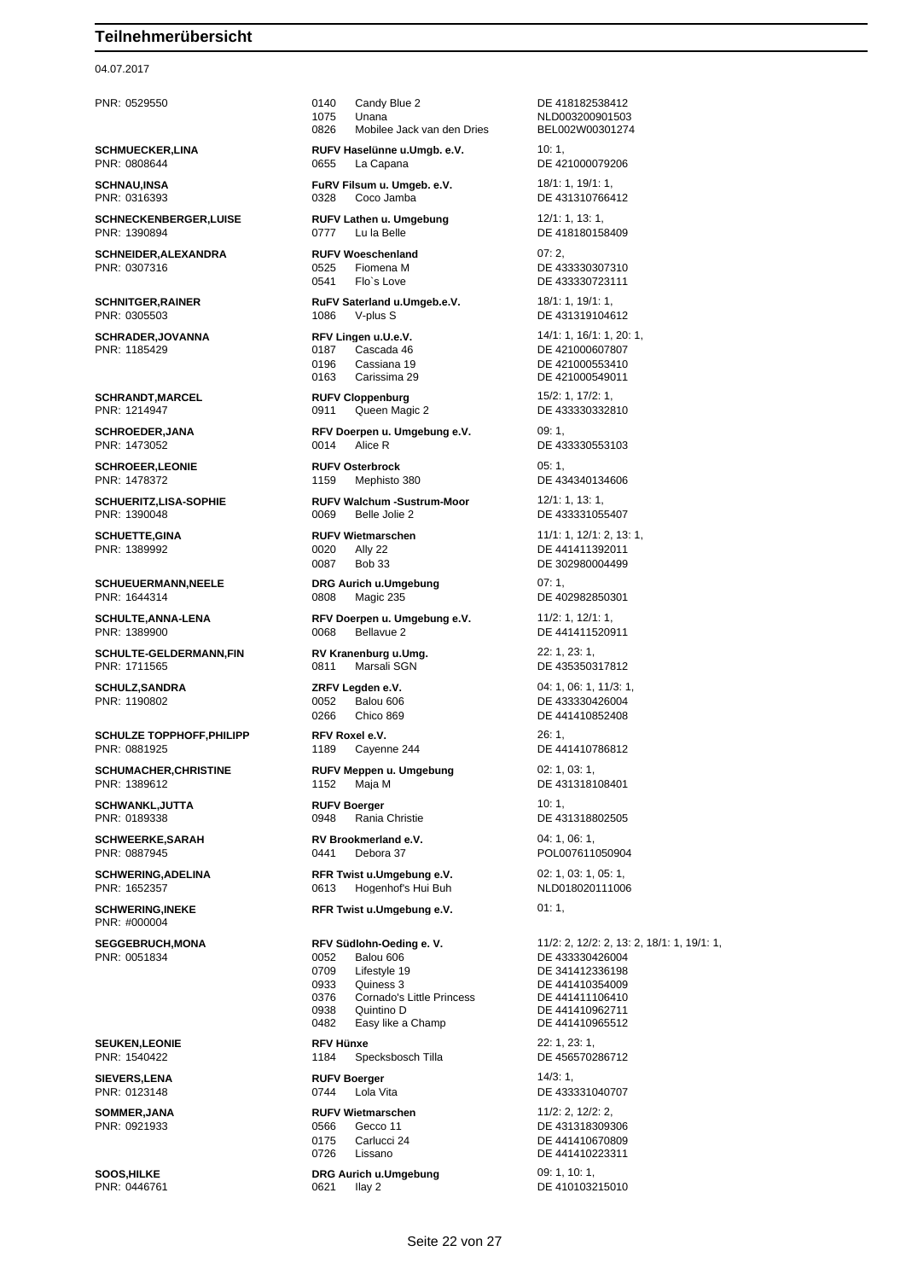## 04.07.2017

PNR: 0808644 0655 La Capana DE 421000079206

**SCHNECKENBERGER,LUISE RUFV Lathen u. Umgebung** 12/1: 1, 13: 1, PNR: 1390894 0777 Lu la Belle DE 418180158409

**SCHNEIDER,ALEXANDRA RUFV Woeschenland** 07: 2, PNR: 0307316 0525 Fiomena M DE 433330307310

PNR: 1389992

**SCHULTE-GELDERMANN,FIN RV Kranenburg u.Umg.** 22: 1, 23: 1, PNR: 1711565 0811 Marsali SGN DE 435350317812

**SCHULZE TOPPHOFF,PHILIPP RFV Roxel e.V.** 26: 1, PNR: 0881925 1189 Cayenne 244 DE 441410786812

**SCHWANKL,JUTTA RUFV Boerger** 10: 1,

**SCHWEERKE,SARAH RV Brookmerland e.V.** 04: 1, 06: 1,

PNR: #000004

PNR: 0051834 0052 Balou 606 DE 433330426004

**SOMMER,JANA RUFV Wietmarschen** 11/2: 2, 12/2: 2,

PNR: 0529550 0140 Candy Blue 2 DE 418182538412 1075 Unana<br>0826 Mobilee Jack van den Dries BEL002W00301274 0826 Mobilee Jack van den Dries BEL002W00301274 **SCHMUECKER,LINA RUFV Haselünne u.Umgb. e.V.** 10: 1,

**SCHNAU, INSA FURV Filsum u. Umgeb. e.V.** 18/1: 1, 19/1: 1, 19/1: 1, 19/1: 1, 19/1: 1, 19/1: 1, 19/1: 1, 19/1: 1, 19/1: 1, 19/1: 1, 19/1: 1, 19/1: 1, 19/1: 1, 19/1: 1, 19/1: 1, 19/1: 1, 19/1: 1, 19/1: 1, 19/1: 1, 19/1: 1 0328 Coco Jamba DE 431310766412

0541 Flo`s Love DE 433330723111

**SCHNITGER,RAINER RuFV Saterland u.Umgeb.e.V.** 18/1: 1, 19/1: 1, 19/1: 1, PNR: 0305503 1086 V-plus S DE 431319104612

> 0187 Cascada 46 DE 421000607807 0196 Cassiana 19 Quantity Quantity Quantity Quantity DE 421000553410 0163 Carissima 29 DE 421000549011

**SCHRANDT,MARCEL RUFV Cloppenburg** 15/2: 1, 17/2: 1, PNR: 1214947 0911 Queen Magic 2 DE 433330332810

**SCHROEDER,JANA RFV Doerpen u. Umgebung e.V.** 09: 1, PNR: 1473052 0014 Alice R DE 433330553103

**SCHROEER,LEONIE RUFV Osterbrock** 05: 1, PNR: 1478372 1159 Mephisto 380 DE 434340134606

**SCHUERITZ,LISA-SOPHIE RUFV Walchum -Sustrum-Moor** 12/1: 1, 13: 1, PNR: 1390048 0069 Belle Jolie 2 DE 433331055407

0087 Bob 33 DE 302980004499

**SCHUEUERMANN,NEELE DRG Aurich u.Umgebung** 07: 1,

**SCHULTE,ANNA-LENA RFV Doerpen u. Umgebung e.V.** 11/2: 1, 12/1: 1, 12/1: 1, 12/1: 1, 12/1: 1, 12/1: 1, PNR: 1389900

**SCHUMACHER,CHRISTINE RUFV Meppen u. Umgebung** 02: 1, 03: 1, PNR: 1389612 1152 Maja M DE 431318108401

PNR: 0189338 0948 Rania Christie DE 431318802505

PNR: 0887945 0441 Debora 37 POL007611050904

**SCHWERING, ADELINA RFR Twist u.Umgebung e.V.** 02: 1, 03: 1, 05: 1, PNR: 1652357 0613 Hogenhof's Hui Buh NLD018020111006

**SCHWERING,INEKE RFR Twist u.Umgebung e.V.** 01: 1,

0709 Lifestyle 19 DE 341412336198 0933 Quiness 3 DE 441410354009<br>0376 Cornado's Little Princess DE 441411106410 0376 Cornado's Little Princess<br>0938 Quintino D 0482 Easy like a Champ DE 441410965512 **SEUKEN,LEONIE RFV Hünxe** 22: 1, 23: 1, Specksbosch Tilla

**SIEVERS,LENA RUFV Boerger** 14/3: 1,<br> **PNR: 0123148 RUFV Boerger** 14/3: 1,<br>
0744 Lola Vita

0726 Lissano DE 441410223311

**SOOS,HILKE DRG Aurich u.Umgebung** 09: 1, 10: 1,<br>
PNR: 0446761 **DRG Aurich u.Umgebung** 09: 1, 10: 1,<br>
DE 4101032

**SCHRADER,JOVANNA RFV Lingen u.U.e.V.** 14/1: 1, 16/1: 1, 20: 1, **SCHUETTE,GINA RUFV Wietmarschen** 11/1: 1, 12/1: 2, 13: 1,<br> **PNR: 1389992** 0020 Ally 22 **DE 441411392011** DE 402982850301 DE 441411520911 **SCHULZ,SANDRA ZRFV Legden e.V.** 04: 1, 06: 1, 11/3: 1, 06: 1, 11/3: 1, 06: 1, 11/3: 1, 06: 1, 11/3: 1, 06: 1, 11/3: 1, 06: 1, 11/3: 1, 06: 0052 Balou 606 DE 433330426004 0266 Chico 869 DE 441410852408 **SEGGEBRUCH,MONA RFV Südlohn-Oeding e. V.** 11/2: 2, 12/2: 2, 13: 2, 18/1: 1, 19/1: 1, DE 441410962711

0744 Lola Vita **DE 433331040707** 

0566 Gecco 11 DE 431318309306<br>0175 Carlucci 24 DE 441410670809 Carlucci 24 DE 441410670809 DE 410103215010

Seite 22 von 27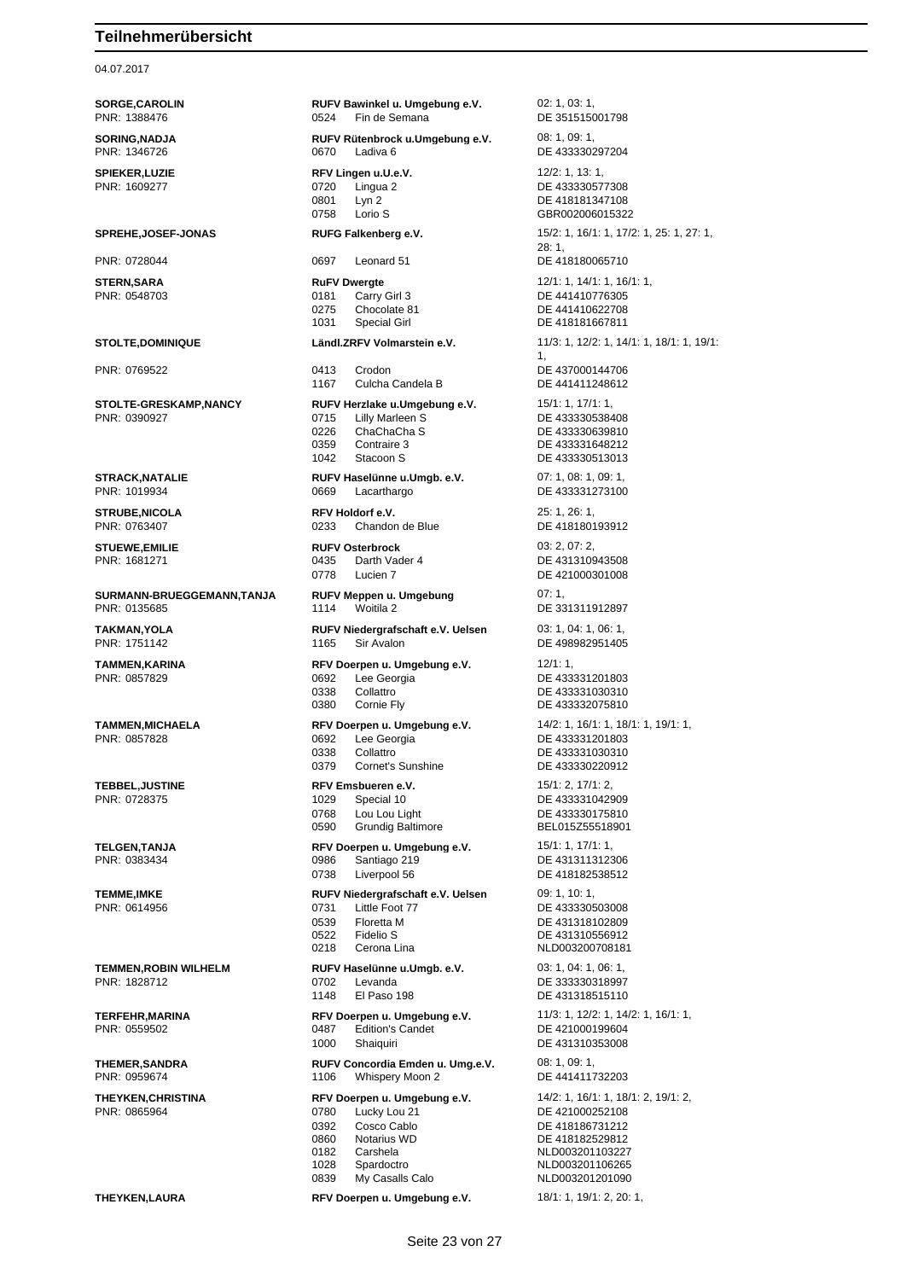### 04.07.2017

**SORGE,CAROLIN RUFV Bawinkel u. Umgebung e.V.** 02: 1, 03: 1, PNR: 1388476 0524 Fin de Semana DE 351515001798 **SORING,NADJA RUFV Rütenbrock u.Umgebung e.V.** 08: 1, 09: 1, PNR: 1346726 0670 Ladiva 6 DE 433330297204 **SPIEKER,LUZIE RFV Lingen u.U.e.V.** 12/2: 1, 13: 1, 13: 1, 13: 1, 13: 1, 13: 1, 13: 1, 13: 1, 13: 1, 13: 1, 13: 1, 13: 1, 13: 1, 13: 1, 13: 1, 13: 1, 13: 1, 13: 1, 13: 1, 13: 1, 13: 1, 13: 1, 13: 1, 13: 1, 13: 1, 13: 1, 0801 Lyn 2 DE 418181347108<br>0758 Lorio S GBR00200601532 **SPREHE,JOSEF-JONAS RUFG Falkenberg e.V.** 15/2: 1, 16/1: 1, 17/2: 1, 25: 1, 27: 1, PNR: 0728044 0697 Leonard 51 DE 418180065710 **STERN,SARA RuFV Dwergte** 12/1: 1, 14/1: 1, 16/1: 1, 19/1: 1, 16/1: 1, 16/1: 1, 16/1: 1, 16/1: 1, 19/1: 1, 16/1: 1, 16/1: 1, 19/1: 1, 16/1: 1, 16/1: 1, 16/1: 1, 16/1: 1, 16/1: 1, 16/1: 1, 16/1: 1, 16/1: 1, 16/1: 1, 16/1: PNR: 0548703 0181 Carry Girl 3 DE 441410776305 0275 Chocolate 81 DE 441410622708 1031 Special Girl **DE 418181667811 STOLTE,DOMINIQUE Ländl.ZRFV Volmarstein e.V.** 11/3: 1, 12/2: 1, 14/1: 1, 18/1: 1, 19/1: PNR: 0769522 0413 Crodon DE 437000144706 1167 Culcha Candela B **STOLTE-GRESKAMP,NANCY RUFV Herzlake u.Umgebung e.V.** 15/1: 1, 17/1: 1, 18/1: 1, 18/1: 1, 18/1: 1, 18/1: 1, 18/1: 1, 18/1: 1, 18/1: 1, 18/1: 1, 18/1: 1, 18/1: 1, 18/1: 1, 18/1: 1, 18/1: 1, 18/1: 1, 18/1: 1, 18/1: 1, 18/1 0715 Lilly Marleen S DE 433330538408 0226 ChaChaCha S DE 433330639810<br>0359 Contraire 3 DE 433331648212 0359 Contraire 3 DE 433331648212<br>1042 Stacoon S DE 433330513013 **STRACK,NATALIE RUFV Haselünne u.Umgb. e.V.** 07: 1, 08: 1, 09: 1, 08: 1, 09: 1, 08: 1, 09: 1, 09: 1, 09: 1, 09: 1, 09: 1, 09: 1, 09: 1, 09: 1, 09: 1, 09: 1, 09: 1, 09: 1, 09: 1, 09: 1, 09: 1, 09: 1, 09: 1, 09: 1, 09: 1, 0669 Lacarthargo DE 433331273100 **STRUBE,NICOLA RFV Holdorf e.V.** 25: 1, 26: 1, PNR: 0763407 0233 Chandon de Blue DE 418180193912 **STUEWE,EMILIE RUFV Osterbrock** 03: 2, 07: 2, PNR: 1681271 0435 Darth Vader 4 DE 431310943508 0778 Lucien 7 DE 421000301008 **SURMANN-BRUEGGEMANN,TANJA RUFV Meppen u. Umgebung** 07: 1, PNR: 0135685 1114 Woitila 2 DE 331311912897 **TAKMAN,YOLA RUFV Niedergrafschaft e.V. Uelsen** 03: 1, 04: 1, 06: 1, PNR: 1751142 1165 Sir Avalon DE 498982951405 **TAMMEN,KARINA RFV Doerpen u. Umgebung e.V.** 12/1: 1, PNR: 0857829 0692 Lee Georgia DE 433331201803 0338 Collattro DE 433331030310 0380 Cornie Fly **DE 433332075810 TAMMEN,MICHAELA RFV Doerpen u. Umgebung e.V.** 14/2: 1, 16/1: 1, 18/1: 1, 19/1: 1, 19/1: 1, 19/1: 1, PNR: 0857828 0338 Collattro (0338 Collattro (0338 DE 433331030310) 0379 Cornet's Sunshine DE 433330220912 **TEBBEL,JUSTINE RFV Emsbueren e.V.** 15/1: 2, 17/1: 2, 17/1: 2, 17/1: 2, 17/1: 2, 17/1: 2, 17/1: 2, 17/1: 2, 17/1: 2, 17/1: 2, 17/1: 2, 17/1: 2, 17/1: 2, 17/1: 2, 17/1: 2, 17/1: 2, 17/1: 2, 17/1: 2, 17/1: 2, 17/1: 2, 17/1 1029 Special 10 DE 433331042909 0768 Lou Lou Light DE 433330175810 **TELGEN,TANJA RFV Doerpen u. Umgebung e.V.** 15/1: 1, 17/1: 1, PNR: 0383434 0986 Santiago 219 DE 431311312306 0738 Liverpool 56 DE 418182538512 **TEMME,IMKE RUFV Niedergrafschaft e.V. Uelsen** 09: 1, 10: 1, PNR: 0614956 0731 Little Foot 77 DE 433330503008 0539 Floretta M DE 431318102809 0522 Fidelio S DE 431310556912 **TEMMEN,ROBIN WILHELM RUFV Haselünne u.Umgb. e.V.** 03: 1, 04: 1, 06: 1, 08: 1, 08: 1, 08: 1, 08: 1, 08: 1, 08: 1, 08: 1, 08: 1, 08: 1, 08: 1, 08: 1, 08: 1, 08: 1, 08: 1, 08: 1, 08: 1, 08: 1, 08: 1, 08: 1, 08: 1, 09: 1, 0 1148 El Paso 198 DE 431318515110 **TERFEHR,MARINA RFV Doerpen u. Umgebung e.V.** 11/3: 1, 12/2: 1, 14/2: 1, 16/1: 1, PNR: 0559502<br> **PNR: 0559502 RPNR: 0559502** 0487 Edition's Candet DE 421000199604 1000 Shaiquiri DE 431310353008 **THEMER,SANDRA RUFV Concordia Emden u. Umg.e.V.** 08: 1, 09: 1, PNR: 0959674 1106 Whispery Moon 2 DE 441411732203 **THEYKEN,CHRISTINA RFV Doerpen u. Umgebung e.V.** 14/2: 1, 16/1: 1, 18/1: 2, 19/1: 2, PNR: 0865964 0780 Lucky Lou 21 DE 421000252108 0392 Cosco Cablo DE 418186731212 0860 Notarius WD DE 418182529812 0182 Carshela NLD003201103227 1028 Spardoctro **NLD003201106265**<br>1028 My Casalls Calo **NLD003201201090 THEYKEN,LAURA RFV Doerpen u. Umgebung e.V.** 18/1: 1, 19/1: 2, 20: 1,

DE 433330577308 GBR002006015322 28: 1, 1, DE 433330513013 DE 433331201803 BEL015Z55518901 NLD003200708181 DE 333330318997 NLD003201201090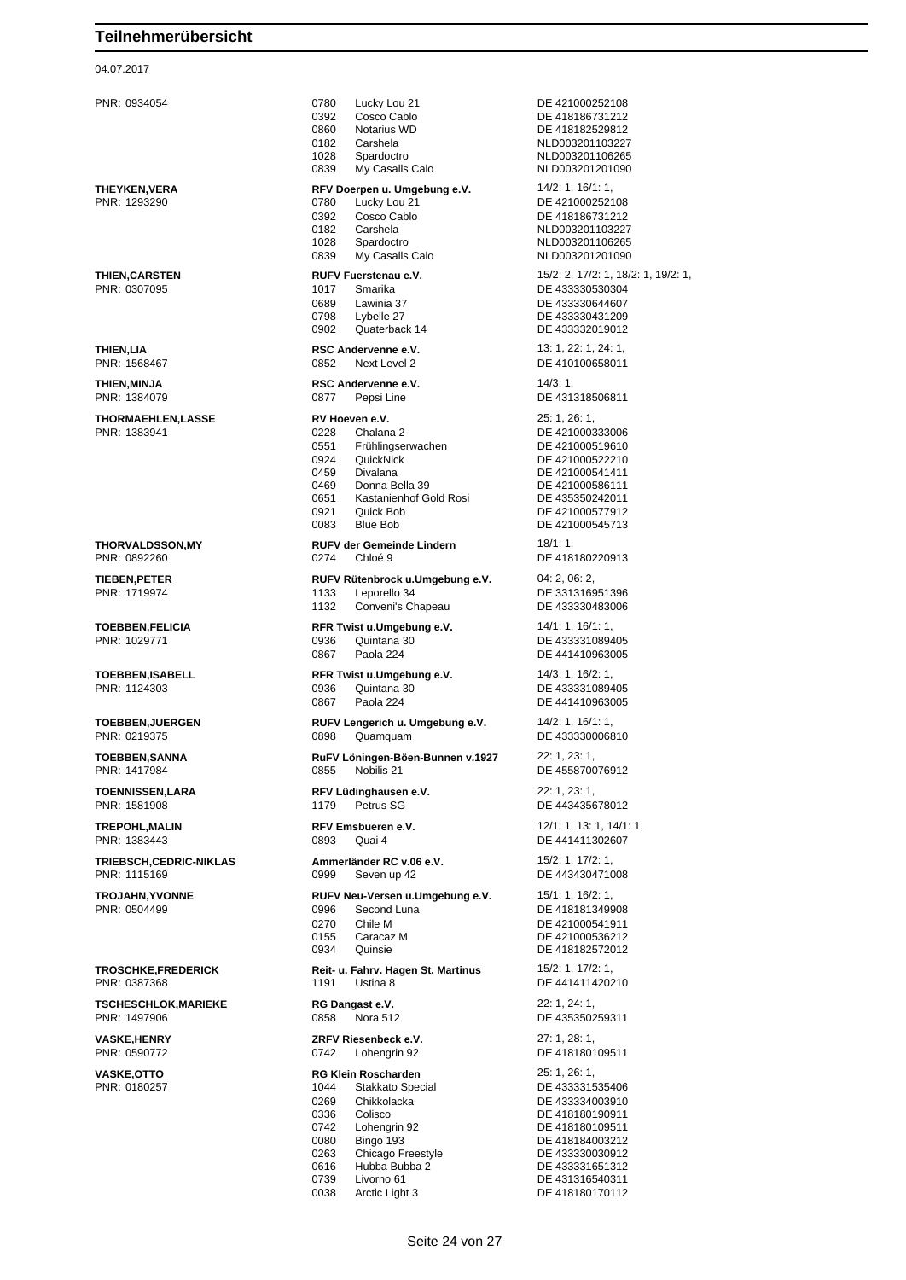#### 04.07.2017

PNR: 0934054 0780 Lucky Lou 21 DE 421000252108 0392 Cosco Cablo DE 418186731212 Notarius WD **DE 418182529812** 0182 Carshela NLD003201103227 1028 Spardoctro NLD003201106265 0839 My Casalls Calo NUD003201201090 **THEYKEN,VERA RFV Doerpen u. Umgebung e.V.** 14/2: 1, 16/1: 1, PNR: 1293290 0780 Lucky Lou 21 DE 421000252108 0392 Cosco Cablo DE 418186731212 0182 Carshela NLD003201103227 1028 Spardoctro NLD003201106265 0839 My Casalls Calo NLD003201201090 **THIEN,CARSTEN RUFV Fuerstenau e.V.** 15/2: 2, 17/2: 1, 18/2: 1, 19/2: 1, 19/2: 1, 19/2: 1, 19/2: 1, 19/2: 1, 19/2: 1, 19/2: 1, 19/2: 1, 19/2: 1, 19/2: 1, 19/2: 1, 19/2: 1, 19/2: 1, 19/2: 1, 19/2: 1, 19/2: 1, 19/2: 1, 19/ DE 433330530304 0689 Lawinia 37 DE 433330644607<br>1998 Lybelle 27 DE 433330431209 Lybelle 27 **DE 433330431209**<br>Quaterback 14 **DE 433332019012** 0902 Quaterback 14 DE 433332019012 **THIEN, LIA RSC Andervenne e.V.** 13: 1, 22: 1, 24: 1, PNR: 1568467 0852 Next Level 2 DE 410100658011 **THIEN, MINJA RSC Andervenne e.V.** 14/3: 1, PNR: 1384079 0877 Pepsi Line DE 431318506811 **THORMAEHLEN,LASSE RV Hoeven e.V.** 25: 1, 26: 1, PNR: 1383941 0228 Chalana 2 DE 421000333006 0551 Frühlingserwachen DE 421000519610 0924 QuickNick DE 421000522210<br>0459 Divalana DE 421000541411 0459 Divalana DE 421000541411<br>0469 Donna Bella 39 DE 421000586111 0469 Donna Bella 39 DE 421000586111<br>0651 Kastanienhof Gold Rosi DE 435350242011 Kastanienhof Gold Rosi<br>Quick Bob 0921 Quick Bob DE 421000577912 0083 Blue Bob DE 421000545713 **THORVALDSSON,MY RUFV der Gemeinde Lindern** 18/1: 1, PNR: 0892260 0274 Chloé 9 DE 418180220913 **TIEBEN,PETER RUFV Rütenbrock u.Umgebung e.V.** 04: 2, 06: 2, 06: 2, 08: 2, 08: 2, 08: 2, 08: 2, 08: 2, 08: 2, 08: 2, 08: 2, 08: 2, 08: 2, 08: 2, 08: 2, 08: 2, 08: 2, 08: 2, 08: 2, 08: 2, 08: 2, 08: 2, 08: 2, 08: 2, 08: 2 1133 Leporello 34 DE 331316951396 1132 Conveni's Chapeau DE 433330483006 **TOEBBEN,FELICIA RFR Twist u.Umgebung e.V.** 14/1: 1, 16/1: 1, 16/1: 1, 18/1: 1, 16/1: 1, 18/1: 1, PNR: 1029771 0867 Paola 224 **DE 441410963005 TOEBBEN,ISABELL RFR Twist u.Umgebung e.V.** 14/3: 1, 16/2: 1, PNR: 1124303 0936 Quintana 30 DE 433331089405 0867 Paola 224 DE 441410963005 **TOEBBEN,JUERGEN RUFV Lengerich u. Umgebung e.V.** 14/2: 1, 16/1: 1, PNR: 0219375 0898 Quamquam DE 433330006810 **TOEBBEN,SANNA RuFV Löningen-Böen-Bunnen v.1927** 22: 1, 23: 1, PNR: 1417984 0855 Nobilis 21 DE 455870076912 **TOENNISSEN,LARA RFV Lüdinghausen e.V.** 22: 1, 23: 1, PNR: 1581908 1179 Petrus SG DE 443435678012 **TREPOHL,MALIN RFV Emsbueren e.V.** 12/1: 1, 13: 1, 14/1: 1, PNR: 1383443 0893 Quai 4 DE 441411302607 **TRIEBSCH,CEDRIC-NIKLAS Ammerländer RC v.06 e.V.** 15/2: 1, 17/2: 1, PNR: 1115169 0999 Seven up 42 DE 443430471008 **TROJAHN,YVONNE RUFV Neu-Versen u.Umgebung e.V.** 15/1: 1, 16/2: 1, 16/2: 1, 18/2: 1, 18/2: 1, 18/2: 1, 18/2: 1, 18/2: 1, 18/2: 1, 18/2: 1, 19/2: 1, 19/2: 1, 19/2: 1, 19/2: 1, 19/2: 1, 19/2: 1, 19/2: 1, 19/2: 1, 19/2: 1, PNR: 0504499 0996 Second Luna DE 418181349908 0270 Chile M DE 421000541911 0155 Caracaz M DE 421000536212 0934 Quinsie DE 418182572012 **TROSCHKE,FREDERICK Reit- u. Fahrv. Hagen St. Martinus** 15/2: 1, 17/2: 1, PNR: 0387368 1191 Ustina 8 DE 441411420210 **TSCHESCHLOK,MARIEKE RG Dangast e.V. 22: 1, 24: 1,** PNR: 1497906 0858 Nora 512 DE 435350259311 **VASKE,HENRY ZRFV Riesenbeck e.V.** 27: 1, 28: 1, PNR: 0590772 0742 Lohengrin 92 DE 418180109511 **VASKE,OTTO RG Klein Roscharden** 25: 1, 26: 1, PNR: 0180257 1044 Stakkato Special DE 433331535406 0269 Chikkolacka DE 433334003910<br>0336 Colisco DE 418180190911 0336 Colisco DE 418180190911 0742 Lohengrin 92 DE 418180109511<br>0080 Bingo 193 DE 418184003212 0080 Bingo 193 DE 418184003212 Chicago Freestyle 0616 Hubba Bubba 2 DE 433331651312 0739 Livorno 61 DE 431316540311 0038 Arctic Light 3 DE 418180170112

DE 433331089405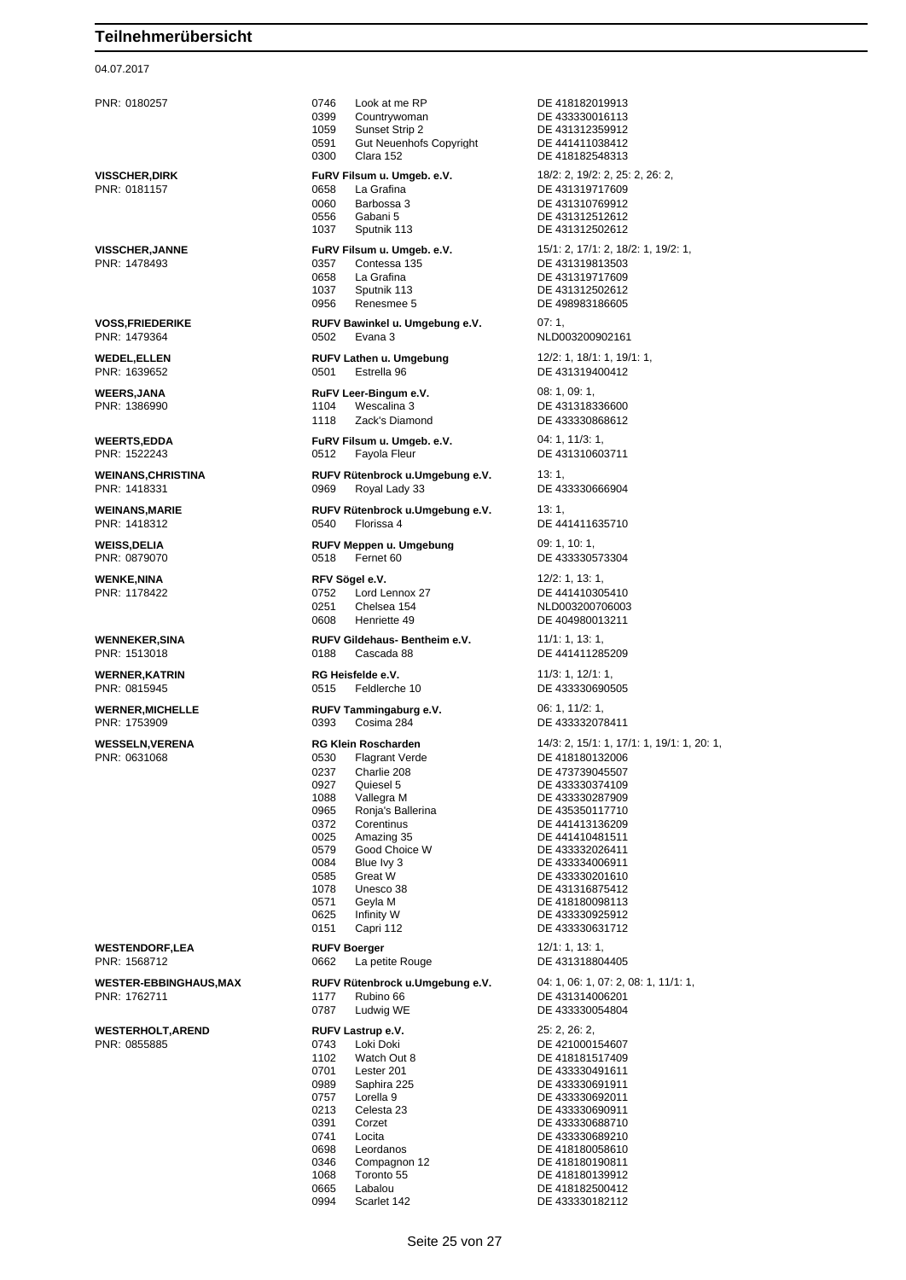### 04.07.2017

PNR: 0180257 0746 Look at me RP DE 418182019913 0399 Countrywoman DE 433330016113 1059 Sunset Strip 2 DE 431312359912 0591 Gut Neuenhofs Copyright DE 441411038412 0300 Clara 152 DE 418182548313 **VISSCHER,DIRK FuRV Filsum u. Umgeb. e.V.** 18/2: 2, 19/2: 2, 25: 2, 26: 2, PNR: 0181157 0658 La Grafina DE 431319717609 0060 Barbossa 3 DE 431310769912 0556 Gabani 5 DE 431312512612 1037 Sputnik 113 DE 431312502612 **VISSCHER,JANNE FuRV Filsum u. Umgeb. e.V.** 15/1: 2, 17/1: 2, 18/2: 1, 19/2: 1, PNR: 1478493 0357 Contessa 135 DE 431319813503 0658 La Grafina **DE 431319717609**<br>1037 Sputnik 113 DE 431312502612 1037 Sputnik 113 DE 431312502612 DE 498983186605 **VOSS,FRIEDERIKE RUFV Bawinkel u. Umgebung e.V.** 07: 1,<br>PNR: 1479364 **RUPS** 0502 Evana 3 0502 Evana 3 2 2 NLD003200902161 **WEDEL,ELLEN RUFV Lathen u. Umgebung** 12/2: 1, 18/1: 1, 19/1: 1, DE 431319400412 **WEERS,JANA RuFV Leer-Bingum e.V.** 08: 1, 09: 1, 09: 1, 09: 1, 09: 1, 09: 1, 09: 1, 09: 1, 09: 1, 09: 1, 09: 1, 09: 1, 09: 1, 09: 1, 09: 1, 09: 1, 09: 1, 09: 1, 09: 1, 09: 1, 09: 1, 09: 1, 09: 1, 09: 1, 09: 1, 09: 1, 09: 1104 Wescalina 3 DE 431318336600 1118 Zack's Diamond DE 433330868612 **WEERTS,EDDA FuRV Filsum u. Umgeb. e.V.** 04: 1, 11/3: 1, PNR: 1522243 0512 Fayola Fleur DE 431310603711 **WEINANS,CHRISTINA RUFV Rütenbrock u.Umgebung e.V.** 13: 1, PNR: 1418331 0969 Royal Lady 33 DE 433330666904 **WEINANS,MARIE RUFV Rütenbrock u.Umgebung e.V.** 13: 1, PNR: 1418312 0540 Florissa 4 DE 441411635710 **WEISS, DELIA RUFV Meppen u. Umgebung** 09: 1, 10: 1, PNR: 0879070 0518 Fernet 60 DE 433330573304 **WENKE,NINA RFV Sögel e.V. RFV Sogel e.V.** 12/2: 1, 13: 1, 13: 1, 19: 1, 19: 1, 13: 1, 19: 1, 19: 1, 19: 1, 19: 1, 19: 1, 19: 1, 19: 1, 19: 1, 19: 1, 19: 1, 19: 1, 19: 1, 19: 1, 19: 1, 19: 1, 19: 1, 19: 1, 19: 1, 19: 1 0752 Lord Lennox 27 DE 441410305410 0251 Chelsea 154 NLD003200706003 0608 Henriette 49 DE 404980013211 **WENNEKER,SINA RUFV Gildehaus- Bentheim e.V.** 11/1: 1, 13: 1, 13: 1, 19: 1, 19: 1, 19: 1, 19: 1, 19: 1, 19: 1, 19: 1, 19: 1, 19: 1, 19: 1, 19: 1, 19: 1, 19: 1, 19: 1, 19: 1, 19: 1, 19: 1, 19: 1, 19: 1, 19: 1, 19: 1, 19: 0188 Cascada 88 DE 441411285209 **WERNER,KATRIN RG Heisfelde e.V.** 11/3: 1, 12/1: 1, PNR: 0815945 0515 Feldlerche 10 DE 433330690505 **WERNER,MICHELLE RUFV Tammingaburg e.V.** 06: 1, 11/2: 1, PNR: 1753909 0393 Cosima 284 DE 433332078411 **WESSELN,VERENA RG Klein Roscharden** 14/3: 2, 15/1: 1, 17/1: 1, 19/1: 1, 20: 1, PNR: 0631068 0530 Flagrant Verde DE 418180132006 0237 Charlie 208 DE 473739045507<br>0927 Quiesel 5 DE 433330374109 0927 Quiesel 5 DE 433330374109<br>1088 Vallegra M DE 433330287909 1088 Vallegra M DE 433330287909 0965 Ronja's Ballerina DE 435350117710 0372 Corentinus DE 441413136209<br>0025 Amazing 35 DE 441410481511 0025 Amazing 35 DE 441410481511<br>0579 Good Choice W DE 433332026411 0579 Good Choice W DE 433332026411<br>0084 Blue lvy 3 DE 433334006911 0084 Blue Ivy 3 DE 433334006911<br>0585 Great W DE 433330201610 DE 433330201610 1078 Unesco 38 DE 431316875412 0571 Geyla M DE 418180098113<br>0625 Infinity W DE 433330925912 0625 Infinity W DE 433330925912 0151 Capri 112 DE 433330631712 **WESTENDORF,LEA RUFV Boerger** 12/1: 1, 13: 1, 0662 La petite Rouge **WESTER-EBBINGHAUS,MAX RUFV Rütenbrock u.Umgebung e.V.** 04: 1, 06: 1, 07: 2, 08: 1, 11/1: 1, PNR: 1762711 1177 Rubino 66 DE 431314006201 0787 Ludwig WE DE 433330054804 **WESTERHOLT,AREND RUFV Lastrup e.V.** 25: 2, 26: 2, PNR: 0855885 0743 Loki Doki DE 421000154607 1102 Watch Out 8 DE 418181517409 0701 Lester 201 DE 433330491611<br>1989 Saphira 225 DE 433330691911 0989 Saphira 225 DE 433330691911<br>0757 Lorella 9 DE 433330692011 0757 Lorella 9 DE 433330692011 0213 Celesta 23 DE 433330690911 0391 Corzet DE 433330688710 Locita **DE 433330689210** 0698 Leordanos DE 418180058610 Compagnon 12 DE 418180190811 1068 Toronto 55 DE 418180139912

0665 Labalou DE 418182500412 0994 Scarlet 142 DE 433330182112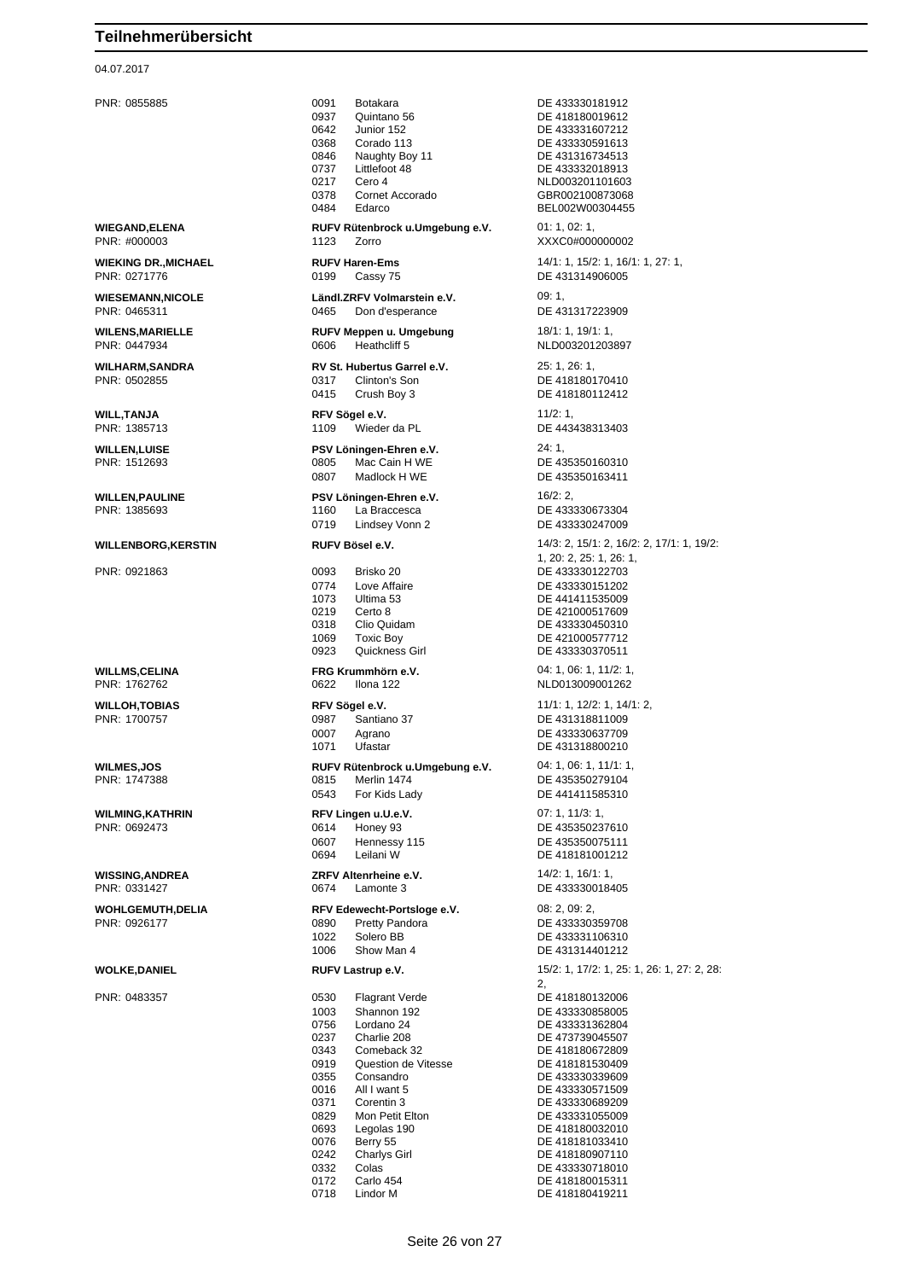### 04.07.2017

PNR: 0855885 0091 Botakara DE 433330181912 0937 Quintano 56 DE 418180019612<br>0642 Junior 152 DE 433331607212 0642 Junior 152 DE 433331607212<br>0368 Corado 113 DE 433330591613 Corado 113 DE 433330591613 0846 Naughty Boy 11 DE 431316734513 0737 Littlefoot 48 DE 433332018913 0217 Cero 4 NLD003201101603 0378 Cornet Accorado GBR002100873068 Edarco BEL002W00304455 **WIEGAND,ELENA RUFV Rütenbrock u.Umgebung e.V.** 01: 1, 02: 1, PNR: #000003 1123 Zorro XXXC0#000000002 **WIEKING DR.,MICHAEL RUFV Haren-Ems** 14/1: 1, 15/2: 1, 16/1: 1, 27: 1, PNR: 0271776 0199 Cassy 75 DE 431314906005 **WIESEMANN,NICOLE Ländl.ZRFV Volmarstein e.V.** 09: 1, PNR: 0465311 0465 Don d'esperance DE 431317223909 **WILENS,MARIELLE RUFV Meppen u. Umgebung** 18/1: 1, 19/1: 1, PNR: 0447934 0606 Heathcliff 5 NLD003201203897 **WILHARM,SANDRA RV St. Hubertus Garrel e.V.** 25: 1, 26: 1, PNR: 0502855 0317 Clinton's Son DE 418180170410 0415 Crush Boy 3 DE 418180112412 **WILL,TANJA RFV Sögel e.V.** 11/2: 1, PNR: 1385713 1109 Wieder da PL DE 443438313403 **WILLEN,LUISE PSV Löningen-Ehren e.V.** 24: 1, PNR: 1512693 0805 Mac Cain H WE 0807 Madlock H WE DE 435350163411 **WILLEN,PAULINE PSV Löningen-Ehren e.V.** 16/2: 2, PNR: 1385693 1160 La Braccesca DE 433330673304<br>0719 Lindsey Vonn 2 DE 433330247009 0719 Lindsey Vonn 2 DE 433330247009 **WILLENBORG,KERSTIN RUFV Bösel e.V.** 14/3: 2, 15/1: 2, 16/2: 2, 17/1: 1, 19/2: PNR: 0921863 0093 Brisko 20 DE 433330122703 0774 Love Affaire **DE 433330151202**<br>1073 Ultima 53 **DE 441411535009** 0219 Certo 8 DE 421000517609 0318 Clio Quidam DE 433330450310 1069 Toxic Boy DE 421000577712 0923 Quickness Girl DE 433330370511 **WILLMS,CELINA FRG Krummhörn e.V.** 04: 1, 06: 1, 11/2: 1, PNR: 1762762 0622 Ilona 122 NLD013009001262 **WILLOH,TOBIAS RFV Sögel e.V.** 11/1: 1, 12/2: 1, 14/1: 2, PNR: 1700757 0987 Santiano 37 DE 431318811009 0007 Agrano DE 433330637709 **WILMES,JOS RUFV Rütenbrock u.Umgebung e.V.** 04: 1, 06: 1, 11/1: 1,<br>PNR: 1747388 **DE 435350279104** 0815 Merlin 1474 **DE 435350279104** 0815 Merlin 1474 DE 435350279104<br>0543 For Kids Lady DE 441411585310 **WILMING,KATHRIN RFV Lingen u.U.e.V.** 07: 1, 11/3: 1, PNR: 0692473 **DE 43535023** 0607 Hennessy 115 DE 435350075111 0694 Leilani W DE 418181001212 **WISSING,ANDREA ZRFV Altenrheine e.V.** 14/2: 1, 16/1: 1, 16/1: 1, PNR: 0331427 0674 Lamonte 3 DE 433330018405 **WOHLGEMUTH, DELIA RFV Edewecht-Portsloge e.V.** 08: 2, 09: 2, 09: 2, PNR: 0926177 0890 Pretty Pandora DE 433330359708 1022 Solero BB DE 433331106310 1006 Show Man 4 DE 431314401212 **WOLKE,DANIEL RUFV Lastrup e.V.** 15/2: 1, 17/2: 1, 25: 1, 26: 1, 27: 2, 28: PNR: 0483357 0530 Flagrant Verde DE 418180132006 1003 Shannon 192 DE 433330858005 0756 Lordano 24 DE 433331362804 0237 Charlie 208 DE 473739045507<br>0343 Comeback 32 DE 418180672809 0343 Comeback 32 DE 418180672809<br>0919 Ouestion de Vitesse DE 418181530409 0919 Question de Vitesse<br>0355 Consandro 0355 Consandro DE 433330339609 All I want 5 DE 433330571509 0371 Corentin 3 DE 433330689209 0829 Mon Petit Elton DE 433331055009 0693 Legolas 190 DE 418180032010 0076 Berry 55 **DE 418181033410**<br>0242 Charlys Girl **DE 418180907110** 0332 Colas DE 433330718010<br>
0172 Carlo 454 DE 418180015311 0172 Carlo 454 DE 418180015311<br>0718 Lindor M DE 418180419211

1, 20: 2, 25: 1, 26: 1, DE 441411535009 DE 431318800210 DE 441411585310 DE 435350237610 2, DE 418180907110

DE 418180419211